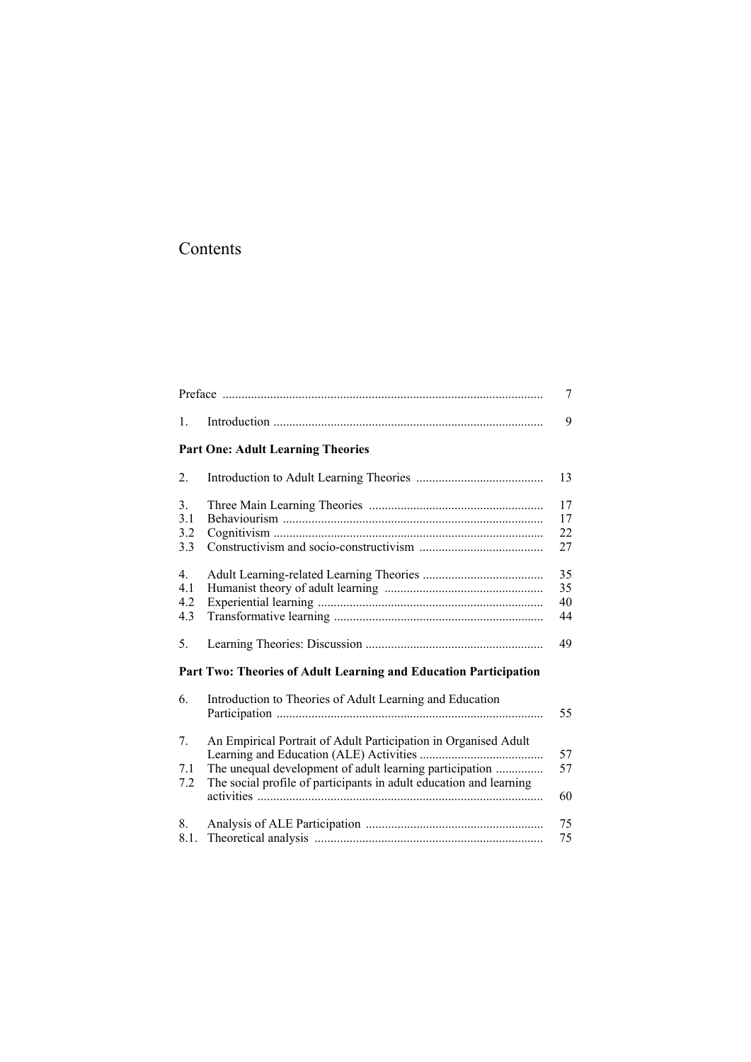# Contents

|                         |                                                                                                                                                                                                  | $\overline{7}$       |
|-------------------------|--------------------------------------------------------------------------------------------------------------------------------------------------------------------------------------------------|----------------------|
| $\mathbf{1}$ .          |                                                                                                                                                                                                  | 9                    |
|                         | <b>Part One: Adult Learning Theories</b>                                                                                                                                                         |                      |
| 2.                      |                                                                                                                                                                                                  | 13                   |
| 3.<br>3.1<br>3.2<br>3.3 |                                                                                                                                                                                                  | 17<br>17<br>22<br>27 |
| 4.<br>4.1<br>4.2<br>4.3 |                                                                                                                                                                                                  | 35<br>35<br>40<br>44 |
| 5.                      |                                                                                                                                                                                                  | 49                   |
|                         | Part Two: Theories of Adult Learning and Education Participation                                                                                                                                 |                      |
| 6.                      | Introduction to Theories of Adult Learning and Education                                                                                                                                         | 55                   |
| 7.<br>7.1<br>7.2        | An Empirical Portrait of Adult Participation in Organised Adult<br>The unequal development of adult learning participation<br>The social profile of participants in adult education and learning | 57<br>57<br>60       |
| 8.<br>8.1.              |                                                                                                                                                                                                  | 75<br>75             |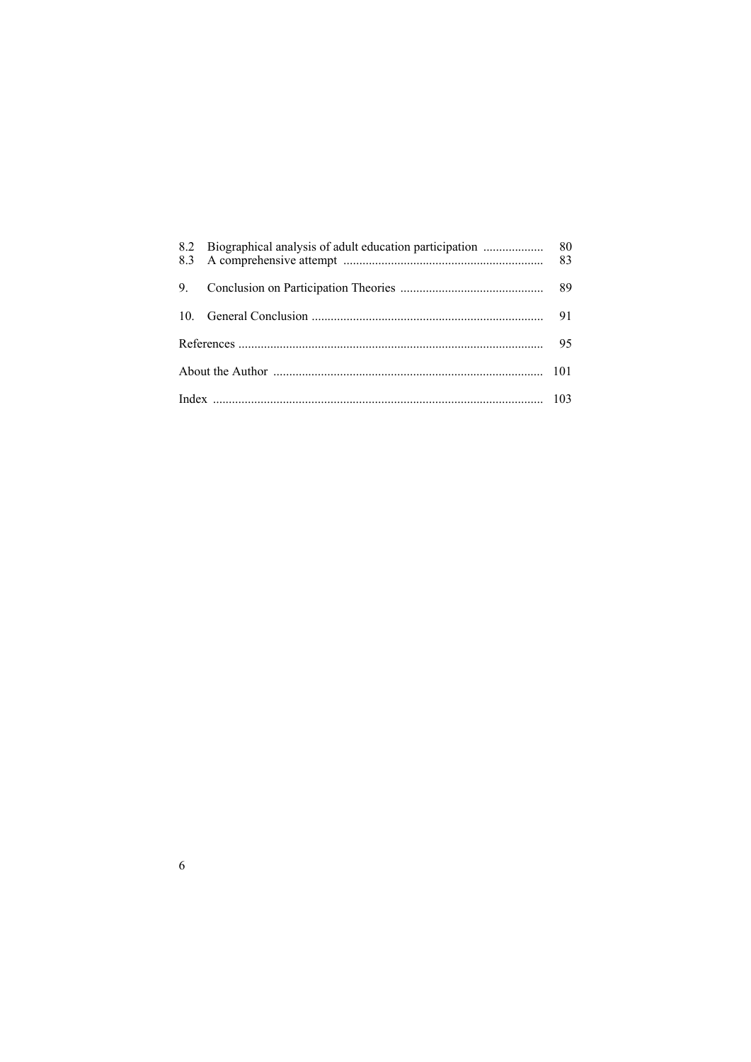|  | 83 |
|--|----|
|  |    |
|  | 91 |
|  | 95 |
|  |    |
|  |    |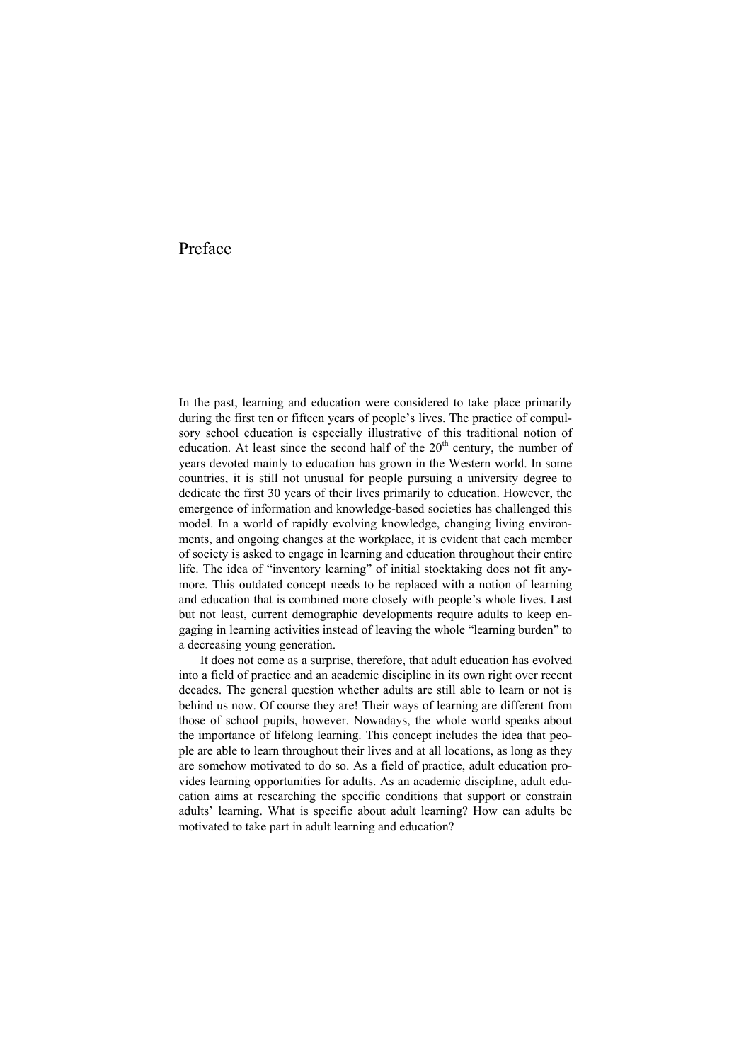# Preface

In the past, learning and education were considered to take place primarily during the first ten or fifteen years of people's lives. The practice of compulsory school education is especially illustrative of this traditional notion of education. At least since the second half of the  $20<sup>th</sup>$  century, the number of years devoted mainly to education has grown in the Western world. In some countries, it is still not unusual for people pursuing a university degree to dedicate the first 30 years of their lives primarily to education. However, the emergence of information and knowledge-based societies has challenged this model. In a world of rapidly evolving knowledge, changing living environments, and ongoing changes at the workplace, it is evident that each member of society is asked to engage in learning and education throughout their entire life. The idea of "inventory learning" of initial stocktaking does not fit anymore. This outdated concept needs to be replaced with a notion of learning and education that is combined more closely with people's whole lives. Last but not least, current demographic developments require adults to keep engaging in learning activities instead of leaving the whole "learning burden" to a decreasing young generation.

It does not come as a surprise, therefore, that adult education has evolved into a field of practice and an academic discipline in its own right over recent decades. The general question whether adults are still able to learn or not is behind us now. Of course they are! Their ways of learning are different from those of school pupils, however. Nowadays, the whole world speaks about the importance of lifelong learning. This concept includes the idea that people are able to learn throughout their lives and at all locations, as long as they are somehow motivated to do so. As a field of practice, adult education provides learning opportunities for adults. As an academic discipline, adult education aims at researching the specific conditions that support or constrain adults' learning. What is specific about adult learning? How can adults be motivated to take part in adult learning and education?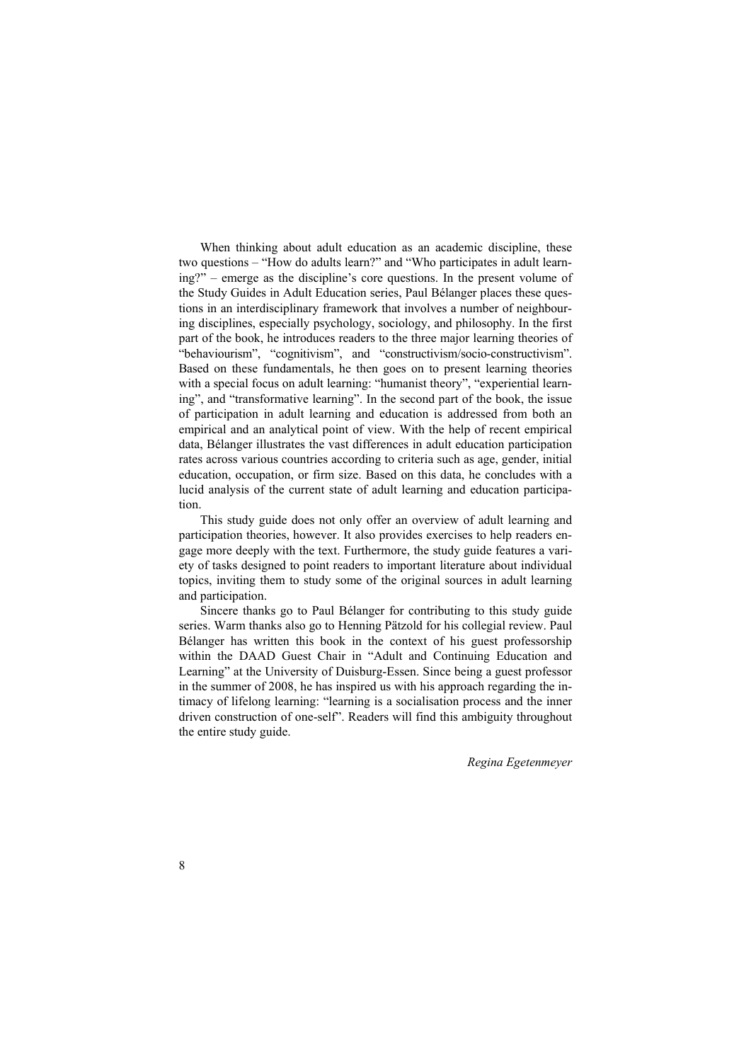When thinking about adult education as an academic discipline, these two questions – "How do adults learn?" and "Who participates in adult learning?" – emerge as the discipline's core questions. In the present volume of the Study Guides in Adult Education series, Paul Bélanger places these questions in an interdisciplinary framework that involves a number of neighbouring disciplines, especially psychology, sociology, and philosophy. In the first part of the book, he introduces readers to the three major learning theories of "behaviourism", "cognitivism", and "constructivism/socio-constructivism". Based on these fundamentals, he then goes on to present learning theories with a special focus on adult learning: "humanist theory", "experiential learning", and "transformative learning". In the second part of the book, the issue of participation in adult learning and education is addressed from both an empirical and an analytical point of view. With the help of recent empirical data, Bélanger illustrates the vast differences in adult education participation rates across various countries according to criteria such as age, gender, initial education, occupation, or firm size. Based on this data, he concludes with a lucid analysis of the current state of adult learning and education participation.

This study guide does not only offer an overview of adult learning and participation theories, however. It also provides exercises to help readers engage more deeply with the text. Furthermore, the study guide features a variety of tasks designed to point readers to important literature about individual topics, inviting them to study some of the original sources in adult learning and participation.

Sincere thanks go to Paul Bélanger for contributing to this study guide series. Warm thanks also go to Henning Pätzold for his collegial review. Paul Bélanger has written this book in the context of his guest professorship within the DAAD Guest Chair in "Adult and Continuing Education and Learning" at the University of Duisburg-Essen. Since being a guest professor in the summer of 2008, he has inspired us with his approach regarding the intimacy of lifelong learning: "learning is a socialisation process and the inner driven construction of one-self". Readers will find this ambiguity throughout the entire study guide.

*Regina Egetenmeyer*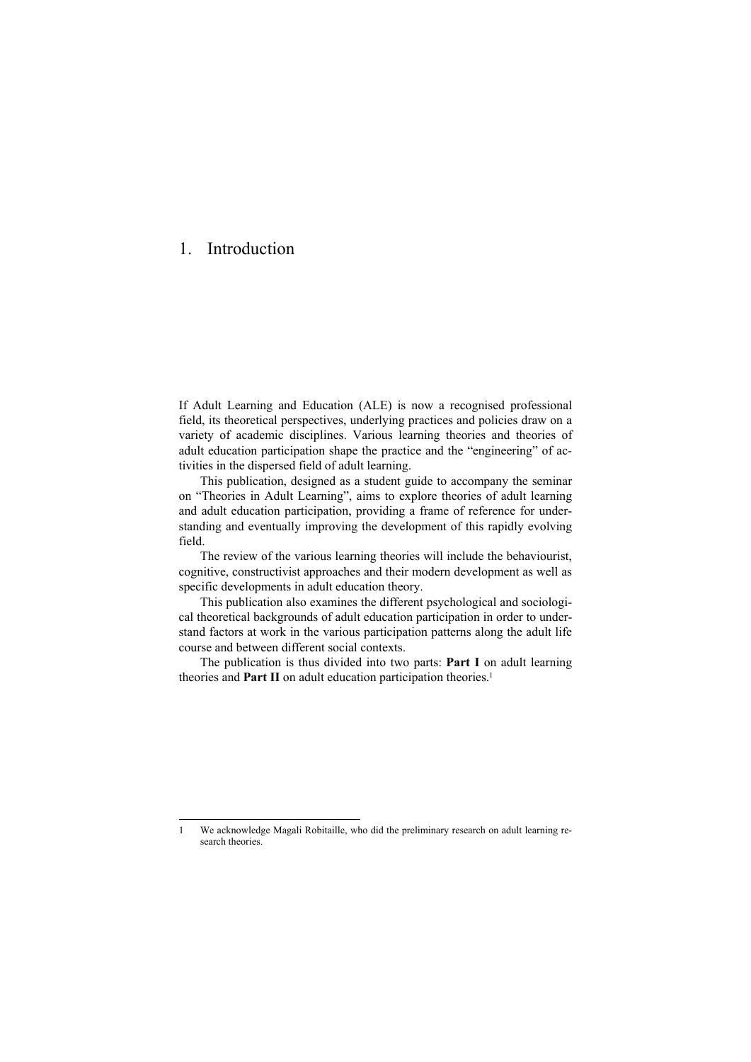# 1. Introduction

 $\overline{a}$ 

If Adult Learning and Education (ALE) is now a recognised professional field, its theoretical perspectives, underlying practices and policies draw on a variety of academic disciplines. Various learning theories and theories of adult education participation shape the practice and the "engineering" of activities in the dispersed field of adult learning.

This publication, designed as a student guide to accompany the seminar on "Theories in Adult Learning", aims to explore theories of adult learning and adult education participation, providing a frame of reference for understanding and eventually improving the development of this rapidly evolving field.

The review of the various learning theories will include the behaviourist, cognitive, constructivist approaches and their modern development as well as specific developments in adult education theory.

This publication also examines the different psychological and sociological theoretical backgrounds of adult education participation in order to understand factors at work in the various participation patterns along the adult life course and between different social contexts.

The publication is thus divided into two parts: **Part I** on adult learning theories and **Part II** on adult education participation theories.<sup>1</sup>

<sup>1</sup> We acknowledge Magali Robitaille, who did the preliminary research on adult learning research theories.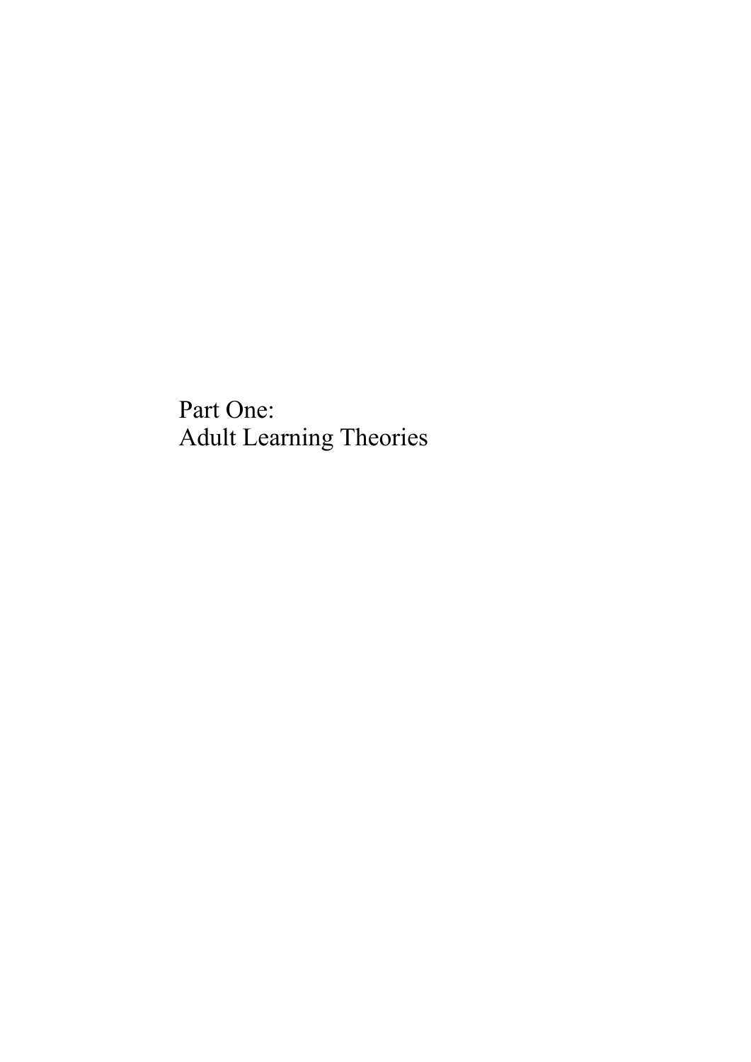# Part One: Adult Learning Theories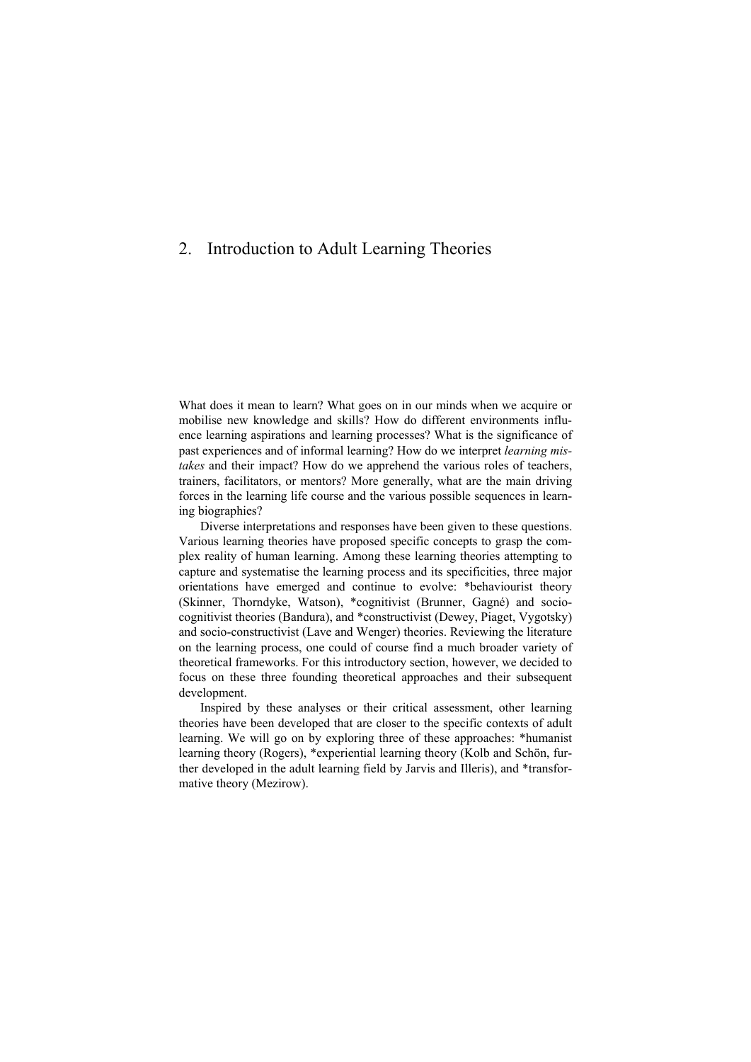# 2. Introduction to Adult Learning Theories

What does it mean to learn? What goes on in our minds when we acquire or mobilise new knowledge and skills? How do different environments influence learning aspirations and learning processes? What is the significance of past experiences and of informal learning? How do we interpret *learning mistakes* and their impact? How do we apprehend the various roles of teachers, trainers, facilitators, or mentors? More generally, what are the main driving forces in the learning life course and the various possible sequences in learning biographies?

Diverse interpretations and responses have been given to these questions. Various learning theories have proposed specific concepts to grasp the complex reality of human learning. Among these learning theories attempting to capture and systematise the learning process and its specificities, three major orientations have emerged and continue to evolve: \*behaviourist theory (Skinner, Thorndyke, Watson), \*cognitivist (Brunner, Gagné) and sociocognitivist theories (Bandura), and \*constructivist (Dewey, Piaget, Vygotsky) and socio-constructivist (Lave and Wenger) theories. Reviewing the literature on the learning process, one could of course find a much broader variety of theoretical frameworks. For this introductory section, however, we decided to focus on these three founding theoretical approaches and their subsequent development.

Inspired by these analyses or their critical assessment, other learning theories have been developed that are closer to the specific contexts of adult learning. We will go on by exploring three of these approaches: \*humanist learning theory (Rogers), \*experiential learning theory (Kolb and Schön, further developed in the adult learning field by Jarvis and Illeris), and \*transformative theory (Mezirow).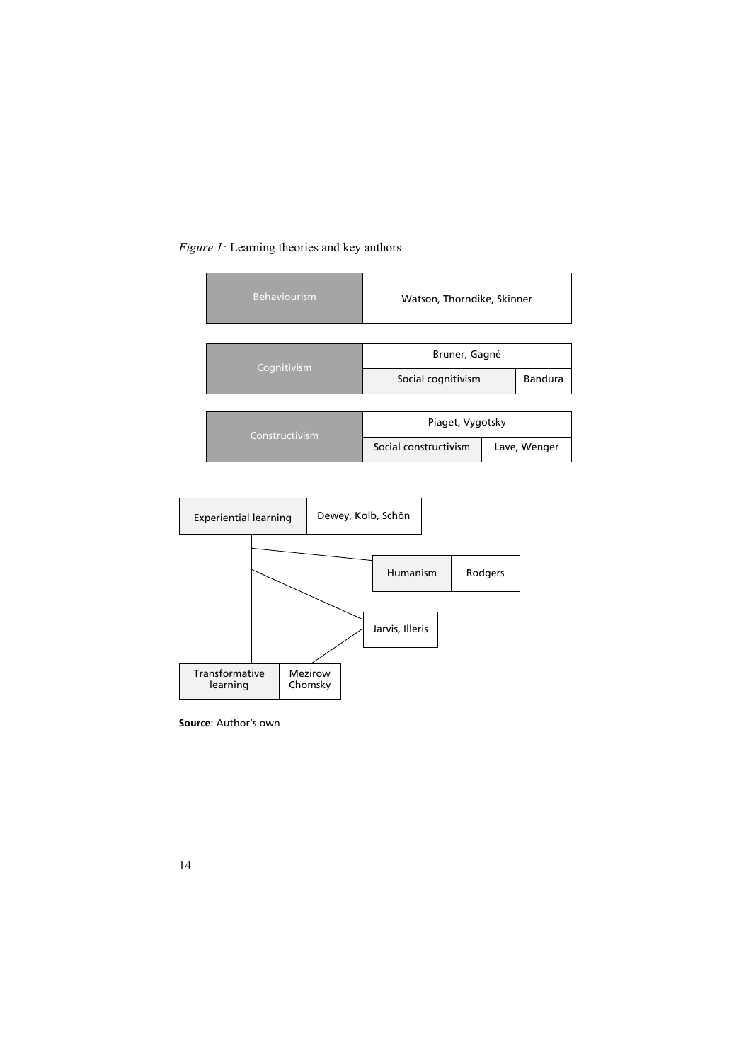### *Figure 1:* Learning theories and key authors

| <b>Behaviourism</b> | Watson, Thorndike, Skinner |  |                |
|---------------------|----------------------------|--|----------------|
|                     |                            |  |                |
|                     | Bruner, Gagné              |  |                |
| Cognitivism         | Social cognitivism         |  | <b>Bandura</b> |
|                     |                            |  |                |
| Constructivism      | Piaget, Vygotsky           |  |                |
|                     | Social constructivism      |  | Lave, Wenger   |



**Source**: Author's own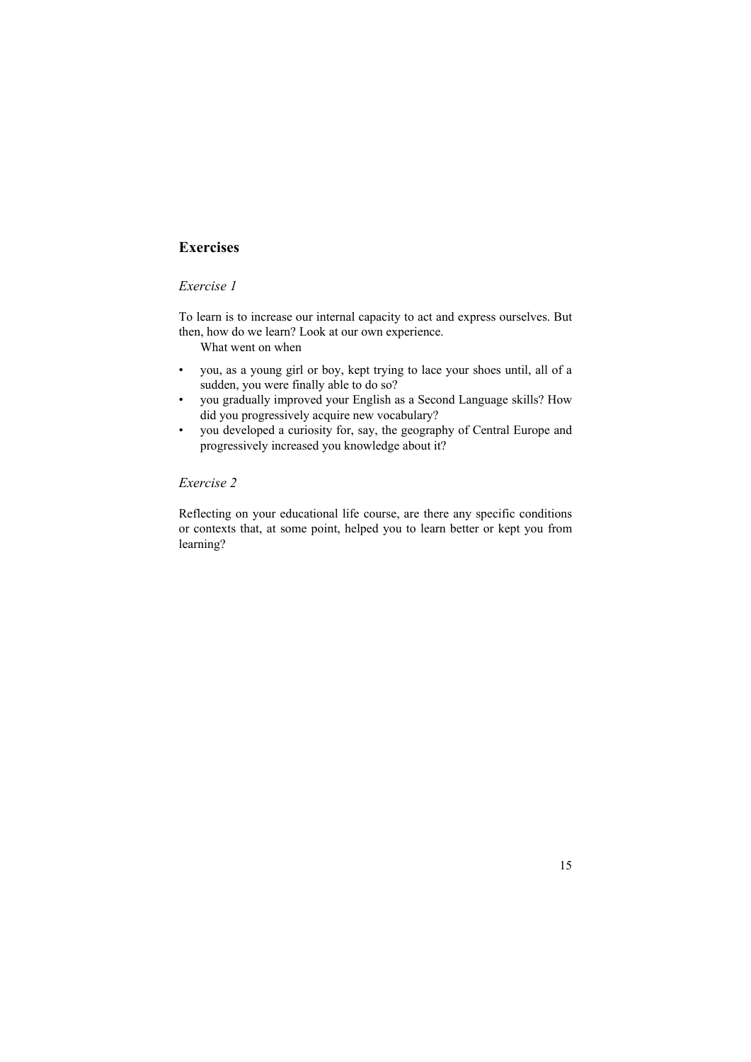# **Exercises**

# *Exercise 1*

To learn is to increase our internal capacity to act and express ourselves. But then, how do we learn? Look at our own experience.

What went on when

- you, as a young girl or boy, kept trying to lace your shoes until, all of a sudden, you were finally able to do so?
- you gradually improved your English as a Second Language skills? How did you progressively acquire new vocabulary?
- you developed a curiosity for, say, the geography of Central Europe and progressively increased you knowledge about it?

# *Exercise 2*

Reflecting on your educational life course, are there any specific conditions or contexts that, at some point, helped you to learn better or kept you from learning?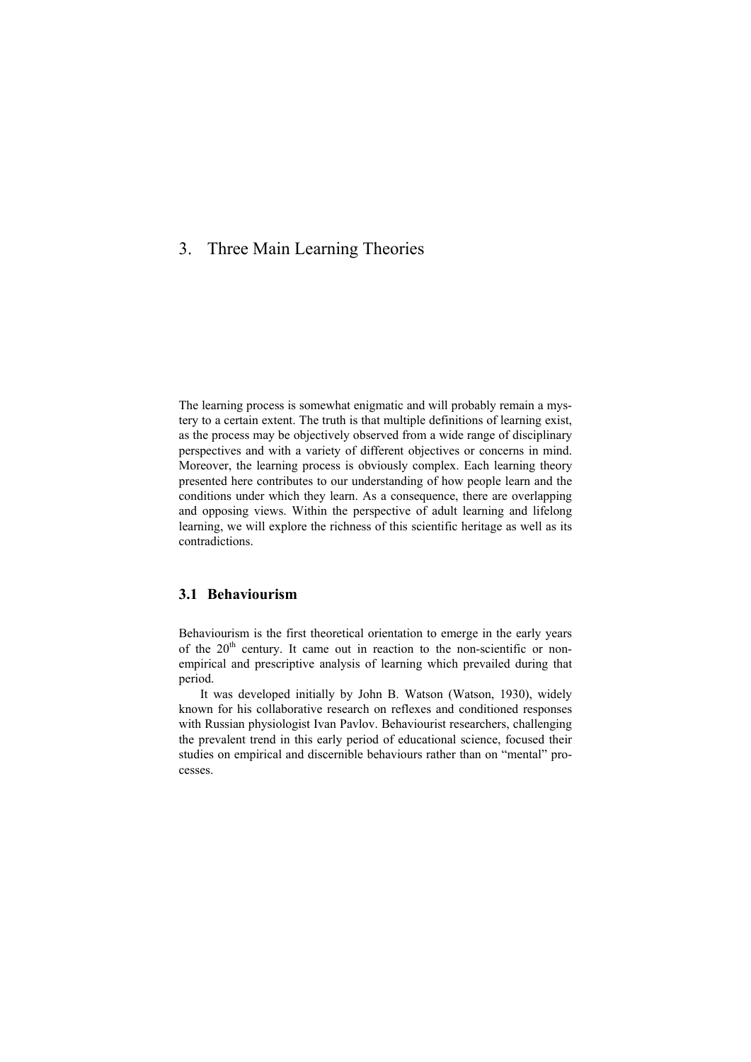# 3. Three Main Learning Theories

The learning process is somewhat enigmatic and will probably remain a mystery to a certain extent. The truth is that multiple definitions of learning exist, as the process may be objectively observed from a wide range of disciplinary perspectives and with a variety of different objectives or concerns in mind. Moreover, the learning process is obviously complex. Each learning theory presented here contributes to our understanding of how people learn and the conditions under which they learn. As a consequence, there are overlapping and opposing views. Within the perspective of adult learning and lifelong learning, we will explore the richness of this scientific heritage as well as its contradictions.

### **3.1 Behaviourism**

Behaviourism is the first theoretical orientation to emerge in the early years of the  $20<sup>th</sup>$  century. It came out in reaction to the non-scientific or nonempirical and prescriptive analysis of learning which prevailed during that period.

It was developed initially by John B. Watson (Watson, 1930), widely known for his collaborative research on reflexes and conditioned responses with Russian physiologist Ivan Pavlov. Behaviourist researchers, challenging the prevalent trend in this early period of educational science, focused their studies on empirical and discernible behaviours rather than on "mental" processes.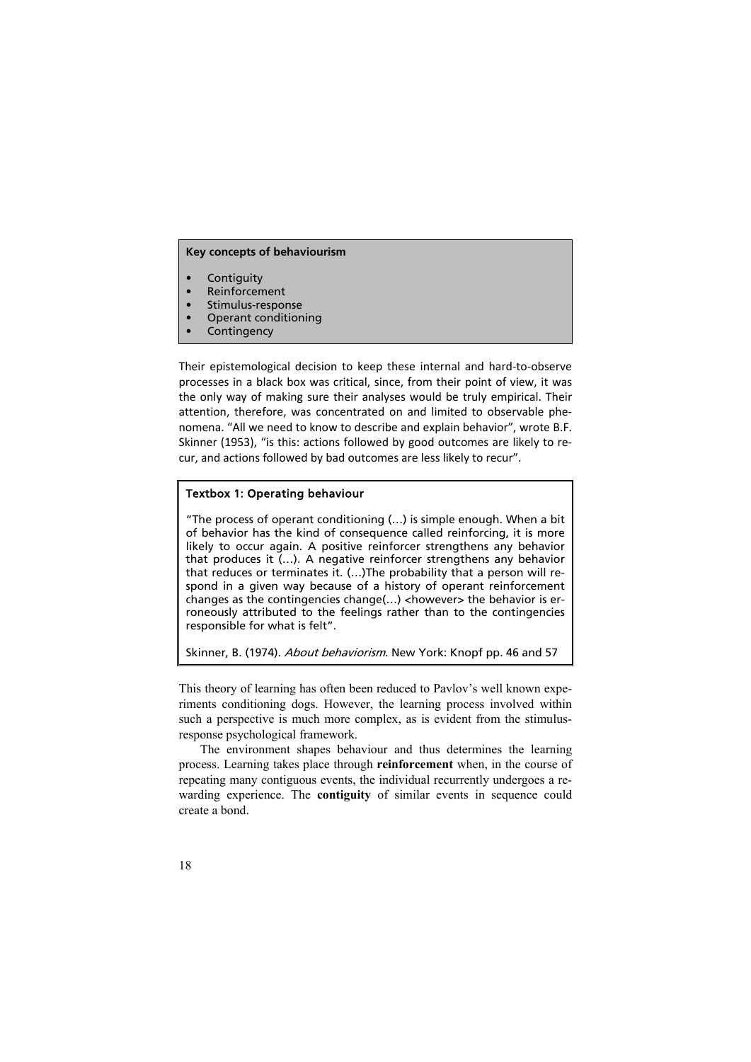#### **Key concepts of behaviourism**

- **Contiguity**
- **Reinforcement**
- Stimulus-response
- Operant conditioning
- **Contingency**

Their epistemological decision to keep these internal and hard-to-observe processes in a black box was critical, since, from their point of view, it was the only way of making sure their analyses would be truly empirical. Their attention, therefore, was concentrated on and limited to observable phenomena. "All we need to know to describe and explain behavior", wrote B.F. Skinner (1953), "is this: actions followed by good outcomes are likely to recur, and actions followed by bad outcomes are less likely to recur".

#### Textbox 1: Operating behaviour

"The process of operant conditioning (…) is simple enough. When a bit of behavior has the kind of consequence called reinforcing, it is more likely to occur again. A positive reinforcer strengthens any behavior that produces it (…). A negative reinforcer strengthens any behavior that reduces or terminates it. (…)The probability that a person will respond in a given way because of a history of operant reinforcement changes as the contingencies change(...) <however> the behavior is erroneously attributed to the feelings rather than to the contingencies responsible for what is felt".

Skinner, B. (1974). About behaviorism. New York: Knopf pp. 46 and 57

This theory of learning has often been reduced to Pavlov's well known experiments conditioning dogs. However, the learning process involved within such a perspective is much more complex, as is evident from the stimulusresponse psychological framework.

The environment shapes behaviour and thus determines the learning process. Learning takes place through **reinforcement** when, in the course of repeating many contiguous events, the individual recurrently undergoes a rewarding experience. The **contiguity** of similar events in sequence could create a bond.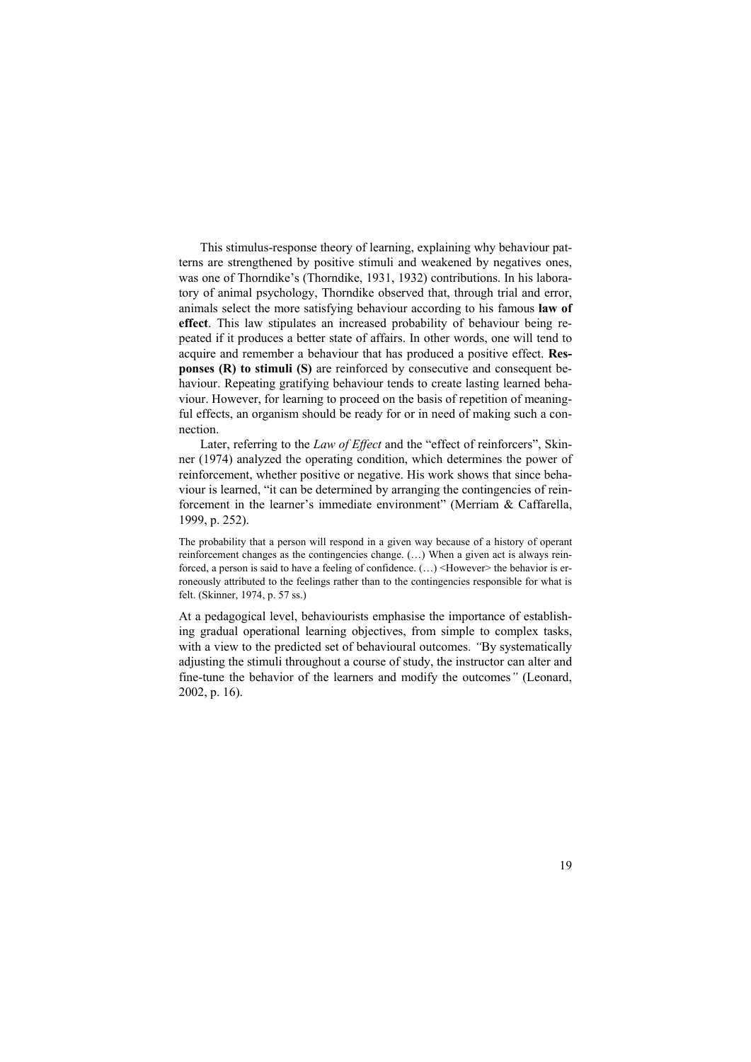This stimulus-response theory of learning, explaining why behaviour patterns are strengthened by positive stimuli and weakened by negatives ones, was one of Thorndike's (Thorndike, 1931, 1932) contributions. In his laboratory of animal psychology, Thorndike observed that, through trial and error, animals select the more satisfying behaviour according to his famous **law of effect**. This law stipulates an increased probability of behaviour being repeated if it produces a better state of affairs. In other words, one will tend to acquire and remember a behaviour that has produced a positive effect. **Responses (R) to stimuli (S)** are reinforced by consecutive and consequent behaviour. Repeating gratifying behaviour tends to create lasting learned behaviour. However, for learning to proceed on the basis of repetition of meaningful effects, an organism should be ready for or in need of making such a connection.

Later, referring to the *Law of Effect* and the "effect of reinforcers", Skinner (1974) analyzed the operating condition, which determines the power of reinforcement, whether positive or negative. His work shows that since behaviour is learned, "it can be determined by arranging the contingencies of reinforcement in the learner's immediate environment" (Merriam & Caffarella, 1999, p. 252).

The probability that a person will respond in a given way because of a history of operant reinforcement changes as the contingencies change. (...) When a given act is always reinforced, a person is said to have a feeling of confidence. (...) <However> the behavior is erroneously attributed to the feelings rather than to the contingencies responsible for what is felt. (Skinner, 1974, p. 57 ss.)

At a pedagogical level, behaviourists emphasise the importance of establishing gradual operational learning objectives, from simple to complex tasks, with a view to the predicted set of behavioural outcomes. *"By systematically* adjusting the stimuli throughout a course of study, the instructor can alter and fine-tune the behavior of the learners and modify the outcomes*"* (Leonard, 2002, p. 16).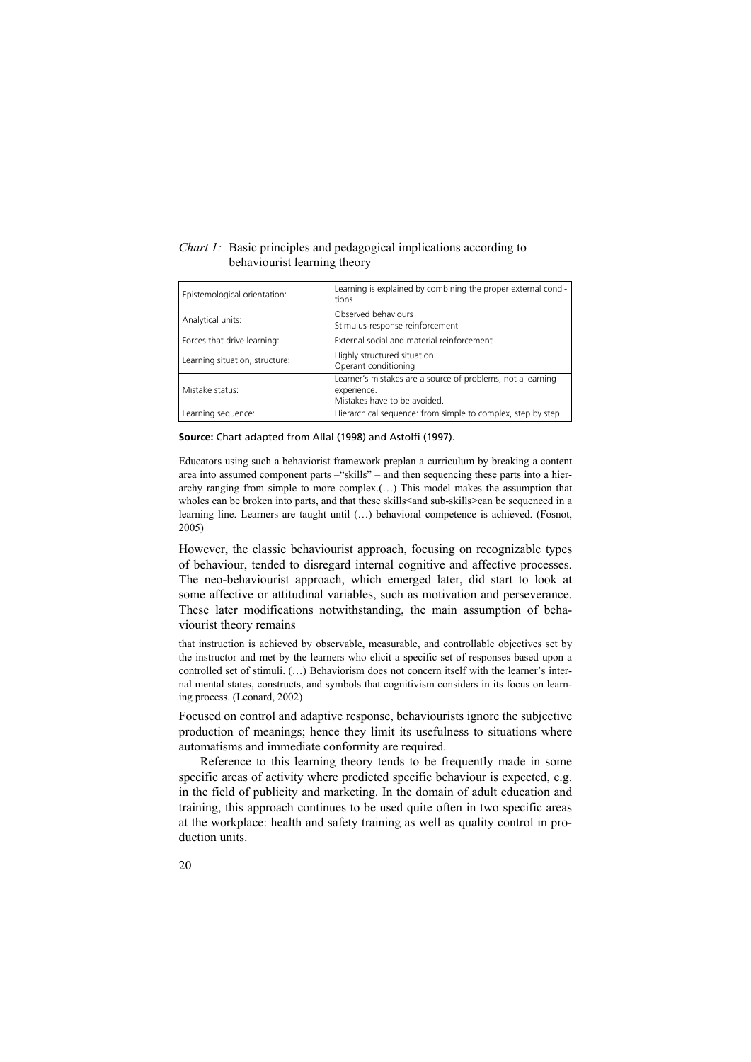| $\alpha$                       |                                                                                                            |  |  |
|--------------------------------|------------------------------------------------------------------------------------------------------------|--|--|
| Epistemological orientation:   | Learning is explained by combining the proper external condi-<br>tions                                     |  |  |
| Analytical units:              | Observed behaviours<br>Stimulus-response reinforcement                                                     |  |  |
| Forces that drive learning:    | External social and material reinforcement                                                                 |  |  |
| Learning situation, structure: | Highly structured situation<br>Operant conditioning                                                        |  |  |
| Mistake status:                | Learner's mistakes are a source of problems, not a learning<br>experience.<br>Mistakes have to be avoided. |  |  |

Learning sequence:  $\blacksquare$  Hierarchical sequence: from simple to complex, step by step.

#### *Chart 1:* Basic principles and pedagogical implications according to behaviourist learning theory

**Source:** Chart adapted from Allal (1998) and Astolfi (1997).

Educators using such a behaviorist framework preplan a curriculum by breaking a content area into assumed component parts –"skills" – and then sequencing these parts into a hierarchy ranging from simple to more complex.(…) This model makes the assumption that wholes can be broken into parts, and that these skills<and sub-skills>can be sequenced in a learning line. Learners are taught until (…) behavioral competence is achieved. (Fosnot, 2005)

However, the classic behaviourist approach, focusing on recognizable types of behaviour, tended to disregard internal cognitive and affective processes. The neo-behaviourist approach, which emerged later, did start to look at some affective or attitudinal variables, such as motivation and perseverance. These later modifications notwithstanding, the main assumption of behaviourist theory remains

that instruction is achieved by observable, measurable, and controllable objectives set by the instructor and met by the learners who elicit a specific set of responses based upon a controlled set of stimuli. (…) Behaviorism does not concern itself with the learner's internal mental states, constructs, and symbols that cognitivism considers in its focus on learning process. (Leonard, 2002)

Focused on control and adaptive response, behaviourists ignore the subjective production of meanings; hence they limit its usefulness to situations where automatisms and immediate conformity are required.

Reference to this learning theory tends to be frequently made in some specific areas of activity where predicted specific behaviour is expected, e.g. in the field of publicity and marketing. In the domain of adult education and training, this approach continues to be used quite often in two specific areas at the workplace: health and safety training as well as quality control in production units.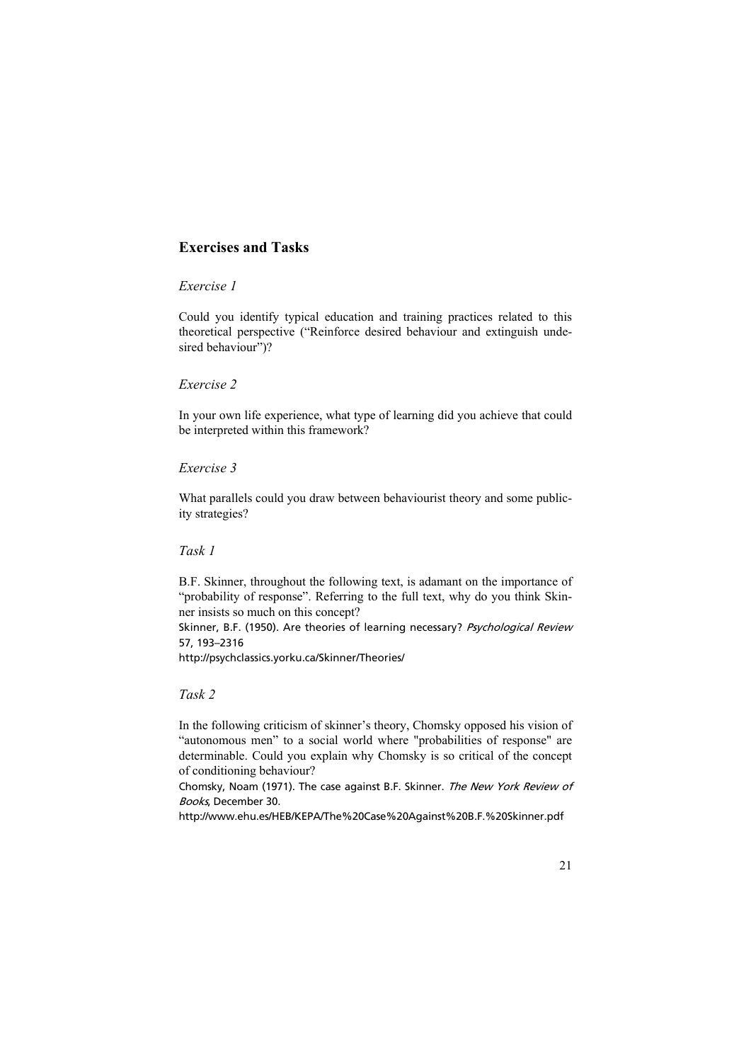# **Exercises and Tasks**

# *Exercise 1*

Could you identify typical education and training practices related to this theoretical perspective ("Reinforce desired behaviour and extinguish undesired behaviour")?

# *Exercise 2*

In your own life experience, what type of learning did you achieve that could be interpreted within this framework?

### *Exercise 3*

What parallels could you draw between behaviourist theory and some publicity strategies?

### *Task 1*

B.F. Skinner, throughout the following text, is adamant on the importance of "probability of response". Referring to the full text, why do you think Skinner insists so much on this concept?

Skinner, B.F. (1950). Are theories of learning necessary? Psychological Review 57, 193–2316

http://psychclassics.yorku.ca/Skinner/Theories/

### *Task 2*

In the following criticism of skinner's theory, Chomsky opposed his vision of "autonomous men" to a social world where "probabilities of response" are determinable. Could you explain why Chomsky is so critical of the concept of conditioning behaviour?

Chomsky, Noam (1971). The case against B.F. Skinner. The New York Review of Books, December 30.

http://www.ehu.es/HEB/KEPA/The%20Case%20Against%20B.F.%20Skinner.pdf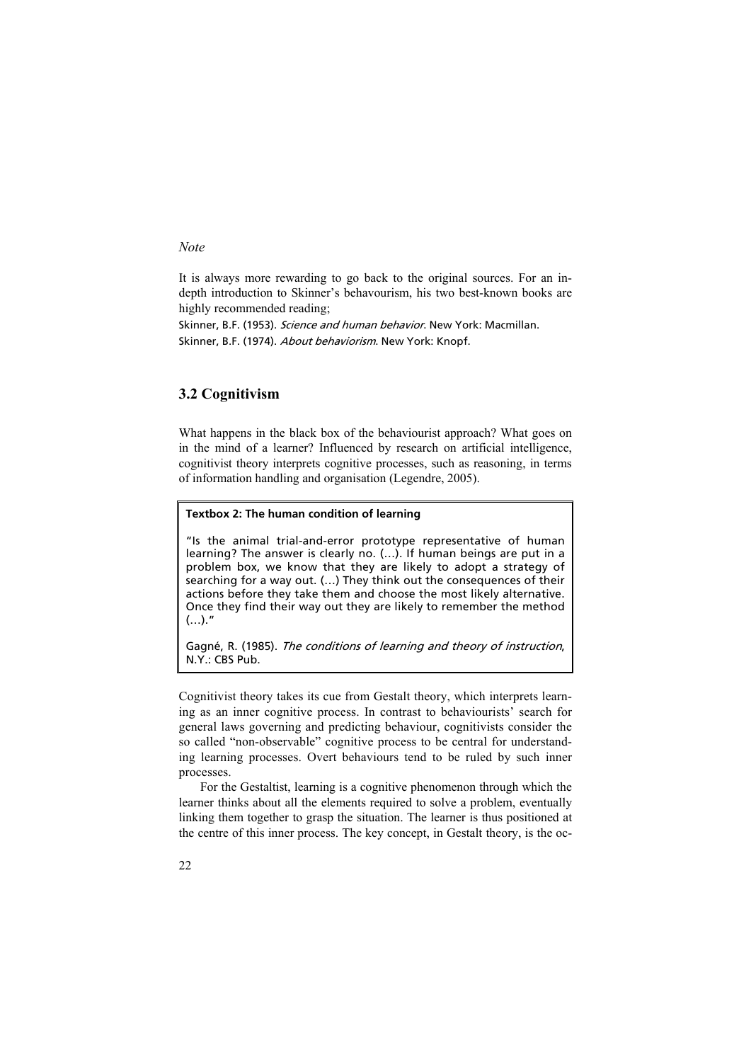#### *Note*

It is always more rewarding to go back to the original sources. For an indepth introduction to Skinner's behavourism, his two best-known books are highly recommended reading;

Skinner, B.F. (1953). Science and human behavior. New York: Macmillan. Skinner, B.F. (1974). *About behaviorism*. New York: Knopf.

# **3.2 Cognitivism**

What happens in the black box of the behaviourist approach? What goes on in the mind of a learner? Influenced by research on artificial intelligence, cognitivist theory interprets cognitive processes, such as reasoning, in terms of information handling and organisation (Legendre, 2005).

### **Textbox 2: The human condition of learning**

"Is the animal trial-and-error prototype representative of human learning? The answer is clearly no. (…). If human beings are put in a problem box, we know that they are likely to adopt a strategy of searching for a way out. (…) They think out the consequences of their actions before they take them and choose the most likely alternative. Once they find their way out they are likely to remember the method  $(...).$ "

Gagné, R. (1985). The conditions of learning and theory of instruction, N.Y.: CBS Pub.

Cognitivist theory takes its cue from Gestalt theory, which interprets learning as an inner cognitive process. In contrast to behaviourists' search for general laws governing and predicting behaviour, cognitivists consider the so called "non-observable" cognitive process to be central for understanding learning processes. Overt behaviours tend to be ruled by such inner processes.

For the Gestaltist, learning is a cognitive phenomenon through which the learner thinks about all the elements required to solve a problem, eventually linking them together to grasp the situation. The learner is thus positioned at the centre of this inner process. The key concept, in Gestalt theory, is the oc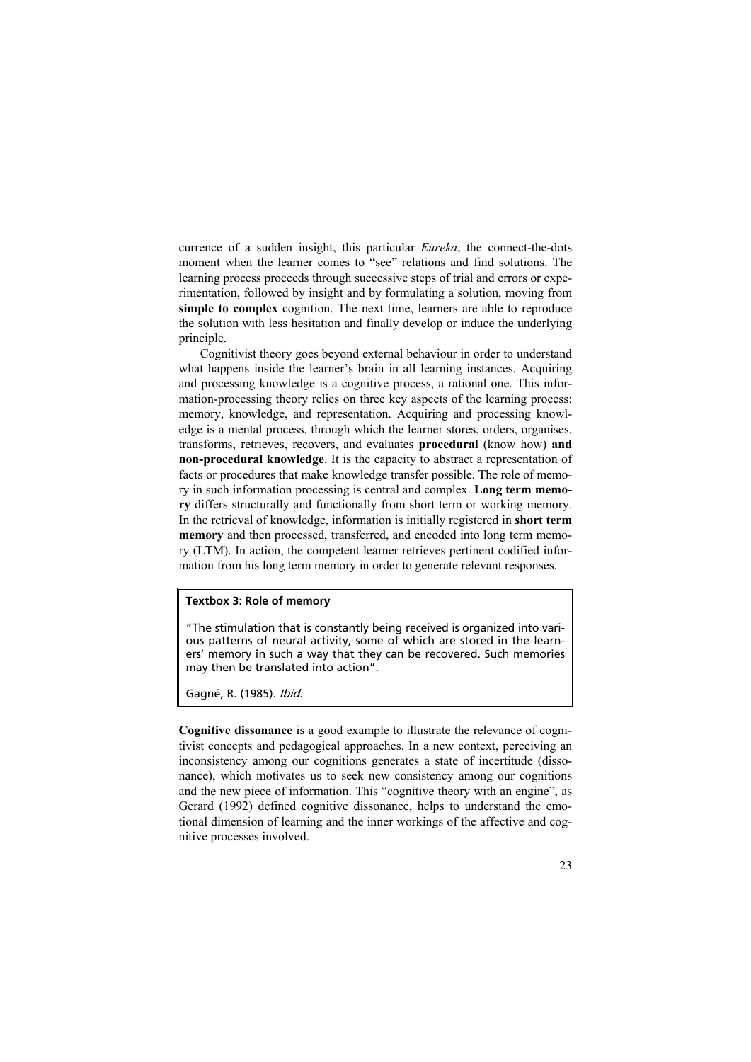currence of a sudden insight, this particular *Eureka*, the connect-the-dots moment when the learner comes to "see" relations and find solutions. The learning process proceeds through successive steps of trial and errors or experimentation, followed by insight and by formulating a solution, moving from **simple to complex** cognition. The next time, learners are able to reproduce the solution with less hesitation and finally develop or induce the underlying principle.

Cognitivist theory goes beyond external behaviour in order to understand what happens inside the learner's brain in all learning instances. Acquiring and processing knowledge is a cognitive process, a rational one. This information-processing theory relies on three key aspects of the learning process: memory, knowledge, and representation. Acquiring and processing knowledge is a mental process, through which the learner stores, orders, organises, transforms, retrieves, recovers, and evaluates **procedural** (know how) **and non-procedural knowledge**. It is the capacity to abstract a representation of facts or procedures that make knowledge transfer possible. The role of memory in such information processing is central and complex. **Long term memory** differs structurally and functionally from short term or working memory. In the retrieval of knowledge, information is initially registered in **short term memory** and then processed, transferred, and encoded into long term memory (LTM). In action, the competent learner retrieves pertinent codified information from his long term memory in order to generate relevant responses.

#### **Textbox 3: Role of memory**

"The stimulation that is constantly being received is organized into various patterns of neural activity, some of which are stored in the learners' memory in such a way that they can be recovered. Such memories may then be translated into action".

Gagné, R. (1985). Ibid.

**Cognitive dissonance** is a good example to illustrate the relevance of cognitivist concepts and pedagogical approaches. In a new context, perceiving an inconsistency among our cognitions generates a state of incertitude (dissonance), which motivates us to seek new consistency among our cognitions and the new piece of information. This "cognitive theory with an engine", as Gerard (1992) defined cognitive dissonance, helps to understand the emotional dimension of learning and the inner workings of the affective and cognitive processes involved.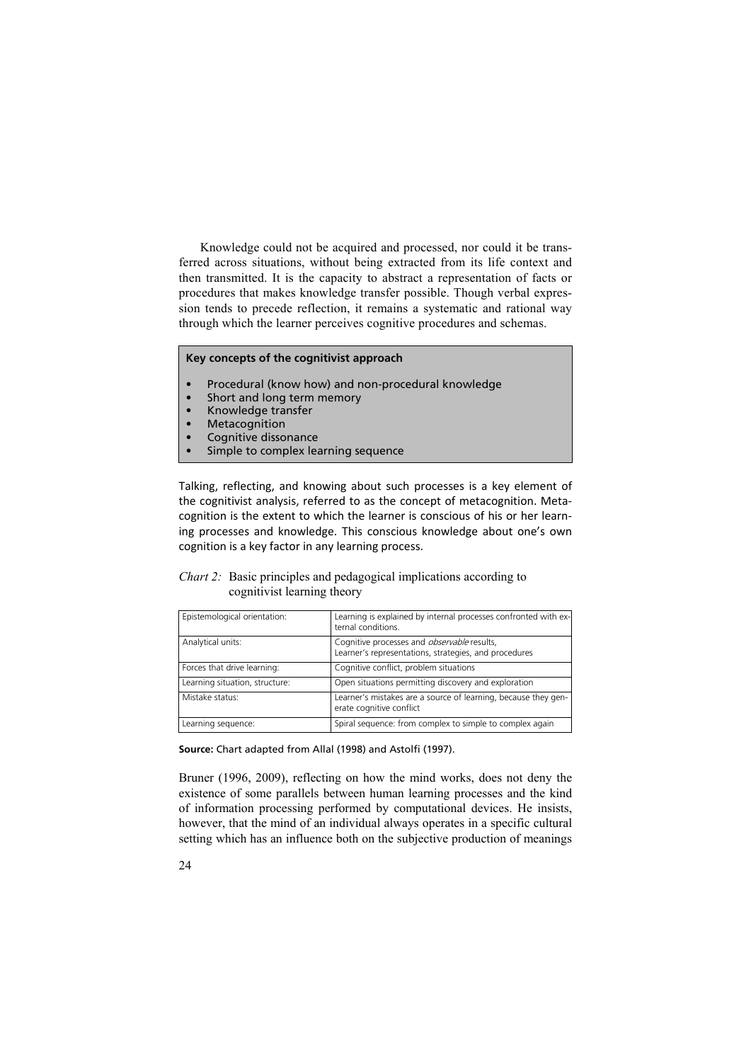Knowledge could not be acquired and processed, nor could it be transferred across situations, without being extracted from its life context and then transmitted. It is the capacity to abstract a representation of facts or procedures that makes knowledge transfer possible. Though verbal expression tends to precede reflection, it remains a systematic and rational way through which the learner perceives cognitive procedures and schemas.

#### **Key concepts of the cognitivist approach**

- Procedural (know how) and non-procedural knowledge
- Short and long term memory
- Knowledge transfer
- **Metacognition**
- Cognitive dissonance
- Simple to complex learning sequence

Talking, reflecting, and knowing about such processes is a key element of the cognitivist analysis, referred to as the concept of metacognition. Metacognition is the extent to which the learner is conscious of his or her learning processes and knowledge. This conscious knowledge about one's own cognition is a key factor in any learning process.

| <i>Chart 2:</i> Basic principles and pedagogical implications according to |
|----------------------------------------------------------------------------|
| cognitivist learning theory                                                |

| Epistemological orientation:   | Learning is explained by internal processes confronted with ex-<br>ternal conditions.                       |
|--------------------------------|-------------------------------------------------------------------------------------------------------------|
| Analytical units:              | Cognitive processes and <i>observable</i> results,<br>Learner's representations, strategies, and procedures |
| Forces that drive learning:    | Cognitive conflict, problem situations                                                                      |
| Learning situation, structure: | Open situations permitting discovery and exploration                                                        |
| Mistake status:                | Learner's mistakes are a source of learning, because they gen-<br>erate cognitive conflict                  |
| Learning sequence:             | Spiral sequence: from complex to simple to complex again                                                    |

**Source:** Chart adapted from Allal (1998) and Astolfi (1997).

Bruner (1996, 2009), reflecting on how the mind works, does not deny the existence of some parallels between human learning processes and the kind of information processing performed by computational devices. He insists, however, that the mind of an individual always operates in a specific cultural setting which has an influence both on the subjective production of meanings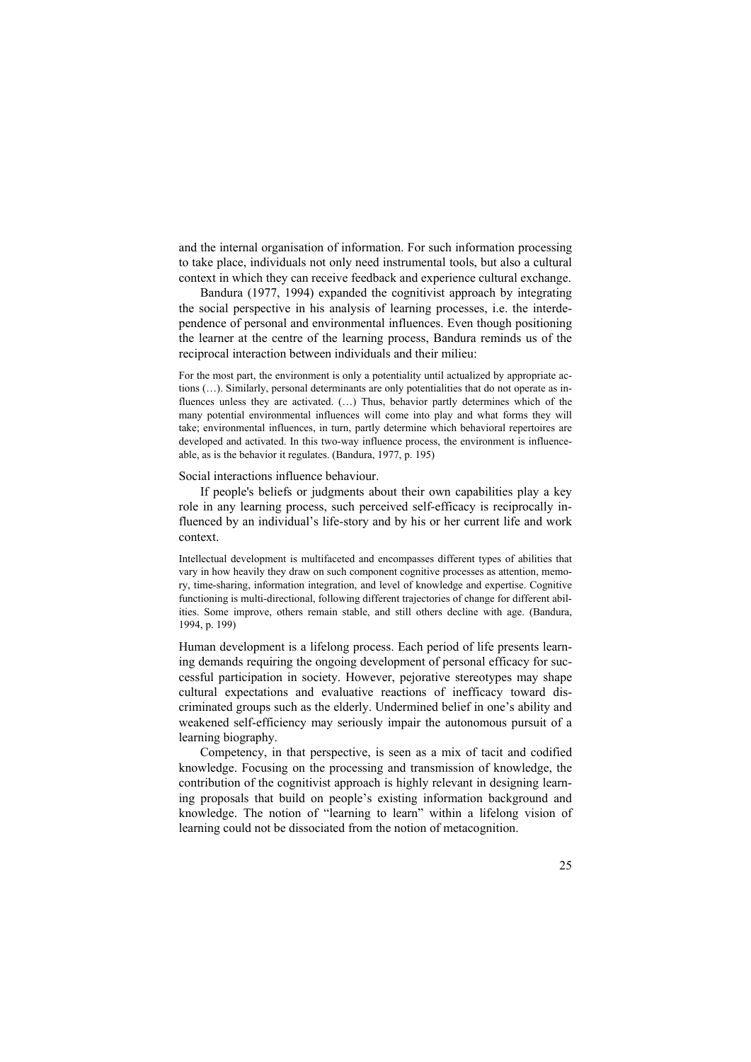and the internal organisation of information. For such information processing to take place, individuals not only need instrumental tools, but also a cultural context in which they can receive feedback and experience cultural exchange.

Bandura (1977, 1994) expanded the cognitivist approach by integrating the social perspective in his analysis of learning processes, i.e. the interdependence of personal and environmental influences. Even though positioning the learner at the centre of the learning process, Bandura reminds us of the reciprocal interaction between individuals and their milieu:

For the most part, the environment is only a potentiality until actualized by appropriate actions (…). Similarly, personal determinants are only potentialities that do not operate as influences unless they are activated. (…) Thus, behavior partly determines which of the many potential environmental influences will come into play and what forms they will take; environmental influences, in turn, partly determine which behavioral repertoires are developed and activated. In this two-way influence process, the environment is influenceable, as is the behavior it regulates. (Bandura, 1977, p. 195)

Social interactions influence behaviour.

If people's beliefs or judgments about their own capabilities play a key role in any learning process, such perceived self-efficacy is reciprocally influenced by an individual's life-story and by his or her current life and work context.

Intellectual development is multifaceted and encompasses different types of abilities that vary in how heavily they draw on such component cognitive processes as attention, memory, time-sharing, information integration, and level of knowledge and expertise. Cognitive functioning is multi-directional, following different trajectories of change for different abilities. Some improve, others remain stable, and still others decline with age. (Bandura, 1994, p. 199)

Human development is a lifelong process. Each period of life presents learning demands requiring the ongoing development of personal efficacy for successful participation in society. However, pejorative stereotypes may shape cultural expectations and evaluative reactions of inefficacy toward discriminated groups such as the elderly. Undermined belief in one's ability and weakened self-efficiency may seriously impair the autonomous pursuit of a learning biography.

Competency, in that perspective, is seen as a mix of tacit and codified knowledge. Focusing on the processing and transmission of knowledge, the contribution of the cognitivist approach is highly relevant in designing learning proposals that build on people's existing information background and knowledge. The notion of "learning to learn" within a lifelong vision of learning could not be dissociated from the notion of metacognition.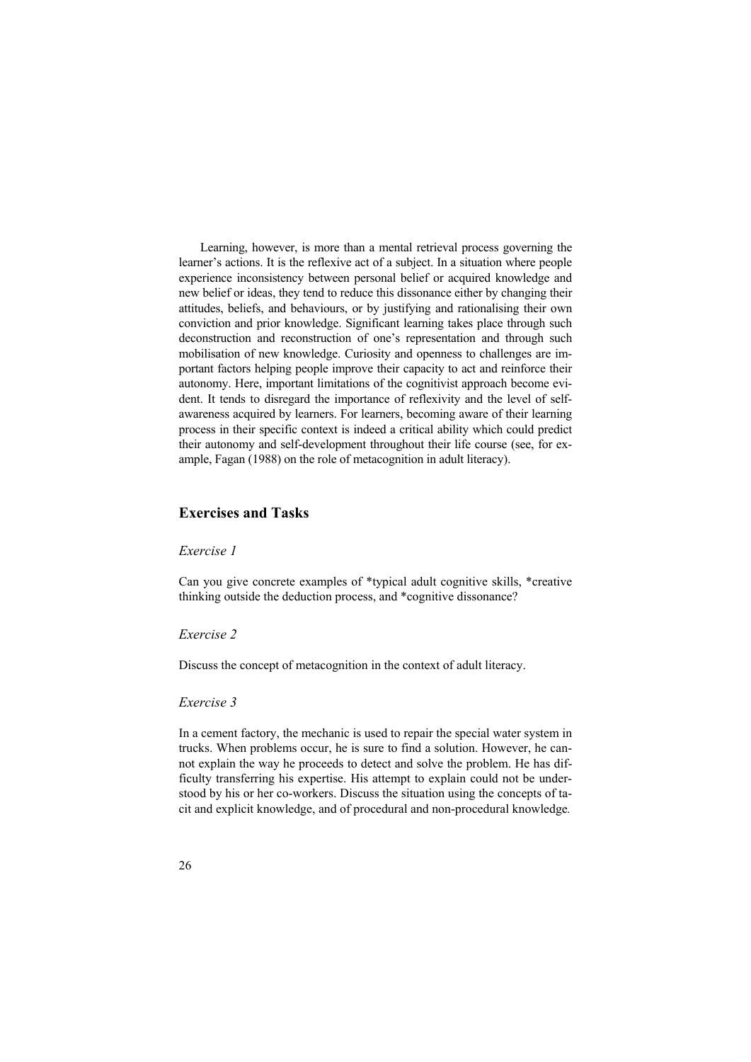Learning, however, is more than a mental retrieval process governing the learner's actions. It is the reflexive act of a subject. In a situation where people experience inconsistency between personal belief or acquired knowledge and new belief or ideas, they tend to reduce this dissonance either by changing their attitudes, beliefs, and behaviours, or by justifying and rationalising their own conviction and prior knowledge. Significant learning takes place through such deconstruction and reconstruction of one's representation and through such mobilisation of new knowledge. Curiosity and openness to challenges are important factors helping people improve their capacity to act and reinforce their autonomy. Here, important limitations of the cognitivist approach become evident. It tends to disregard the importance of reflexivity and the level of selfawareness acquired by learners. For learners, becoming aware of their learning process in their specific context is indeed a critical ability which could predict their autonomy and self-development throughout their life course (see, for example, Fagan (1988) on the role of metacognition in adult literacy).

### **Exercises and Tasks**

#### *Exercise 1*

Can you give concrete examples of \*typical adult cognitive skills, \*creative thinking outside the deduction process, and \*cognitive dissonance?

#### *Exercise 2*

Discuss the concept of metacognition in the context of adult literacy.

#### *Exercise 3*

In a cement factory, the mechanic is used to repair the special water system in trucks. When problems occur, he is sure to find a solution. However, he cannot explain the way he proceeds to detect and solve the problem. He has difficulty transferring his expertise. His attempt to explain could not be understood by his or her co-workers. Discuss the situation using the concepts of tacit and explicit knowledge, and of procedural and non-procedural knowledge*.*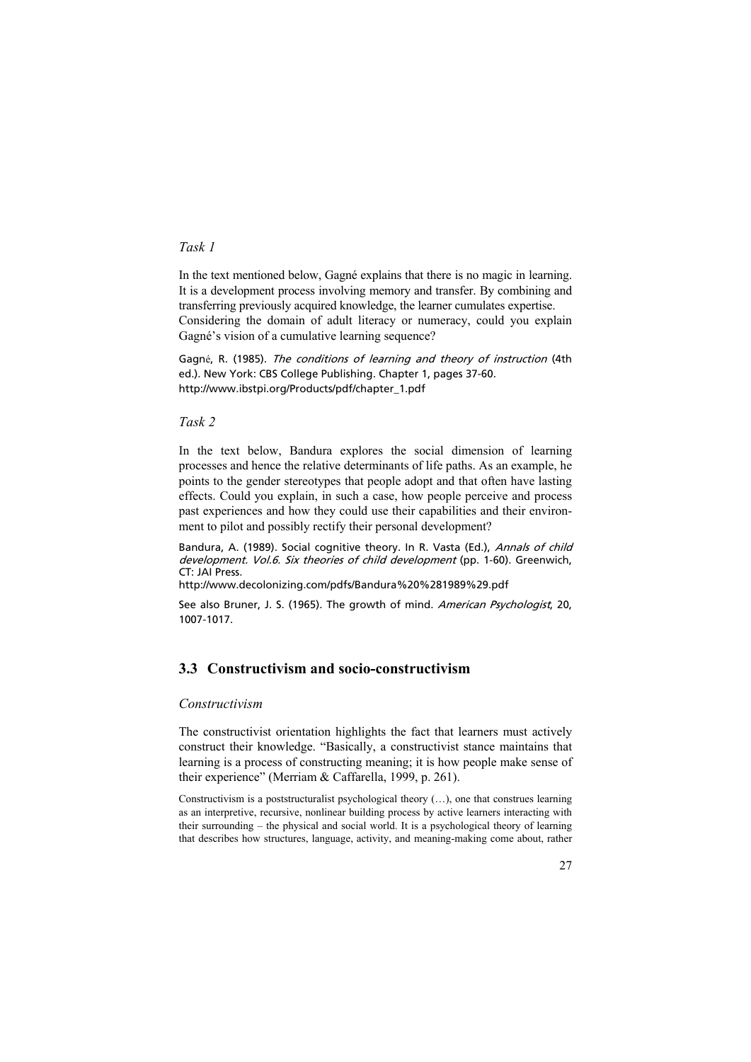# *Task 1*

In the text mentioned below, Gagné explains that there is no magic in learning. It is a development process involving memory and transfer. By combining and transferring previously acquired knowledge, the learner cumulates expertise. Considering the domain of adult literacy or numeracy, could you explain Gagné's vision of a cumulative learning sequence?

Gagné, R. (1985). The conditions of learning and theory of instruction (4th ed.). New York: CBS College Publishing. Chapter 1, pages 37-60. http://www.ibstpi.org/Products/pdf/chapter\_1.pdf

*Task 2* 

In the text below, Bandura explores the social dimension of learning processes and hence the relative determinants of life paths. As an example, he points to the gender stereotypes that people adopt and that often have lasting effects. Could you explain, in such a case, how people perceive and process past experiences and how they could use their capabilities and their environment to pilot and possibly rectify their personal development?

Bandura, A. (1989). Social cognitive theory. In R. Vasta (Ed.), Annals of child development. Vol.6. Six theories of child development (pp. 1-60). Greenwich, CT: JAI Press.

http://www.decolonizing.com/pdfs/Bandura%20%281989%29.pdf

See also Bruner, J. S. (1965). The growth of mind. American Psychologist, 20, 1007-1017.

# **3.3 Constructivism and socio-constructivism**

# *Constructivism*

The constructivist orientation highlights the fact that learners must actively construct their knowledge. "Basically, a constructivist stance maintains that learning is a process of constructing meaning; it is how people make sense of their experience" (Merriam & Caffarella, 1999, p. 261).

Constructivism is a poststructuralist psychological theory  $(\ldots)$ , one that construes learning as an interpretive, recursive, nonlinear building process by active learners interacting with their surrounding – the physical and social world. It is a psychological theory of learning that describes how structures, language, activity, and meaning-making come about, rather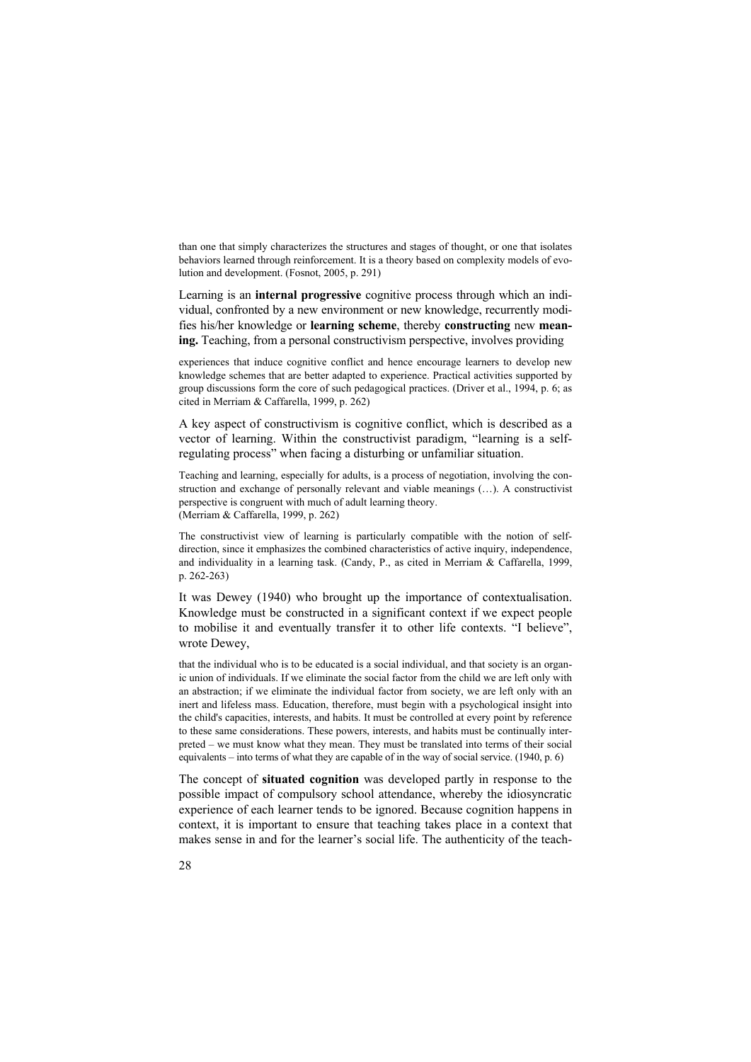than one that simply characterizes the structures and stages of thought, or one that isolates behaviors learned through reinforcement. It is a theory based on complexity models of evolution and development. (Fosnot, 2005, p. 291)

Learning is an **internal progressive** cognitive process through which an individual, confronted by a new environment or new knowledge, recurrently modifies his/her knowledge or **learning scheme**, thereby **constructing** new **meaning.** Teaching, from a personal constructivism perspective, involves providing

experiences that induce cognitive conflict and hence encourage learners to develop new knowledge schemes that are better adapted to experience. Practical activities supported by group discussions form the core of such pedagogical practices. (Driver et al., 1994, p. 6; as cited in Merriam & Caffarella, 1999, p. 262)

A key aspect of constructivism is cognitive conflict, which is described as a vector of learning. Within the constructivist paradigm, "learning is a selfregulating process" when facing a disturbing or unfamiliar situation.

Teaching and learning, especially for adults, is a process of negotiation, involving the construction and exchange of personally relevant and viable meanings (…). A constructivist perspective is congruent with much of adult learning theory. (Merriam & Caffarella, 1999, p. 262)

The constructivist view of learning is particularly compatible with the notion of selfdirection, since it emphasizes the combined characteristics of active inquiry, independence, and individuality in a learning task. (Candy, P., as cited in Merriam & Caffarella, 1999, p. 262-263)

It was Dewey (1940) who brought up the importance of contextualisation. Knowledge must be constructed in a significant context if we expect people to mobilise it and eventually transfer it to other life contexts. "I believe", wrote Dewey,

that the individual who is to be educated is a social individual, and that society is an organic union of individuals. If we eliminate the social factor from the child we are left only with an abstraction; if we eliminate the individual factor from society, we are left only with an inert and lifeless mass. Education, therefore, must begin with a psychological insight into the child's capacities, interests, and habits. It must be controlled at every point by reference to these same considerations. These powers, interests, and habits must be continually interpreted – we must know what they mean. They must be translated into terms of their social equivalents – into terms of what they are capable of in the way of social service. (1940, p. 6)

The concept of **situated cognition** was developed partly in response to the possible impact of compulsory school attendance, whereby the idiosyncratic experience of each learner tends to be ignored. Because cognition happens in context, it is important to ensure that teaching takes place in a context that makes sense in and for the learner's social life. The authenticity of the teach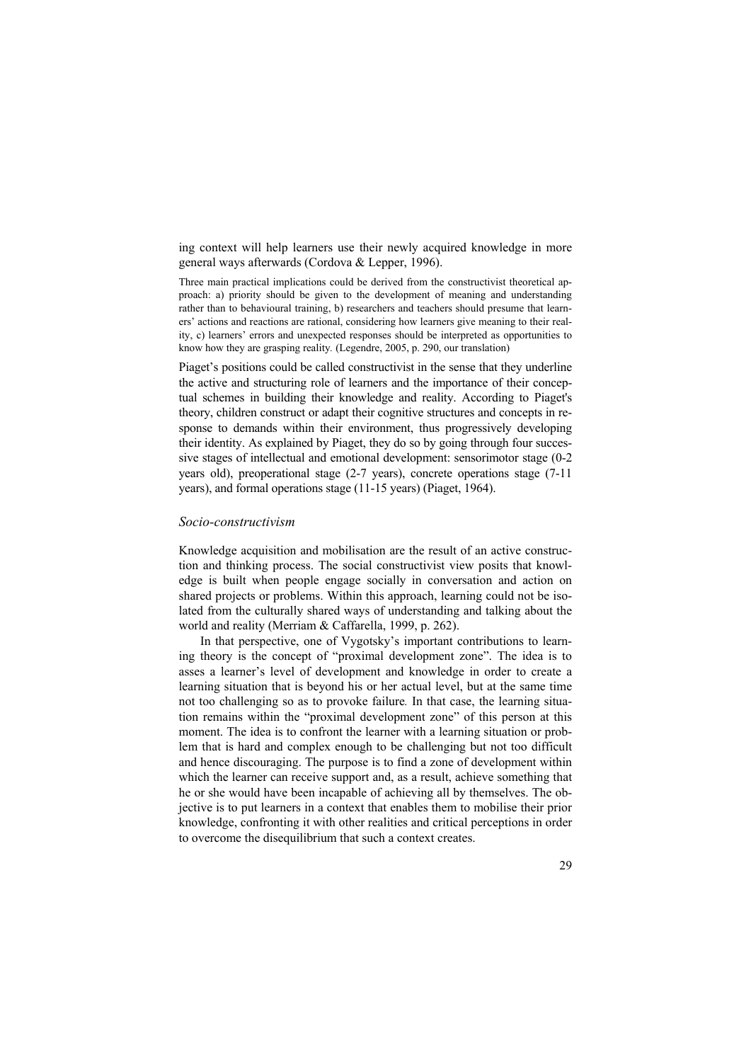ing context will help learners use their newly acquired knowledge in more general ways afterwards (Cordova & Lepper, 1996).

Three main practical implications could be derived from the constructivist theoretical approach: a) priority should be given to the development of meaning and understanding rather than to behavioural training, b) researchers and teachers should presume that learners' actions and reactions are rational, considering how learners give meaning to their reality, c) learners' errors and unexpected responses should be interpreted as opportunities to know how they are grasping reality*.* (Legendre, 2005, p. 290, our translation)

Piaget's positions could be called constructivist in the sense that they underline the active and structuring role of learners and the importance of their conceptual schemes in building their knowledge and reality. According to Piaget's theory, children construct or adapt their cognitive structures and concepts in response to demands within their environment, thus progressively developing their identity. As explained by Piaget, they do so by going through four successive stages of intellectual and emotional development: sensorimotor stage (0-2 years old), preoperational stage (2-7 years), concrete operations stage (7-11 years), and formal operations stage (11-15 years) (Piaget, 1964).

#### *Socio-constructivism*

Knowledge acquisition and mobilisation are the result of an active construction and thinking process. The social constructivist view posits that knowledge is built when people engage socially in conversation and action on shared projects or problems. Within this approach, learning could not be isolated from the culturally shared ways of understanding and talking about the world and reality (Merriam & Caffarella, 1999, p. 262).

In that perspective, one of Vygotsky's important contributions to learning theory is the concept of "proximal development zone". The idea is to asses a learner's level of development and knowledge in order to create a learning situation that is beyond his or her actual level, but at the same time not too challenging so as to provoke failure*.* In that case, the learning situation remains within the "proximal development zone" of this person at this moment. The idea is to confront the learner with a learning situation or problem that is hard and complex enough to be challenging but not too difficult and hence discouraging. The purpose is to find a zone of development within which the learner can receive support and, as a result, achieve something that he or she would have been incapable of achieving all by themselves. The objective is to put learners in a context that enables them to mobilise their prior knowledge, confronting it with other realities and critical perceptions in order to overcome the disequilibrium that such a context creates.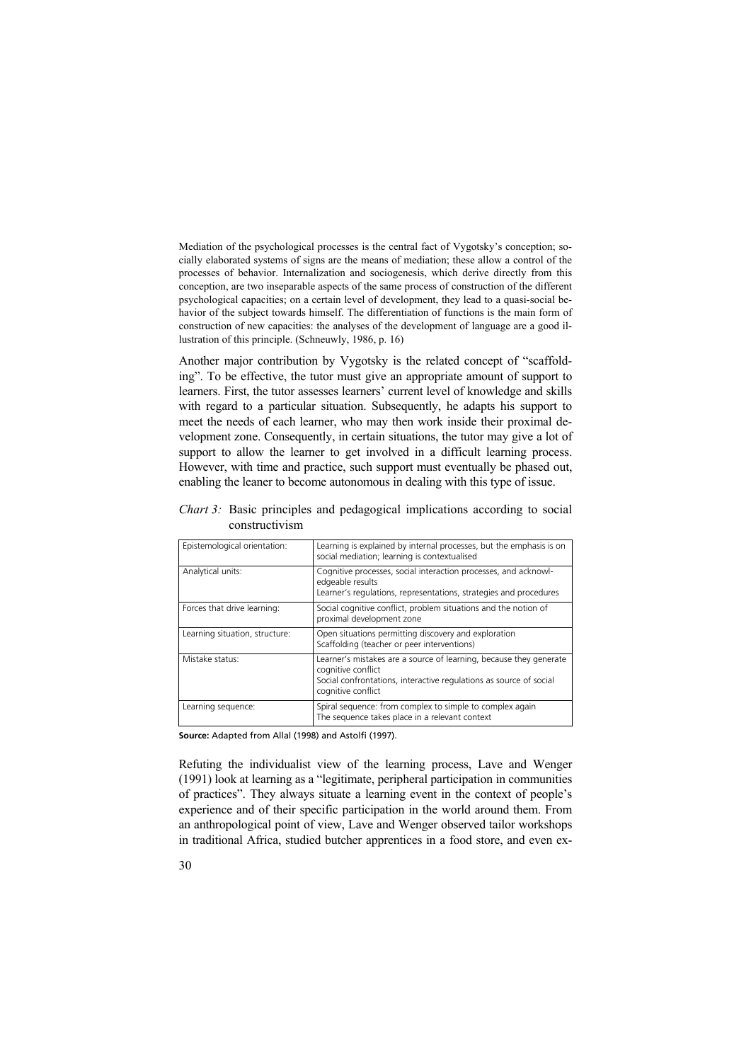Mediation of the psychological processes is the central fact of Vygotsky's conception; socially elaborated systems of signs are the means of mediation; these allow a control of the processes of behavior. Internalization and sociogenesis, which derive directly from this conception, are two inseparable aspects of the same process of construction of the different psychological capacities; on a certain level of development, they lead to a quasi-social behavior of the subject towards himself. The differentiation of functions is the main form of construction of new capacities: the analyses of the development of language are a good illustration of this principle. (Schneuwly, 1986, p. 16)

Another major contribution by Vygotsky is the related concept of "scaffolding". To be effective, the tutor must give an appropriate amount of support to learners. First, the tutor assesses learners' current level of knowledge and skills with regard to a particular situation. Subsequently, he adapts his support to meet the needs of each learner, who may then work inside their proximal development zone. Consequently, in certain situations, the tutor may give a lot of support to allow the learner to get involved in a difficult learning process. However, with time and practice, such support must eventually be phased out, enabling the leaner to become autonomous in dealing with this type of issue.

| Epistemological orientation:   | Learning is explained by internal processes, but the emphasis is on<br>social mediation; learning is contextualised                                                                  |
|--------------------------------|--------------------------------------------------------------------------------------------------------------------------------------------------------------------------------------|
| Analytical units:              | Cognitive processes, social interaction processes, and acknowl-<br>edgeable results<br>Learner's regulations, representations, strategies and procedures                             |
| Forces that drive learning:    | Social cognitive conflict, problem situations and the notion of<br>proximal development zone                                                                                         |
| Learning situation, structure: | Open situations permitting discovery and exploration<br>Scaffolding (teacher or peer interventions)                                                                                  |
| Mistake status:                | Learner's mistakes are a source of learning, because they generate<br>cognitive conflict<br>Social confrontations, interactive regulations as source of social<br>cognitive conflict |
| Learning sequence:             | Spiral sequence: from complex to simple to complex again<br>The sequence takes place in a relevant context                                                                           |

*Chart 3:* Basic principles and pedagogical implications according to social constructivism

**Source:** Adapted from Allal (1998) and Astolfi (1997).

Refuting the individualist view of the learning process, Lave and Wenger (1991) look at learning as a "legitimate, peripheral participation in communities of practices". They always situate a learning event in the context of people's experience and of their specific participation in the world around them. From an anthropological point of view, Lave and Wenger observed tailor workshops in traditional Africa, studied butcher apprentices in a food store, and even ex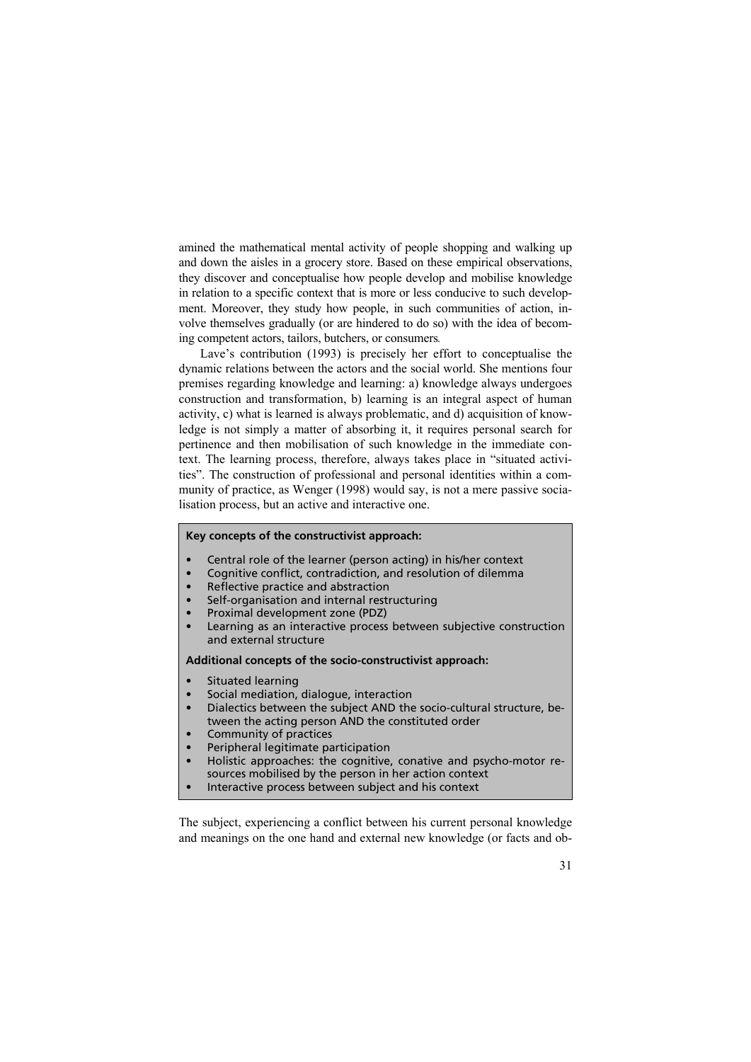amined the mathematical mental activity of people shopping and walking up and down the aisles in a grocery store. Based on these empirical observations, they discover and conceptualise how people develop and mobilise knowledge in relation to a specific context that is more or less conducive to such development. Moreover, they study how people, in such communities of action, involve themselves gradually (or are hindered to do so) with the idea of becoming competent actors, tailors, butchers, or consumers*.* 

Lave's contribution (1993) is precisely her effort to conceptualise the dynamic relations between the actors and the social world. She mentions four premises regarding knowledge and learning: a) knowledge always undergoes construction and transformation, b) learning is an integral aspect of human activity, c) what is learned is always problematic, and d) acquisition of knowledge is not simply a matter of absorbing it, it requires personal search for pertinence and then mobilisation of such knowledge in the immediate context. The learning process, therefore, always takes place in "situated activities". The construction of professional and personal identities within a community of practice, as Wenger (1998) would say, is not a mere passive socialisation process, but an active and interactive one.

#### **Key concepts of the constructivist approach:**

- Central role of the learner (person acting) in his/her context
- Cognitive conflict, contradiction, and resolution of dilemma
- Reflective practice and abstraction
- Self-organisation and internal restructuring
- Proximal development zone (PDZ)
- Learning as an interactive process between subjective construction and external structure

#### **Additional concepts of the socio-constructivist approach:**

- Situated learning
- Social mediation, dialogue, interaction
- Dialectics between the subject AND the socio-cultural structure, between the acting person AND the constituted order
- Community of practices
- Peripheral legitimate participation
- Holistic approaches: the cognitive, conative and psycho-motor resources mobilised by the person in her action context
- Interactive process between subject and his context

The subject, experiencing a conflict between his current personal knowledge and meanings on the one hand and external new knowledge (or facts and ob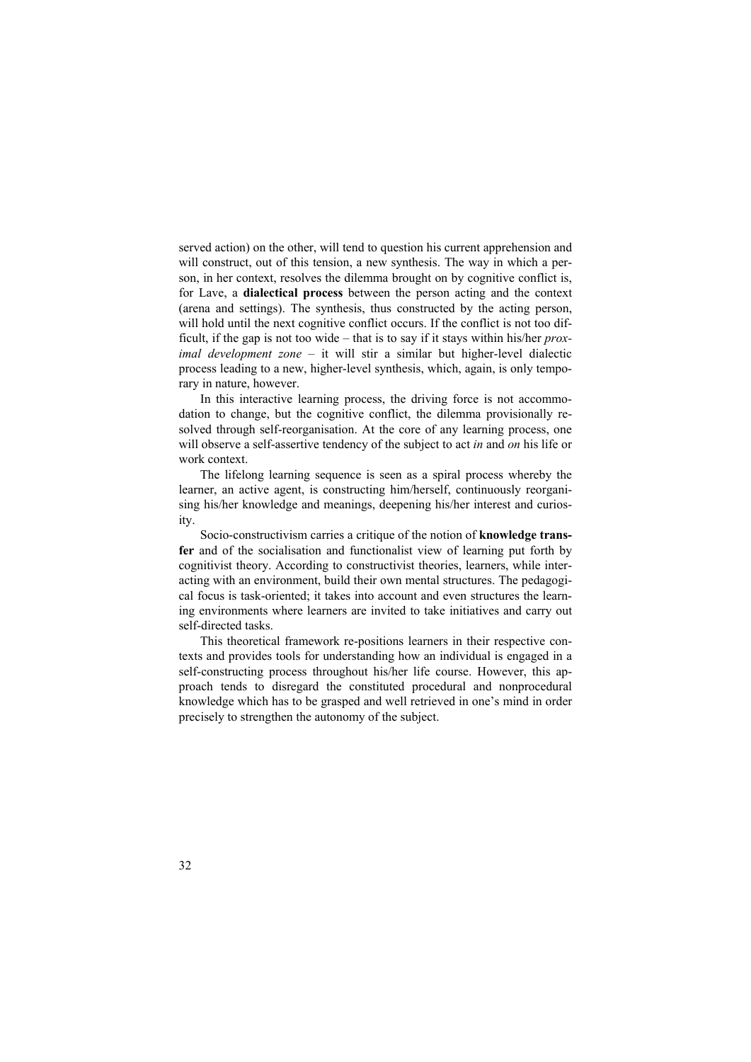served action) on the other, will tend to question his current apprehension and will construct, out of this tension, a new synthesis. The way in which a person, in her context, resolves the dilemma brought on by cognitive conflict is, for Lave, a **dialectical process** between the person acting and the context (arena and settings). The synthesis, thus constructed by the acting person, will hold until the next cognitive conflict occurs. If the conflict is not too difficult, if the gap is not too wide – that is to say if it stays within his/her *proximal development zone* – it will stir a similar but higher-level dialectic process leading to a new, higher-level synthesis, which, again, is only temporary in nature, however.

In this interactive learning process, the driving force is not accommodation to change, but the cognitive conflict, the dilemma provisionally resolved through self-reorganisation. At the core of any learning process, one will observe a self-assertive tendency of the subject to act *in* and *on* his life or work context.

The lifelong learning sequence is seen as a spiral process whereby the learner, an active agent, is constructing him/herself, continuously reorganising his/her knowledge and meanings, deepening his/her interest and curiosity.

Socio-constructivism carries a critique of the notion of **knowledge transfer** and of the socialisation and functionalist view of learning put forth by cognitivist theory. According to constructivist theories, learners, while interacting with an environment, build their own mental structures. The pedagogical focus is task-oriented; it takes into account and even structures the learning environments where learners are invited to take initiatives and carry out self-directed tasks.

This theoretical framework re-positions learners in their respective contexts and provides tools for understanding how an individual is engaged in a self-constructing process throughout his/her life course. However, this approach tends to disregard the constituted procedural and nonprocedural knowledge which has to be grasped and well retrieved in one's mind in order precisely to strengthen the autonomy of the subject.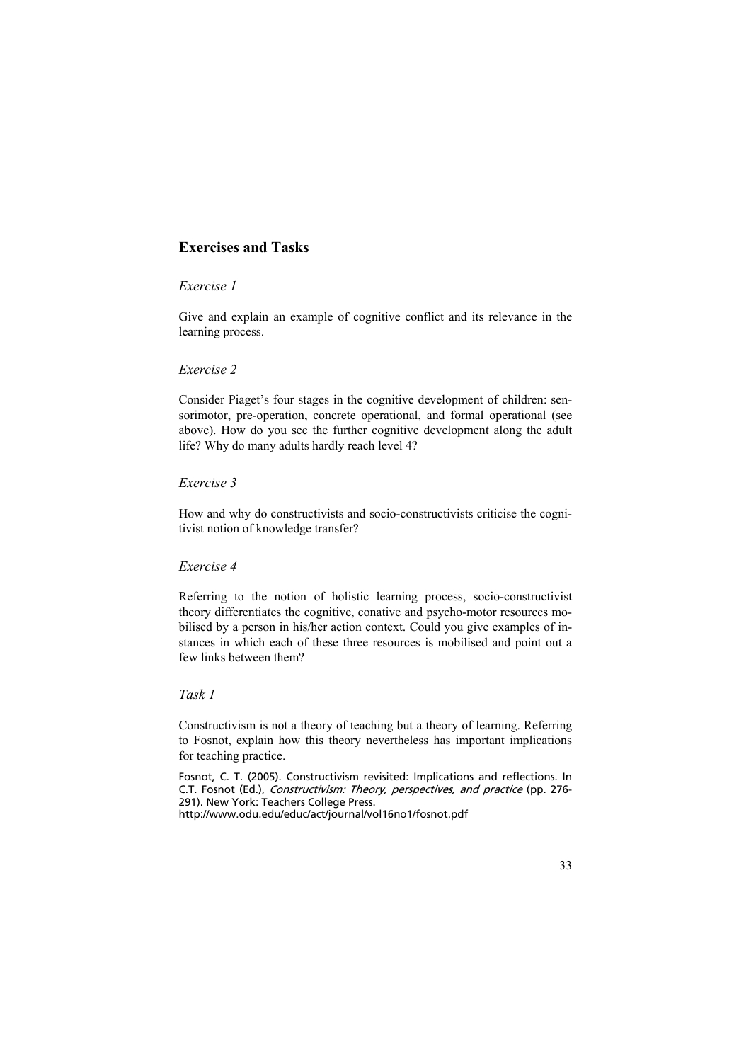# **Exercises and Tasks**

### *Exercise 1*

Give and explain an example of cognitive conflict and its relevance in the learning process.

### *Exercise 2*

Consider Piaget's four stages in the cognitive development of children: sensorimotor, pre-operation, concrete operational, and formal operational (see above). How do you see the further cognitive development along the adult life? Why do many adults hardly reach level 4?

### *Exercise 3*

How and why do constructivists and socio-constructivists criticise the cognitivist notion of knowledge transfer?

### *Exercise 4*

Referring to the notion of holistic learning process, socio-constructivist theory differentiates the cognitive, conative and psycho-motor resources mobilised by a person in his/her action context. Could you give examples of instances in which each of these three resources is mobilised and point out a few links between them?

# *Task 1*

Constructivism is not a theory of teaching but a theory of learning. Referring to Fosnot, explain how this theory nevertheless has important implications for teaching practice.

Fosnot, C. T. (2005). Constructivism revisited: Implications and reflections. In C.T. Fosnot (Ed.), Constructivism: Theory, perspectives, and practice (pp. 276- 291). New York: Teachers College Press.

http://www.odu.edu/educ/act/journal/vol16no1/fosnot.pdf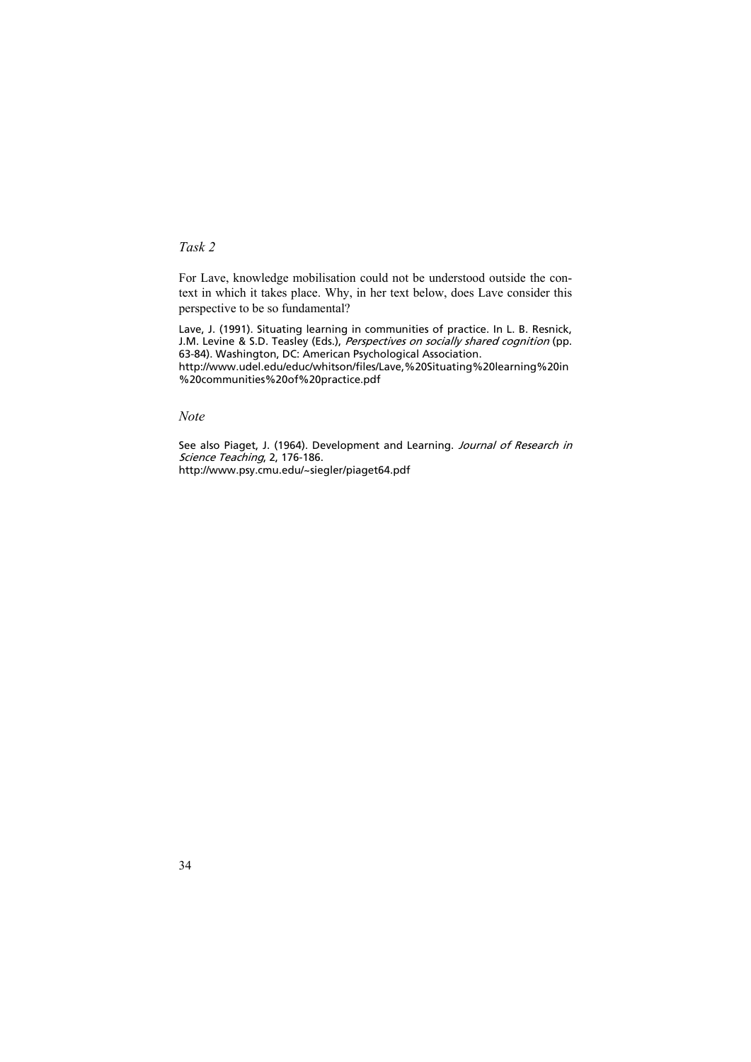# *Task 2*

For Lave, knowledge mobilisation could not be understood outside the context in which it takes place. Why, in her text below, does Lave consider this perspective to be so fundamental?

Lave, J. (1991). Situating learning in communities of practice. In L. B. Resnick, J.M. Levine & S.D. Teasley (Eds.), *Perspectives on socially shared cognition* (pp. 63-84). Washington, DC: American Psychological Association. http://www.udel.edu/educ/whitson/files/Lave,%20Situating%20learning%20in %20communities%20of%20practice.pdf

*Note* 

See also Piaget, J. (1964). Development and Learning. Journal of Research in Science Teaching, 2, 176-186. http://www.psy.cmu.edu/~siegler/piaget64.pdf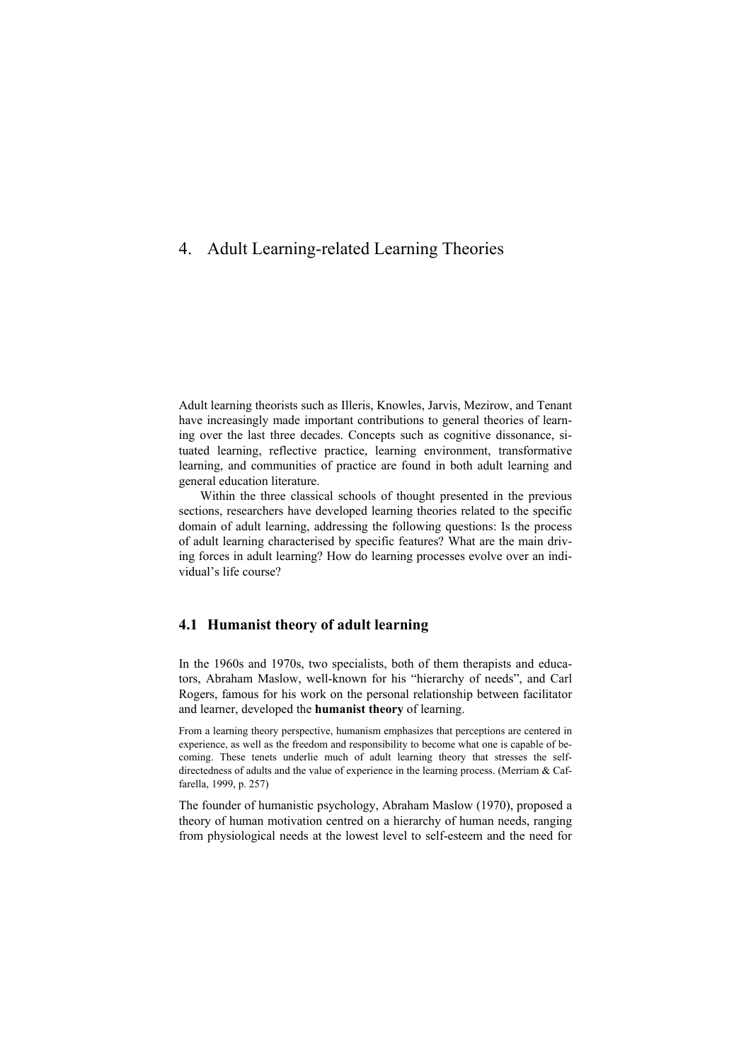# 4. Adult Learning-related Learning Theories

Adult learning theorists such as Illeris, Knowles, Jarvis, Mezirow, and Tenant have increasingly made important contributions to general theories of learning over the last three decades. Concepts such as cognitive dissonance, situated learning, reflective practice, learning environment, transformative learning, and communities of practice are found in both adult learning and general education literature.

Within the three classical schools of thought presented in the previous sections, researchers have developed learning theories related to the specific domain of adult learning, addressing the following questions: Is the process of adult learning characterised by specific features? What are the main driving forces in adult learning? How do learning processes evolve over an individual's life course?

# **4.1 Humanist theory of adult learning**

In the 1960s and 1970s, two specialists, both of them therapists and educators, Abraham Maslow, well-known for his "hierarchy of needs", and Carl Rogers, famous for his work on the personal relationship between facilitator and learner, developed the **humanist theory** of learning.

From a learning theory perspective, humanism emphasizes that perceptions are centered in experience, as well as the freedom and responsibility to become what one is capable of becoming. These tenets underlie much of adult learning theory that stresses the selfdirectedness of adults and the value of experience in the learning process. (Merriam & Caffarella, 1999, p. 257)

The founder of humanistic psychology, Abraham Maslow (1970), proposed a theory of human motivation centred on a hierarchy of human needs, ranging from physiological needs at the lowest level to self-esteem and the need for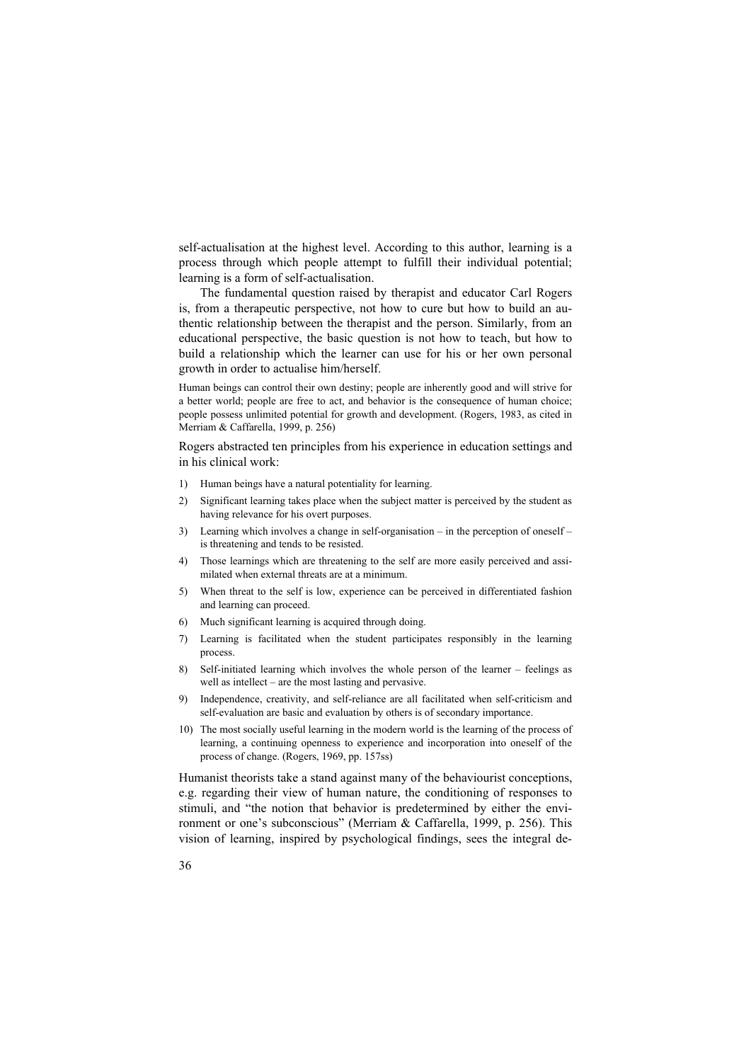self-actualisation at the highest level. According to this author, learning is a process through which people attempt to fulfill their individual potential; learning is a form of self-actualisation.

The fundamental question raised by therapist and educator Carl Rogers is, from a therapeutic perspective, not how to cure but how to build an authentic relationship between the therapist and the person. Similarly, from an educational perspective, the basic question is not how to teach, but how to build a relationship which the learner can use for his or her own personal growth in order to actualise him/herself.

Human beings can control their own destiny; people are inherently good and will strive for a better world; people are free to act, and behavior is the consequence of human choice; people possess unlimited potential for growth and development. (Rogers, 1983, as cited in Merriam & Caffarella, 1999, p. 256)

Rogers abstracted ten principles from his experience in education settings and in his clinical work:

- 1) Human beings have a natural potentiality for learning.
- 2) Significant learning takes place when the subject matter is perceived by the student as having relevance for his overt purposes.
- 3) Learning which involves a change in self-organisation in the perception of oneself is threatening and tends to be resisted.
- 4) Those learnings which are threatening to the self are more easily perceived and assimilated when external threats are at a minimum.
- 5) When threat to the self is low, experience can be perceived in differentiated fashion and learning can proceed.
- 6) Much significant learning is acquired through doing.
- 7) Learning is facilitated when the student participates responsibly in the learning process.
- 8) Self-initiated learning which involves the whole person of the learner feelings as well as intellect – are the most lasting and pervasive.
- 9) Independence, creativity, and self-reliance are all facilitated when self-criticism and self-evaluation are basic and evaluation by others is of secondary importance.
- 10) The most socially useful learning in the modern world is the learning of the process of learning, a continuing openness to experience and incorporation into oneself of the process of change. (Rogers, 1969, pp. 157ss)

Humanist theorists take a stand against many of the behaviourist conceptions, e.g. regarding their view of human nature, the conditioning of responses to stimuli, and "the notion that behavior is predetermined by either the environment or one's subconscious" (Merriam & Caffarella, 1999, p. 256). This vision of learning, inspired by psychological findings, sees the integral de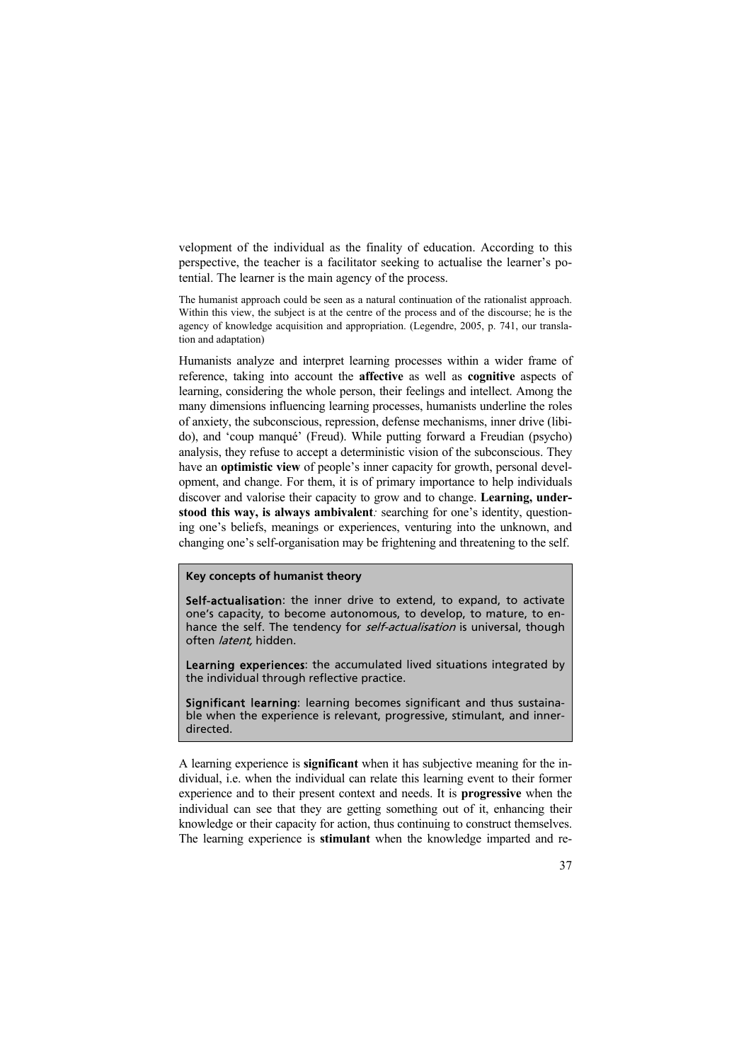velopment of the individual as the finality of education. According to this perspective, the teacher is a facilitator seeking to actualise the learner's potential. The learner is the main agency of the process.

The humanist approach could be seen as a natural continuation of the rationalist approach. Within this view, the subject is at the centre of the process and of the discourse; he is the agency of knowledge acquisition and appropriation. (Legendre, 2005, p. 741, our translation and adaptation)

Humanists analyze and interpret learning processes within a wider frame of reference, taking into account the **affective** as well as **cognitive** aspects of learning, considering the whole person, their feelings and intellect. Among the many dimensions influencing learning processes, humanists underline the roles of anxiety, the subconscious, repression, defense mechanisms, inner drive (libido), and 'coup manqué' (Freud). While putting forward a Freudian (psycho) analysis, they refuse to accept a deterministic vision of the subconscious. They have an **optimistic view** of people's inner capacity for growth, personal development, and change. For them, it is of primary importance to help individuals discover and valorise their capacity to grow and to change. **Learning, understood this way, is always ambivalent***:* searching for one's identity, questioning one's beliefs, meanings or experiences, venturing into the unknown, and changing one's self-organisation may be frightening and threatening to the self.

#### **Key concepts of humanist theory**

Self-actualisation: the inner drive to extend, to expand, to activate one's capacity, to become autonomous, to develop, to mature, to enhance the self. The tendency for *self-actualisation* is universal, though often latent, hidden.

Learning experiences: the accumulated lived situations integrated by the individual through reflective practice.

Significant learning: learning becomes significant and thus sustainable when the experience is relevant, progressive, stimulant, and innerdirected.

A learning experience is **significant** when it has subjective meaning for the individual, i.e. when the individual can relate this learning event to their former experience and to their present context and needs. It is **progressive** when the individual can see that they are getting something out of it, enhancing their knowledge or their capacity for action, thus continuing to construct themselves. The learning experience is **stimulant** when the knowledge imparted and re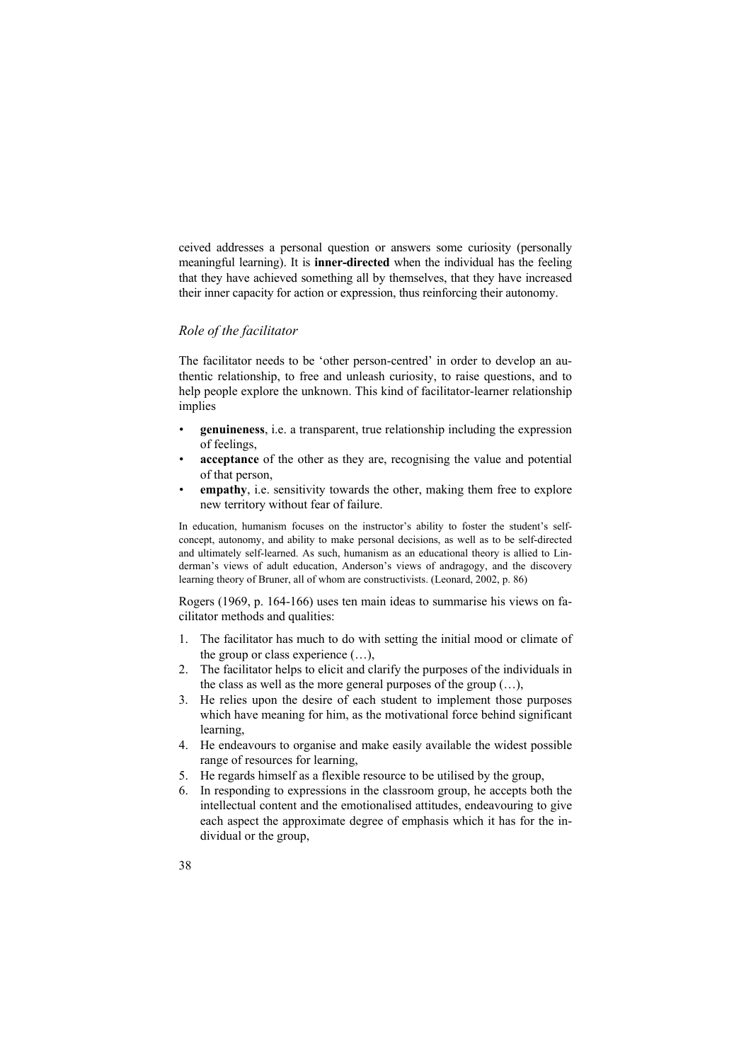ceived addresses a personal question or answers some curiosity (personally meaningful learning). It is **inner-directed** when the individual has the feeling that they have achieved something all by themselves, that they have increased their inner capacity for action or expression, thus reinforcing their autonomy.

# *Role of the facilitator*

The facilitator needs to be 'other person-centred' in order to develop an authentic relationship, to free and unleash curiosity, to raise questions, and to help people explore the unknown. This kind of facilitator-learner relationship implies

- **genuineness**, i.e. a transparent, true relationship including the expression of feelings,
- **acceptance** of the other as they are, recognising the value and potential of that person,
- **empathy**, i.e. sensitivity towards the other, making them free to explore new territory without fear of failure.

In education, humanism focuses on the instructor's ability to foster the student's selfconcept, autonomy, and ability to make personal decisions, as well as to be self-directed and ultimately self-learned. As such, humanism as an educational theory is allied to Linderman's views of adult education, Anderson's views of andragogy, and the discovery learning theory of Bruner, all of whom are constructivists. (Leonard, 2002, p. 86)

Rogers (1969, p. 164-166) uses ten main ideas to summarise his views on facilitator methods and qualities:

- 1. The facilitator has much to do with setting the initial mood or climate of the group or class experience (…),
- 2. The facilitator helps to elicit and clarify the purposes of the individuals in the class as well as the more general purposes of the group  $(...)$ ,
- 3. He relies upon the desire of each student to implement those purposes which have meaning for him, as the motivational force behind significant learning,
- 4. He endeavours to organise and make easily available the widest possible range of resources for learning,
- 5. He regards himself as a flexible resource to be utilised by the group,
- 6. In responding to expressions in the classroom group, he accepts both the intellectual content and the emotionalised attitudes, endeavouring to give each aspect the approximate degree of emphasis which it has for the individual or the group,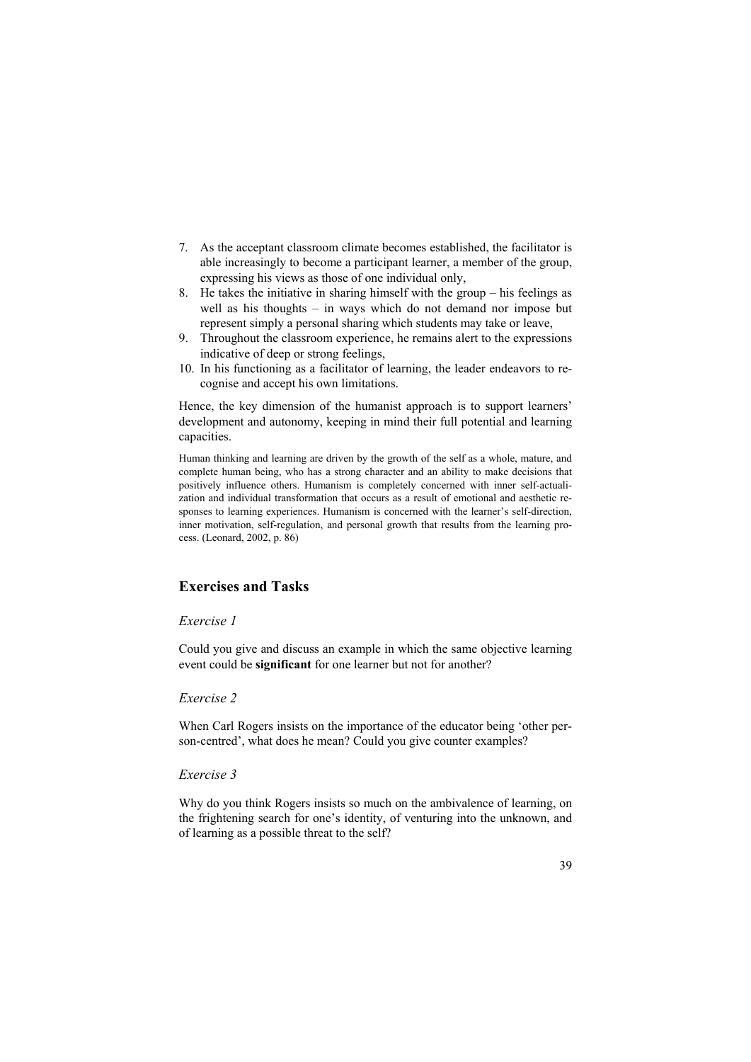- 7. As the acceptant classroom climate becomes established, the facilitator is able increasingly to become a participant learner, a member of the group, expressing his views as those of one individual only,
- 8. He takes the initiative in sharing himself with the group his feelings as well as his thoughts – in ways which do not demand nor impose but represent simply a personal sharing which students may take or leave,
- 9. Throughout the classroom experience, he remains alert to the expressions indicative of deep or strong feelings,
- 10. In his functioning as a facilitator of learning, the leader endeavors to recognise and accept his own limitations.

Hence, the key dimension of the humanist approach is to support learners' development and autonomy, keeping in mind their full potential and learning capacities.

Human thinking and learning are driven by the growth of the self as a whole, mature, and complete human being, who has a strong character and an ability to make decisions that positively influence others. Humanism is completely concerned with inner self-actualization and individual transformation that occurs as a result of emotional and aesthetic responses to learning experiences. Humanism is concerned with the learner's self-direction, inner motivation, self-regulation, and personal growth that results from the learning process. (Leonard, 2002, p. 86)

# **Exercises and Tasks**

#### *Exercise 1*

Could you give and discuss an example in which the same objective learning event could be **significant** for one learner but not for another?

#### *Exercise 2*

When Carl Rogers insists on the importance of the educator being 'other person-centred', what does he mean? Could you give counter examples?

### *Exercise 3*

Why do you think Rogers insists so much on the ambivalence of learning, on the frightening search for one's identity, of venturing into the unknown, and of learning as a possible threat to the self?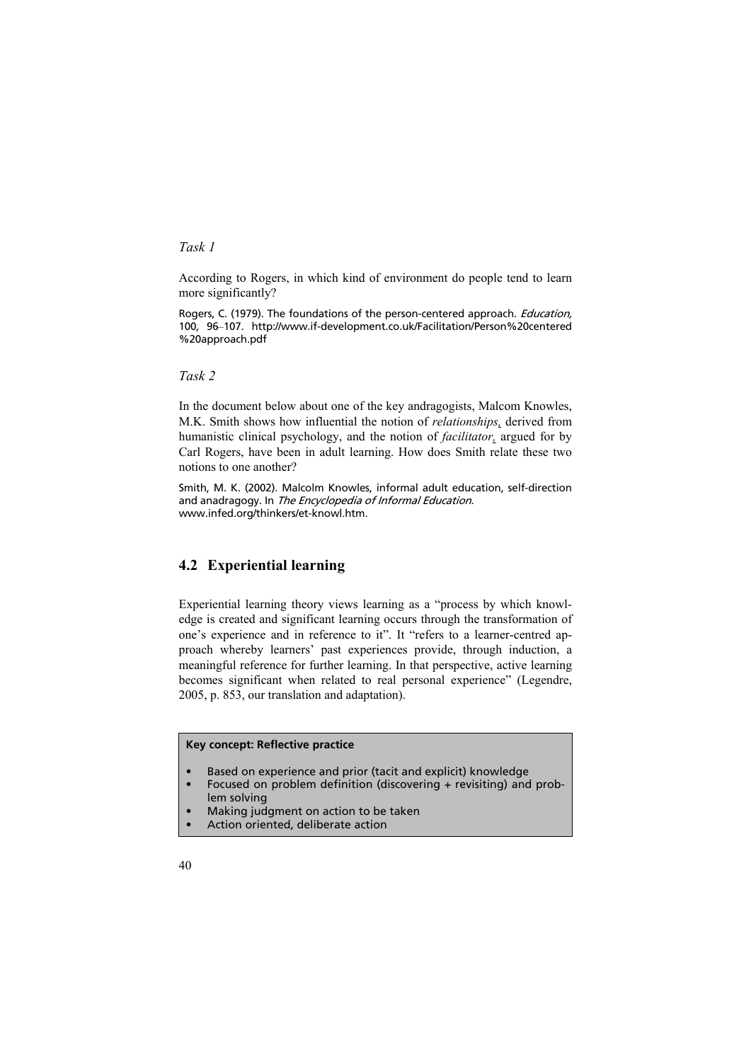*Task 1* 

According to Rogers, in which kind of environment do people tend to learn more significantly?

Rogers, C. (1979). The foundations of the person-centered approach. *Education*, 100, 96–107. http://www.if-development.co.uk/Facilitation/Person%20centered %20approach.pdf

*Task 2* 

In the document below about one of the key andragogists, Malcom Knowles, M.K. Smith shows how influential the notion of *relationships,* derived from humanistic clinical psychology, and the notion of *facilitator,* argued for by Carl Rogers, have been in adult learning. How does Smith relate these two notions to one another?

Smith, M. K. (2002). Malcolm Knowles, informal adult education, self-direction and anadragogy. In The Encyclopedia of Informal Education. www.infed.org/thinkers/et-knowl.htm.

# **4.2 Experiential learning**

Experiential learning theory views learning as a "process by which knowledge is created and significant learning occurs through the transformation of one's experience and in reference to it". It "refers to a learner-centred approach whereby learners' past experiences provide, through induction, a meaningful reference for further learning. In that perspective, active learning becomes significant when related to real personal experience" (Legendre, 2005, p. 853, our translation and adaptation).

#### **Key concept: Reflective practice**

- Based on experience and prior (tacit and explicit) knowledge
- Focused on problem definition (discovering + revisiting) and problem solving
- Making judgment on action to be taken
- Action oriented, deliberate action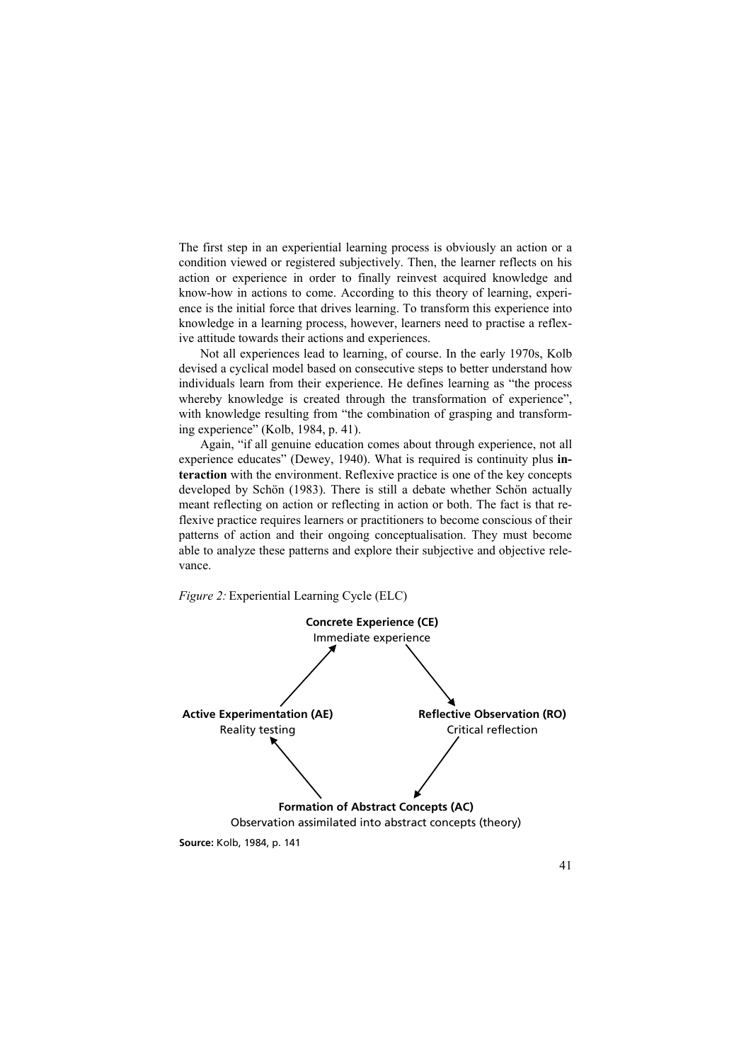The first step in an experiential learning process is obviously an action or a condition viewed or registered subjectively. Then, the learner reflects on his action or experience in order to finally reinvest acquired knowledge and know-how in actions to come. According to this theory of learning, experience is the initial force that drives learning. To transform this experience into knowledge in a learning process, however, learners need to practise a reflexive attitude towards their actions and experiences.

Not all experiences lead to learning, of course. In the early 1970s, Kolb devised a cyclical model based on consecutive steps to better understand how individuals learn from their experience. He defines learning as "the process whereby knowledge is created through the transformation of experience", with knowledge resulting from "the combination of grasping and transforming experience" (Kolb, 1984, p. 41).

Again, "if all genuine education comes about through experience, not all experience educates" (Dewey, 1940). What is required is continuity plus **interaction** with the environment. Reflexive practice is one of the key concepts developed by Schön (1983). There is still a debate whether Schön actually meant reflecting on action or reflecting in action or both. The fact is that reflexive practice requires learners or practitioners to become conscious of their patterns of action and their ongoing conceptualisation. They must become able to analyze these patterns and explore their subjective and objective relevance.



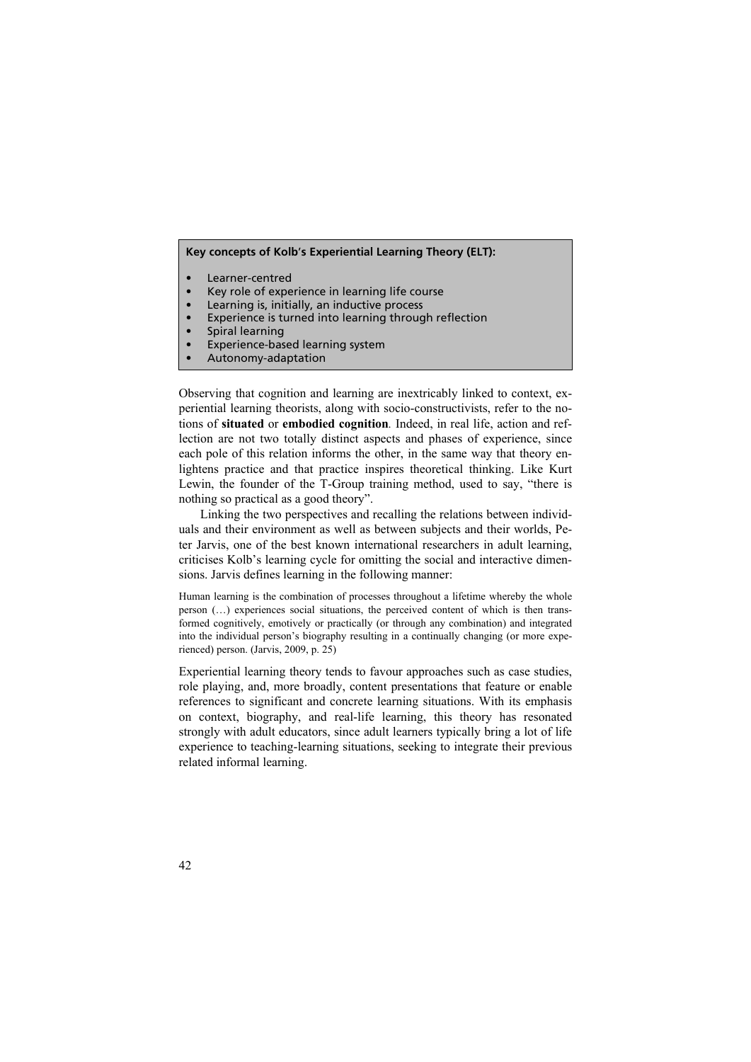#### **Key concepts of Kolb**'**s Experiential Learning Theory (ELT):**

- Learner-centred
- Key role of experience in learning life course
- Learning is, initially, an inductive process
- Experience is turned into learning through reflection
- Spiral learning
- Experience-based learning system
- Autonomy-adaptation

Observing that cognition and learning are inextricably linked to context, experiential learning theorists, along with socio-constructivists, refer to the notions of **situated** or **embodied cognition***.* Indeed, in real life, action and reflection are not two totally distinct aspects and phases of experience, since each pole of this relation informs the other, in the same way that theory enlightens practice and that practice inspires theoretical thinking. Like Kurt Lewin, the founder of the T-Group training method, used to say, "there is nothing so practical as a good theory".

Linking the two perspectives and recalling the relations between individuals and their environment as well as between subjects and their worlds, Peter Jarvis, one of the best known international researchers in adult learning, criticises Kolb's learning cycle for omitting the social and interactive dimensions. Jarvis defines learning in the following manner:

Human learning is the combination of processes throughout a lifetime whereby the whole person  $(\ldots)$  experiences social situations, the perceived content of which is then transformed cognitively, emotively or practically (or through any combination) and integrated into the individual person's biography resulting in a continually changing (or more experienced) person. (Jarvis, 2009, p. 25)

Experiential learning theory tends to favour approaches such as case studies, role playing, and, more broadly, content presentations that feature or enable references to significant and concrete learning situations. With its emphasis on context, biography, and real-life learning, this theory has resonated strongly with adult educators, since adult learners typically bring a lot of life experience to teaching-learning situations, seeking to integrate their previous related informal learning.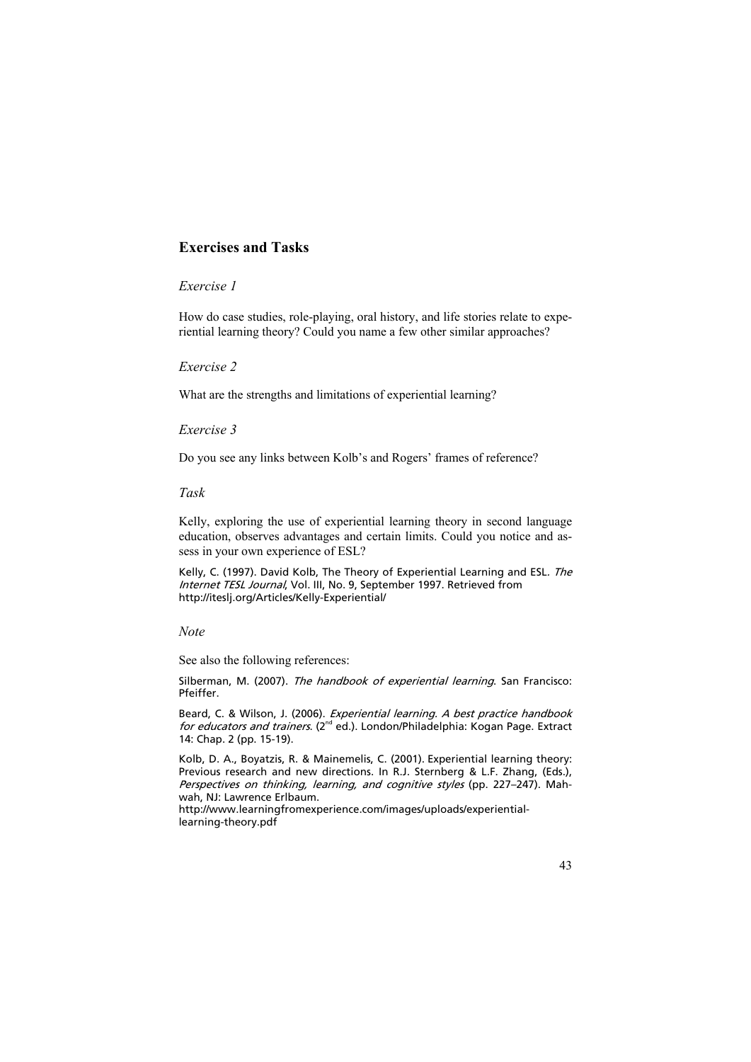# **Exercises and Tasks**

## *Exercise 1*

How do case studies, role-playing, oral history, and life stories relate to experiential learning theory? Could you name a few other similar approaches?

#### *Exercise 2*

What are the strengths and limitations of experiential learning?

#### *Exercise 3*

Do you see any links between Kolb's and Rogers' frames of reference?

#### *Task*

Kelly, exploring the use of experiential learning theory in second language education, observes advantages and certain limits. Could you notice and assess in your own experience of ESL?

Kelly, C. (1997). David Kolb, The Theory of Experiential Learning and ESL. The Internet TESL Journal, Vol. III, No. 9, September 1997. Retrieved from http://iteslj.org/Articles/Kelly-Experiential/

#### *Note*

See also the following references:

Silberman, M. (2007). The handbook of experiential learning. San Francisco: Pfeiffer.

Beard, C. & Wilson, J. (2006). Experiential learning. A best practice handbook for educators and trainers. ( $2^{nd}$  ed.). London/Philadelphia: Kogan Page. Extract 14: Chap. 2 (pp. 15-19).

Kolb, D. A., Boyatzis, R. & Mainemelis, C. (2001). Experiential learning theory: Previous research and new directions. In R.J. Sternberg & L.F. Zhang, (Eds.), Perspectives on thinking, learning, and cognitive styles (pp. 227–247). Mahwah, NJ: Lawrence Erlbaum.

http://www.learningfromexperience.com/images/uploads/experientiallearning-theory.pdf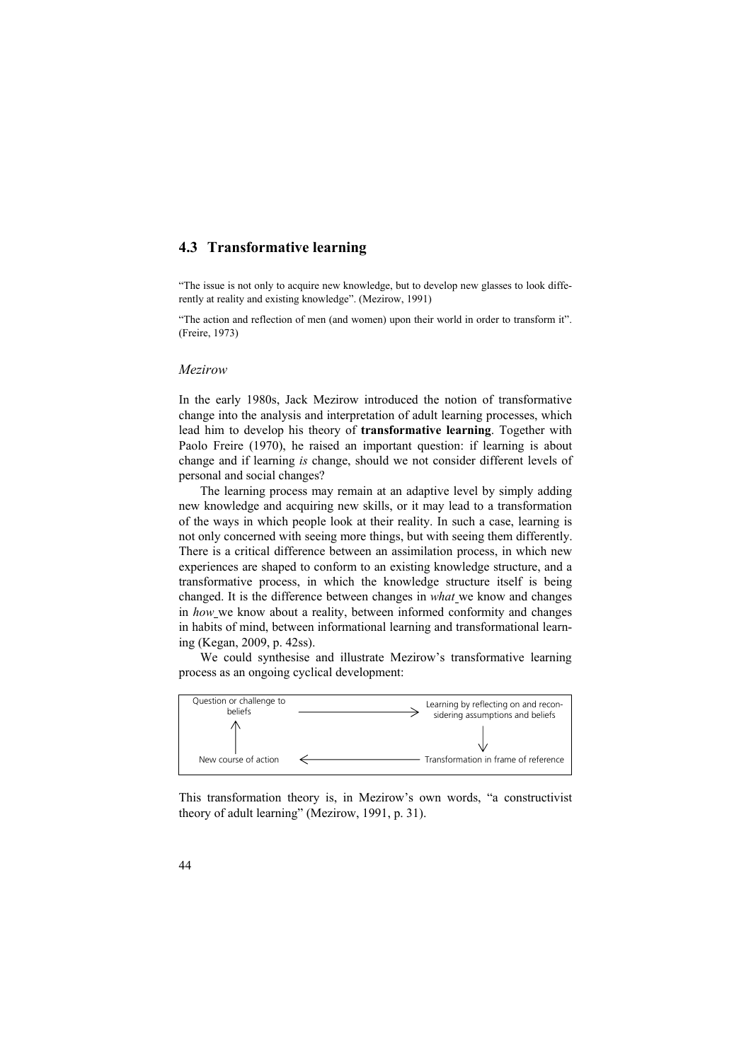# **4.3 Transformative learning**

"The issue is not only to acquire new knowledge, but to develop new glasses to look differently at reality and existing knowledge". (Mezirow, 1991)

"The action and reflection of men (and women) upon their world in order to transform it". (Freire, 1973)

#### *Mezirow*

In the early 1980s, Jack Mezirow introduced the notion of transformative change into the analysis and interpretation of adult learning processes, which lead him to develop his theory of **transformative learning**. Together with Paolo Freire (1970), he raised an important question: if learning is about change and if learning *is* change, should we not consider different levels of personal and social changes?

The learning process may remain at an adaptive level by simply adding new knowledge and acquiring new skills, or it may lead to a transformation of the ways in which people look at their reality. In such a case, learning is not only concerned with seeing more things, but with seeing them differently. There is a critical difference between an assimilation process, in which new experiences are shaped to conform to an existing knowledge structure, and a transformative process, in which the knowledge structure itself is being changed. It is the difference between changes in *what* we know and changes in *how* we know about a reality, between informed conformity and changes in habits of mind, between informational learning and transformational learning (Kegan, 2009, p. 42ss).

We could synthesise and illustrate Mezirow's transformative learning process as an ongoing cyclical development:



This transformation theory is, in Mezirow's own words, "a constructivist theory of adult learning" (Mezirow, 1991, p. 31).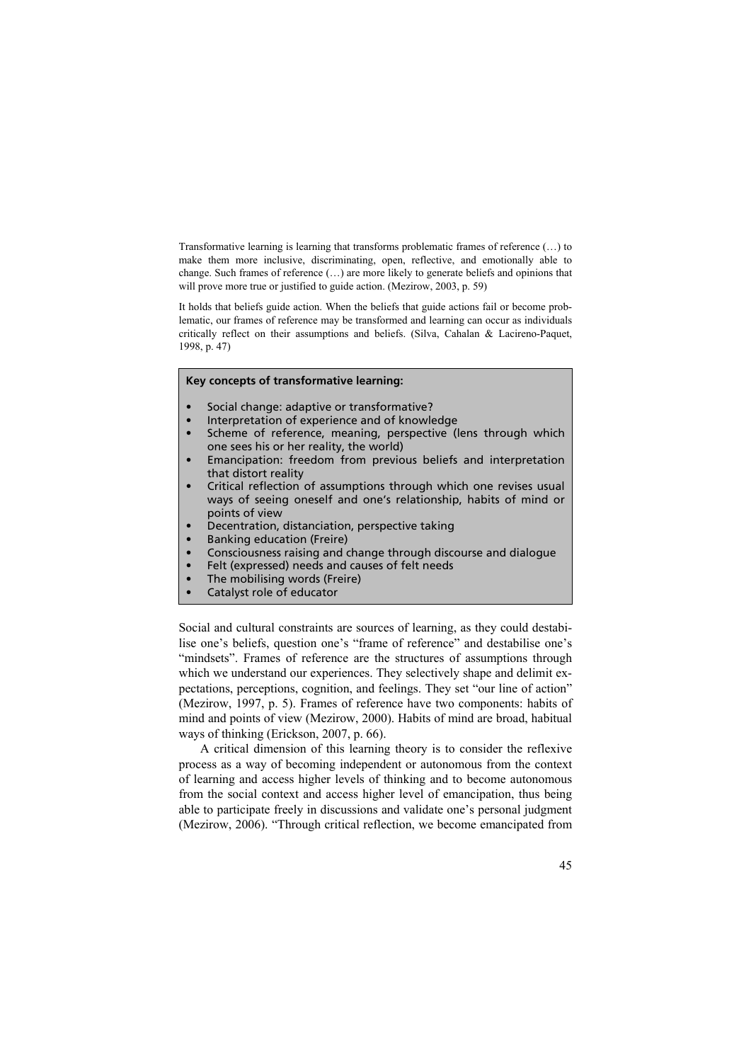Transformative learning is learning that transforms problematic frames of reference (…) to make them more inclusive, discriminating, open, reflective, and emotionally able to change. Such frames of reference (…) are more likely to generate beliefs and opinions that will prove more true or justified to guide action. (Mezirow, 2003, p. 59)

It holds that beliefs guide action. When the beliefs that guide actions fail or become problematic, our frames of reference may be transformed and learning can occur as individuals critically reflect on their assumptions and beliefs. (Silva, Cahalan & Lacireno-Paquet, 1998, p. 47)

#### **Key concepts of transformative learning:**

- Social change: adaptive or transformative?
- Interpretation of experience and of knowledge
- Scheme of reference, meaning, perspective (lens through which one sees his or her reality, the world)
- Emancipation: freedom from previous beliefs and interpretation that distort reality
- Critical reflection of assumptions through which one revises usual ways of seeing oneself and one's relationship, habits of mind or points of view
- Decentration, distanciation, perspective taking
- Banking education (Freire)
- Consciousness raising and change through discourse and dialogue
- Felt (expressed) needs and causes of felt needs
- The mobilising words (Freire)
- Catalyst role of educator

Social and cultural constraints are sources of learning, as they could destabilise one's beliefs, question one's "frame of reference" and destabilise one's "mindsets". Frames of reference are the structures of assumptions through which we understand our experiences. They selectively shape and delimit expectations, perceptions, cognition, and feelings. They set "our line of action" (Mezirow, 1997, p. 5). Frames of reference have two components: habits of mind and points of view (Mezirow, 2000). Habits of mind are broad, habitual ways of thinking (Erickson, 2007, p. 66).

A critical dimension of this learning theory is to consider the reflexive process as a way of becoming independent or autonomous from the context of learning and access higher levels of thinking and to become autonomous from the social context and access higher level of emancipation, thus being able to participate freely in discussions and validate one's personal judgment (Mezirow, 2006). "Through critical reflection, we become emancipated from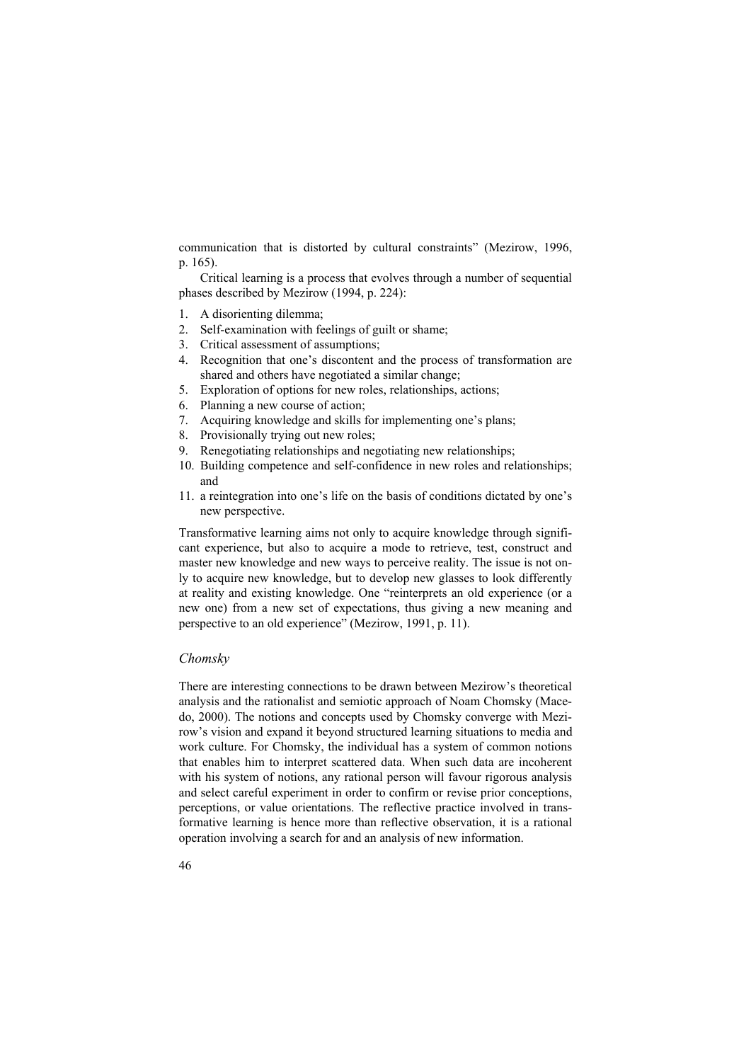communication that is distorted by cultural constraints" (Mezirow, 1996, p. 165).

Critical learning is a process that evolves through a number of sequential phases described by Mezirow (1994, p. 224):

- 1. A disorienting dilemma;
- 2. Self-examination with feelings of guilt or shame;
- 3. Critical assessment of assumptions;
- 4. Recognition that one's discontent and the process of transformation are shared and others have negotiated a similar change;
- 5. Exploration of options for new roles, relationships, actions;
- 6. Planning a new course of action;
- 7. Acquiring knowledge and skills for implementing one's plans;
- 8. Provisionally trying out new roles;
- 9. Renegotiating relationships and negotiating new relationships;
- 10. Building competence and self-confidence in new roles and relationships; and
- 11. a reintegration into one's life on the basis of conditions dictated by one's new perspective.

Transformative learning aims not only to acquire knowledge through significant experience, but also to acquire a mode to retrieve, test, construct and master new knowledge and new ways to perceive reality. The issue is not only to acquire new knowledge, but to develop new glasses to look differently at reality and existing knowledge. One "reinterprets an old experience (or a new one) from a new set of expectations, thus giving a new meaning and perspective to an old experience" (Mezirow, 1991, p. 11).

# *Chomsky*

There are interesting connections to be drawn between Mezirow's theoretical analysis and the rationalist and semiotic approach of Noam Chomsky (Macedo, 2000). The notions and concepts used by Chomsky converge with Mezirow's vision and expand it beyond structured learning situations to media and work culture. For Chomsky, the individual has a system of common notions that enables him to interpret scattered data. When such data are incoherent with his system of notions, any rational person will favour rigorous analysis and select careful experiment in order to confirm or revise prior conceptions, perceptions, or value orientations. The reflective practice involved in transformative learning is hence more than reflective observation, it is a rational operation involving a search for and an analysis of new information.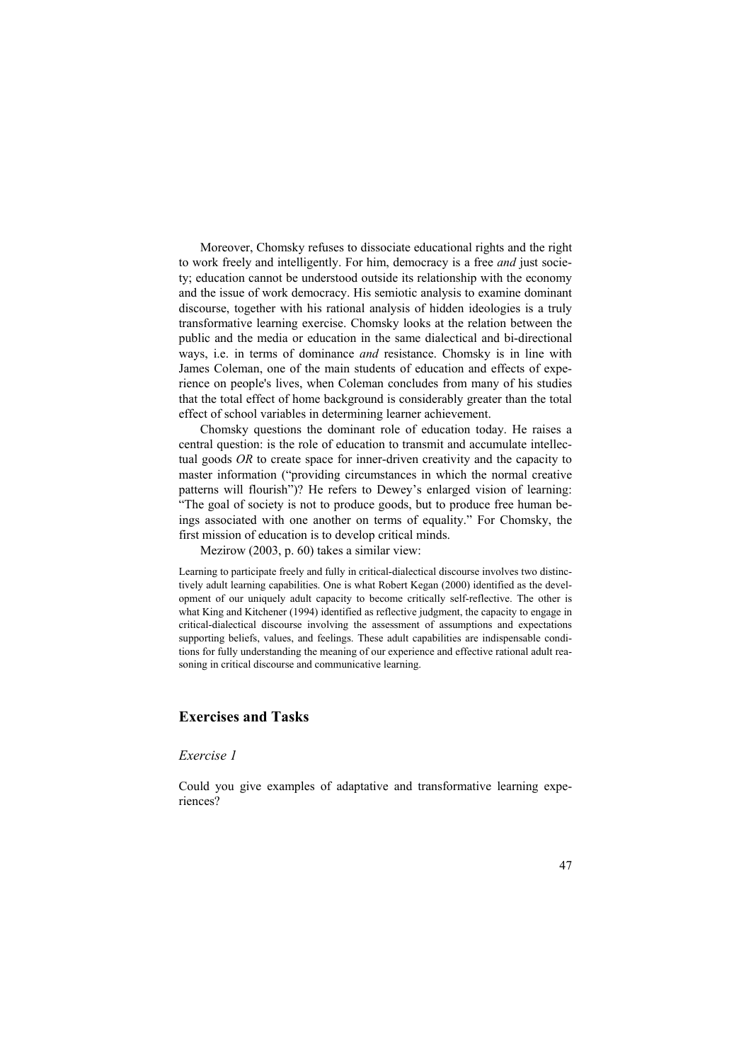Moreover, Chomsky refuses to dissociate educational rights and the right to work freely and intelligently. For him, democracy is a free *and* just society; education cannot be understood outside its relationship with the economy and the issue of work democracy. His semiotic analysis to examine dominant discourse, together with his rational analysis of hidden ideologies is a truly transformative learning exercise. Chomsky looks at the relation between the public and the media or education in the same dialectical and bi-directional ways, i.e. in terms of dominance *and* resistance. Chomsky is in line with James Coleman, one of the main students of education and effects of experience on people's lives, when Coleman concludes from many of his studies that the total effect of home background is considerably greater than the total effect of school variables in determining learner achievement.

Chomsky questions the dominant role of education today. He raises a central question: is the role of education to transmit and accumulate intellectual goods *OR* to create space for inner-driven creativity and the capacity to master information ("providing circumstances in which the normal creative patterns will flourish")? He refers to Dewey's enlarged vision of learning: "The goal of society is not to produce goods, but to produce free human beings associated with one another on terms of equality." For Chomsky, the first mission of education is to develop critical minds.

Mezirow (2003, p. 60) takes a similar view:

Learning to participate freely and fully in critical-dialectical discourse involves two distinctively adult learning capabilities. One is what Robert Kegan (2000) identified as the development of our uniquely adult capacity to become critically self-reflective. The other is what King and Kitchener (1994) identified as reflective judgment, the capacity to engage in critical-dialectical discourse involving the assessment of assumptions and expectations supporting beliefs, values, and feelings. These adult capabilities are indispensable conditions for fully understanding the meaning of our experience and effective rational adult reasoning in critical discourse and communicative learning.

## **Exercises and Tasks**

#### *Exercise 1*

Could you give examples of adaptative and transformative learning experiences?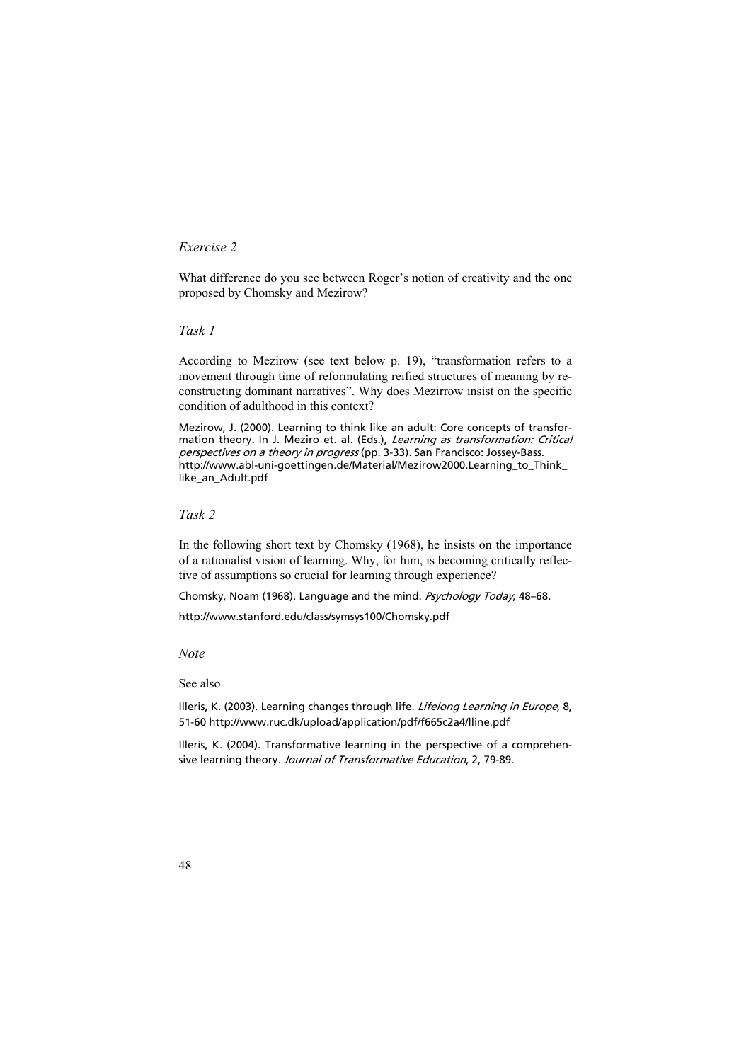# *Exercise 2*

What difference do you see between Roger's notion of creativity and the one proposed by Chomsky and Mezirow?

## *Task 1*

According to Mezirow (see text below p. 19), "transformation refers to a movement through time of reformulating reified structures of meaning by reconstructing dominant narratives". Why does Mezirrow insist on the specific condition of adulthood in this context?

Mezirow, J. (2000). Learning to think like an adult: Core concepts of transformation theory. In J. Meziro et. al. (Eds.), Learning as transformation: Critical perspectives on a theory in progress (pp. 3-33). San Francisco: Jossey-Bass. http://www.abl-uni-goettingen.de/Material/Mezirow2000.Learning\_to\_Think\_ like an Adult.pdf

### *Task 2*

In the following short text by Chomsky (1968), he insists on the importance of a rationalist vision of learning. Why, for him, is becoming critically reflective of assumptions so crucial for learning through experience?

Chomsky, Noam (1968). Language and the mind. Psychology Today, 48–68.

http://www.stanford.edu/class/symsys100/Chomsky.pdf

*Note* 

See also

Illeris, K. (2003). Learning changes through life. Lifelong Learning in Europe, 8, 51-60 http://www.ruc.dk/upload/application/pdf/f665c2a4/lline.pdf

Illeris, K. (2004). Transformative learning in the perspective of a comprehensive learning theory. Journal of Transformative Education, 2, 79-89.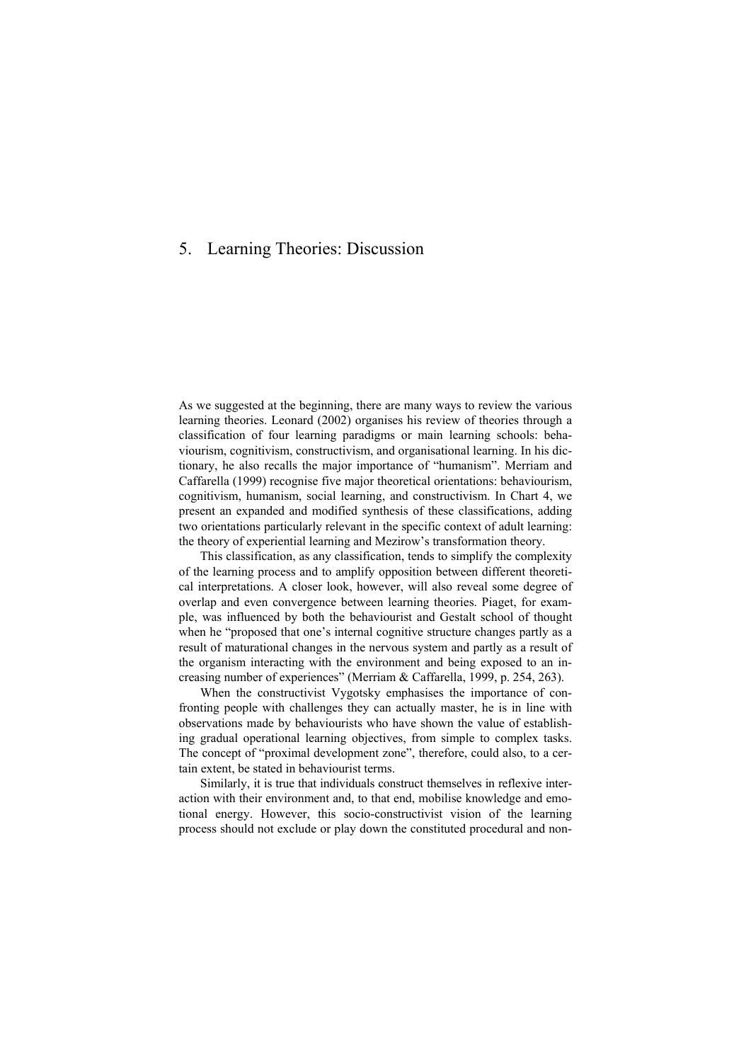# 5. Learning Theories: Discussion

As we suggested at the beginning, there are many ways to review the various learning theories. Leonard (2002) organises his review of theories through a classification of four learning paradigms or main learning schools: behaviourism, cognitivism, constructivism, and organisational learning. In his dictionary, he also recalls the major importance of "humanism". Merriam and Caffarella (1999) recognise five major theoretical orientations: behaviourism, cognitivism, humanism, social learning, and constructivism. In Chart 4, we present an expanded and modified synthesis of these classifications, adding two orientations particularly relevant in the specific context of adult learning: the theory of experiential learning and Mezirow's transformation theory.

This classification, as any classification, tends to simplify the complexity of the learning process and to amplify opposition between different theoretical interpretations. A closer look, however, will also reveal some degree of overlap and even convergence between learning theories. Piaget, for example, was influenced by both the behaviourist and Gestalt school of thought when he "proposed that one's internal cognitive structure changes partly as a result of maturational changes in the nervous system and partly as a result of the organism interacting with the environment and being exposed to an increasing number of experiences" (Merriam & Caffarella, 1999, p. 254, 263).

When the constructivist Vygotsky emphasises the importance of confronting people with challenges they can actually master, he is in line with observations made by behaviourists who have shown the value of establishing gradual operational learning objectives, from simple to complex tasks. The concept of "proximal development zone", therefore, could also, to a certain extent, be stated in behaviourist terms.

Similarly, it is true that individuals construct themselves in reflexive interaction with their environment and, to that end, mobilise knowledge and emotional energy. However, this socio-constructivist vision of the learning process should not exclude or play down the constituted procedural and non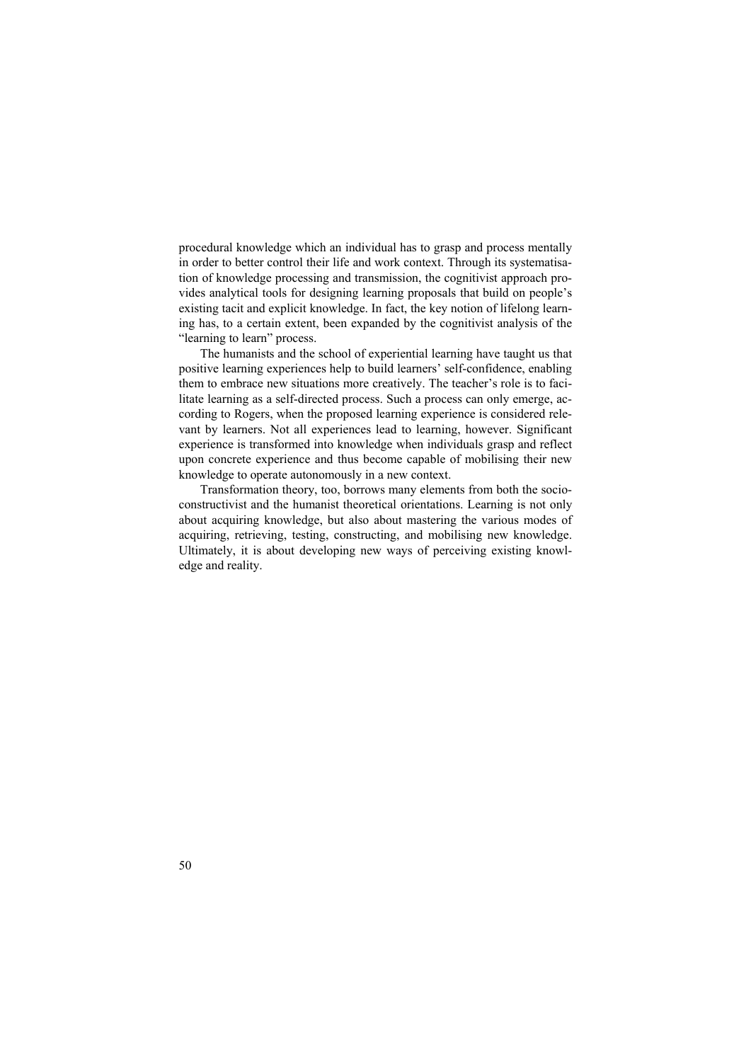procedural knowledge which an individual has to grasp and process mentally in order to better control their life and work context. Through its systematisation of knowledge processing and transmission, the cognitivist approach provides analytical tools for designing learning proposals that build on people's existing tacit and explicit knowledge. In fact, the key notion of lifelong learning has, to a certain extent, been expanded by the cognitivist analysis of the "learning to learn" process.

The humanists and the school of experiential learning have taught us that positive learning experiences help to build learners' self-confidence, enabling them to embrace new situations more creatively. The teacher's role is to facilitate learning as a self-directed process. Such a process can only emerge, according to Rogers, when the proposed learning experience is considered relevant by learners. Not all experiences lead to learning, however. Significant experience is transformed into knowledge when individuals grasp and reflect upon concrete experience and thus become capable of mobilising their new knowledge to operate autonomously in a new context.

Transformation theory, too, borrows many elements from both the socioconstructivist and the humanist theoretical orientations. Learning is not only about acquiring knowledge, but also about mastering the various modes of acquiring, retrieving, testing, constructing, and mobilising new knowledge. Ultimately, it is about developing new ways of perceiving existing knowledge and reality.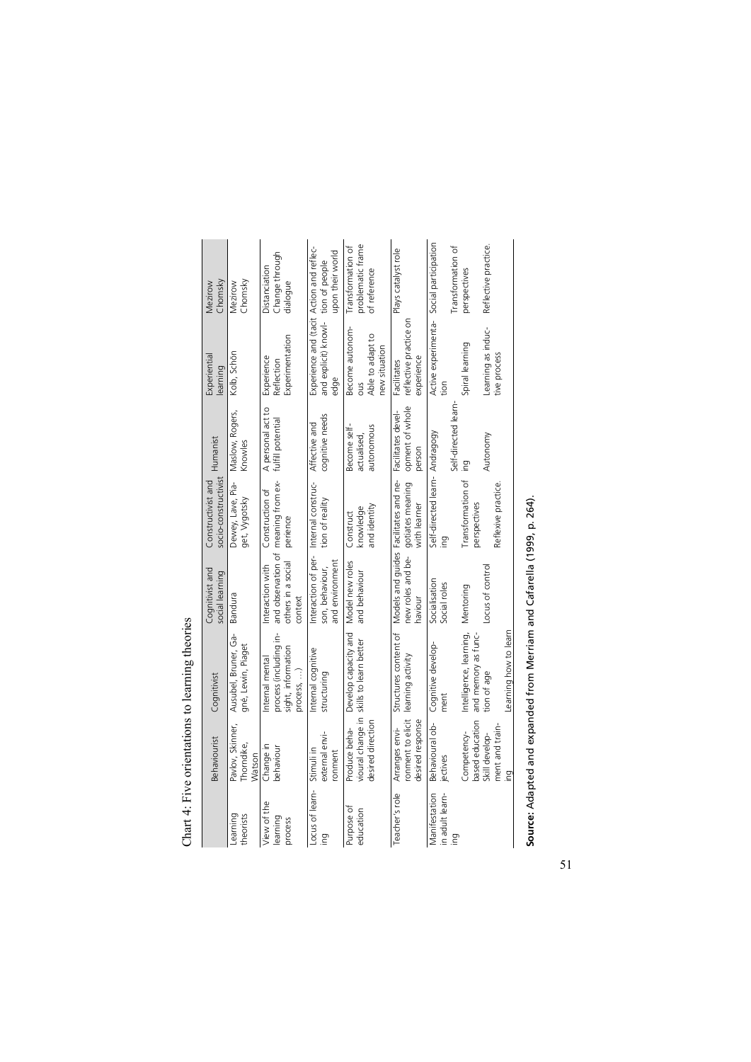|                                        | Behaviourist                                            | Cognitivist                                                                    | Cognitivist and<br>social learning                                      | socio-constructivist<br>Constructivist and                                                                                     | Humanist                                  | Experiential<br>learning                                                                | Chomsky<br>Mezirow                                     |
|----------------------------------------|---------------------------------------------------------|--------------------------------------------------------------------------------|-------------------------------------------------------------------------|--------------------------------------------------------------------------------------------------------------------------------|-------------------------------------------|-----------------------------------------------------------------------------------------|--------------------------------------------------------|
| Learning<br>theorists                  | Pavlov, Skinner,<br>Thorndike,<br>Watson                | Ausubel, Bruner, Ga-<br>gné, Lewin, Piaget                                     | Bandura                                                                 | Dewey, Lave, Pia-<br>get, Vygotsky                                                                                             | Maslow, Rogers,<br>Knowles                | Kolb, Schön                                                                             | Chomsky<br>Mezirow                                     |
| View of the<br>learning<br>process     | Change in<br>behaviour                                  | ≜.<br>process (including<br>sight, information<br>nternal mental<br>process, ) | and observation of<br>others in a social<br>Interaction with<br>context | meaning from ex-<br>Construction of<br>perience                                                                                | A personal act to<br>fulfill potential    | Experimentation<br>Experience<br>Reflection                                             | Change through<br>Distanciation<br>dialogue            |
| Locus of learn-<br>₽u                  | external envi-<br>Stimuli in<br>ronment                 | nternal cognitive<br>structuring                                               | Interaction of per-<br>and environment<br>son, behaviour,               | Internal construc-<br>tion of reality                                                                                          | cognitive needs<br>Affective and          | Experience and (tacit Action and reflec-<br>and explicit) knowl- tion of people<br>edae | upon their world                                       |
| Purpose of<br>education                | vioural change in<br>desired direction<br>Produce beha- | Develop capacity and<br>skills to learn better                                 | Model new roles<br>and behaviour                                        | and identity<br>knowledge<br>Construct                                                                                         | autonomous<br>Become self-<br>actualised, | Become autonom-<br>Able to adapt to<br>new situation<br>Sno                             | problematic frame<br>Transformation of<br>of reference |
| Teacher's role                         | ronment to elicit<br>desired response<br>Arranges envi- | Structures content of<br>learning activity                                     | haviour                                                                 | new roles and be- gotiates meaning opment of whole<br>Models and guides Facilitates and ne- Facilitates devel-<br>with learner | person                                    | reflective practice on<br>experience<br>Facilitates                                     | Plays catalyst role                                    |
| Manifestation<br>in adult learn-<br>₽u | Behavioural ob-<br>jectives                             | Cognitive develop<br>ment                                                      | Socialisation<br>Social roles                                           | Self-directed learn- Andragogy<br>ing                                                                                          | Self-directed learn                       | Active experimenta-<br>tion                                                             | Social participation<br>Transformation of              |
|                                        | based education<br>Competency-                          | Intelligence, learning,<br>and memory as tunc-                                 | Mentoring                                                               | Transformation of<br>perspectives                                                                                              | ing                                       | Spiral learning                                                                         | perspectives                                           |
|                                        | ment and train<br>Skill develop-<br>Ing                 | earning how to learn<br>tion of age                                            | Locus of contro                                                         | Reflexive practice                                                                                                             | Autonomy                                  | Learning as induc-<br>tive proces                                                       | Reflective practice.                                   |
|                                        |                                                         |                                                                                |                                                                         |                                                                                                                                |                                           |                                                                                         |                                                        |

Chart 4: Five orientations to learning theories Chart 4: Five orientations to learning theories

Source: Adapted and expanded from Merriam and Cafarella (1999, p. 264). **Source:** Adapted and expanded from Merriam and Cafarella (1999, p. 264).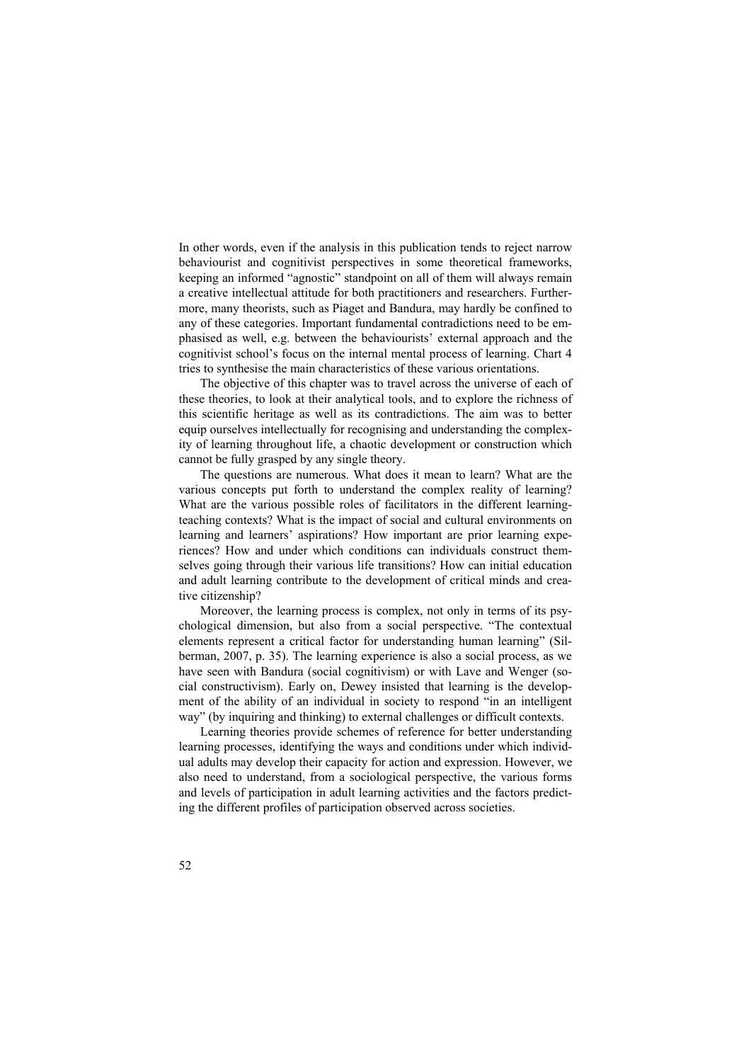In other words, even if the analysis in this publication tends to reject narrow behaviourist and cognitivist perspectives in some theoretical frameworks, keeping an informed "agnostic" standpoint on all of them will always remain a creative intellectual attitude for both practitioners and researchers. Furthermore, many theorists, such as Piaget and Bandura, may hardly be confined to any of these categories. Important fundamental contradictions need to be emphasised as well, e.g. between the behaviourists' external approach and the cognitivist school's focus on the internal mental process of learning. Chart 4 tries to synthesise the main characteristics of these various orientations.

The objective of this chapter was to travel across the universe of each of these theories, to look at their analytical tools, and to explore the richness of this scientific heritage as well as its contradictions. The aim was to better equip ourselves intellectually for recognising and understanding the complexity of learning throughout life, a chaotic development or construction which cannot be fully grasped by any single theory.

The questions are numerous. What does it mean to learn? What are the various concepts put forth to understand the complex reality of learning? What are the various possible roles of facilitators in the different learningteaching contexts? What is the impact of social and cultural environments on learning and learners' aspirations? How important are prior learning experiences? How and under which conditions can individuals construct themselves going through their various life transitions? How can initial education and adult learning contribute to the development of critical minds and creative citizenship?

Moreover, the learning process is complex, not only in terms of its psychological dimension, but also from a social perspective. "The contextual elements represent a critical factor for understanding human learning" (Silberman, 2007, p. 35). The learning experience is also a social process, as we have seen with Bandura (social cognitivism) or with Lave and Wenger (social constructivism). Early on, Dewey insisted that learning is the development of the ability of an individual in society to respond "in an intelligent way" (by inquiring and thinking) to external challenges or difficult contexts.

Learning theories provide schemes of reference for better understanding learning processes, identifying the ways and conditions under which individual adults may develop their capacity for action and expression. However, we also need to understand, from a sociological perspective, the various forms and levels of participation in adult learning activities and the factors predicting the different profiles of participation observed across societies.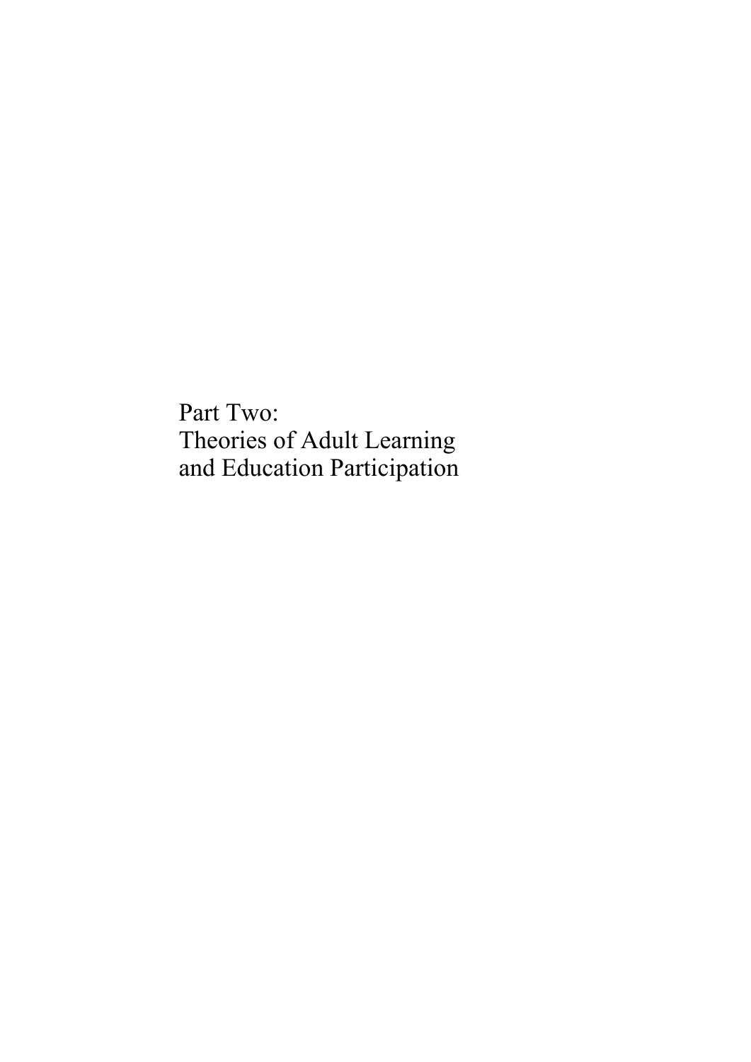Part Two: Theories of Adult Learning and Education Participation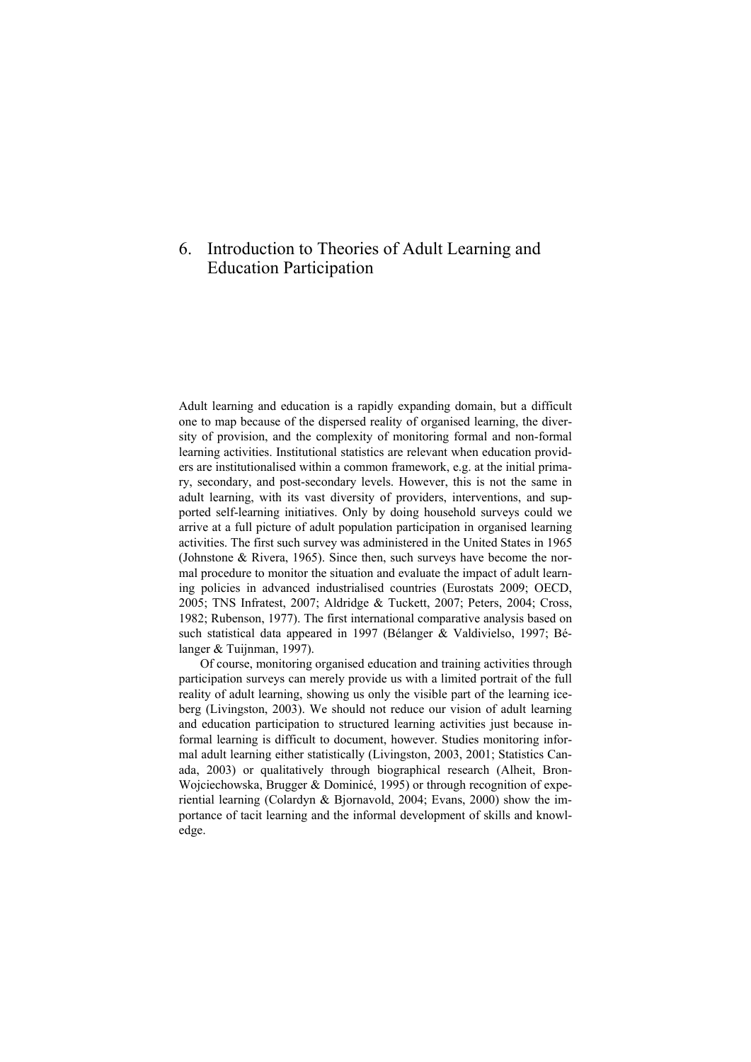# 6. Introduction to Theories of Adult Learning and Education Participation

Adult learning and education is a rapidly expanding domain, but a difficult one to map because of the dispersed reality of organised learning, the diversity of provision, and the complexity of monitoring formal and non-formal learning activities. Institutional statistics are relevant when education providers are institutionalised within a common framework, e.g. at the initial primary, secondary, and post-secondary levels. However, this is not the same in adult learning, with its vast diversity of providers, interventions, and supported self-learning initiatives. Only by doing household surveys could we arrive at a full picture of adult population participation in organised learning activities. The first such survey was administered in the United States in 1965 (Johnstone & Rivera, 1965). Since then, such surveys have become the normal procedure to monitor the situation and evaluate the impact of adult learning policies in advanced industrialised countries (Eurostats 2009; OECD, 2005; TNS Infratest, 2007; Aldridge & Tuckett, 2007; Peters, 2004; Cross, 1982; Rubenson, 1977). The first international comparative analysis based on such statistical data appeared in 1997 (Bélanger & Valdivielso, 1997; Bélanger & Tuijnman, 1997).

Of course, monitoring organised education and training activities through participation surveys can merely provide us with a limited portrait of the full reality of adult learning, showing us only the visible part of the learning iceberg (Livingston, 2003). We should not reduce our vision of adult learning and education participation to structured learning activities just because informal learning is difficult to document, however. Studies monitoring informal adult learning either statistically (Livingston, 2003, 2001; Statistics Canada, 2003) or qualitatively through biographical research (Alheit, Bron-Wojciechowska, Brugger & Dominicé, 1995) or through recognition of experiential learning (Colardyn & Bjornavold, 2004; Evans, 2000) show the importance of tacit learning and the informal development of skills and knowledge.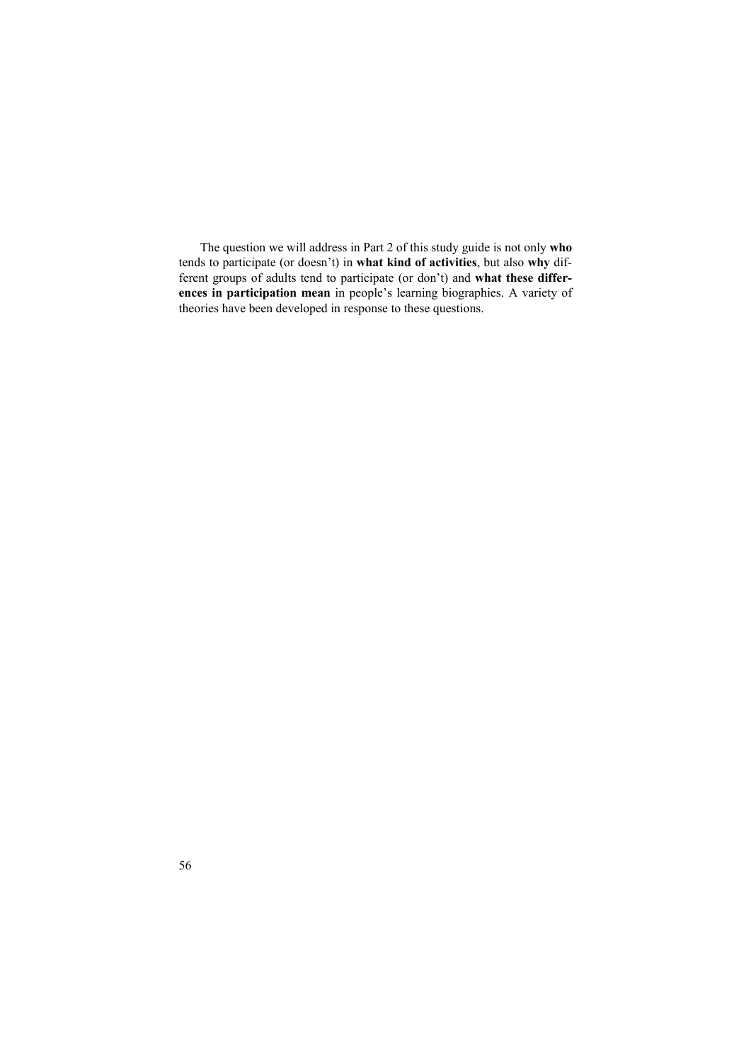The question we will address in Part 2 of this study guide is not only **who** tends to participate (or doesn't) in **what kind of activities**, but also **why** different groups of adults tend to participate (or don't) and **what these differences in participation mean** in people's learning biographies. A variety of theories have been developed in response to these questions.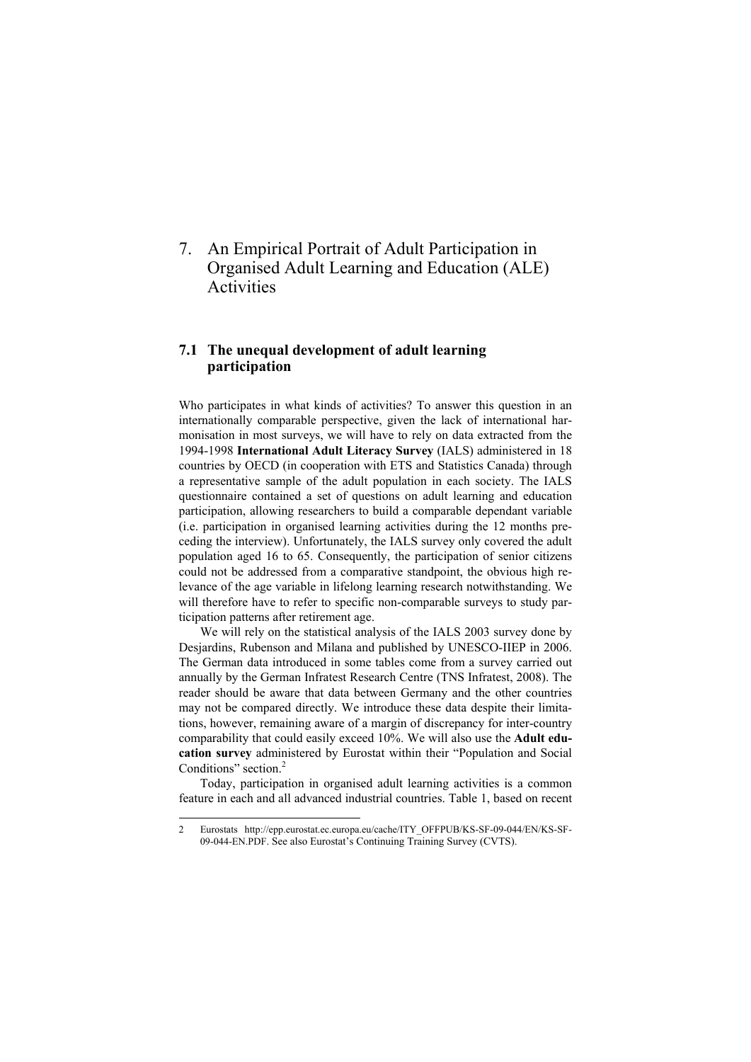7. An Empirical Portrait of Adult Participation in Organised Adult Learning and Education (ALE) **Activities** 

# **7.1 The unequal development of adult learning participation**

Who participates in what kinds of activities? To answer this question in an internationally comparable perspective, given the lack of international harmonisation in most surveys, we will have to rely on data extracted from the 1994-1998 **International Adult Literacy Survey** (IALS) administered in 18 countries by OECD (in cooperation with ETS and Statistics Canada) through a representative sample of the adult population in each society. The IALS questionnaire contained a set of questions on adult learning and education participation, allowing researchers to build a comparable dependant variable (i.e. participation in organised learning activities during the 12 months preceding the interview). Unfortunately, the IALS survey only covered the adult population aged 16 to 65. Consequently, the participation of senior citizens could not be addressed from a comparative standpoint, the obvious high relevance of the age variable in lifelong learning research notwithstanding. We will therefore have to refer to specific non-comparable surveys to study participation patterns after retirement age.

We will rely on the statistical analysis of the IALS 2003 survey done by Desjardins, Rubenson and Milana and published by UNESCO-IIEP in 2006. The German data introduced in some tables come from a survey carried out annually by the German Infratest Research Centre (TNS Infratest, 2008). The reader should be aware that data between Germany and the other countries may not be compared directly. We introduce these data despite their limitations, however, remaining aware of a margin of discrepancy for inter-country comparability that could easily exceed 10%. We will also use the **Adult education survey** administered by Eurostat within their "Population and Social Conditions" section.<sup>2</sup>

Today, participation in organised adult learning activities is a common feature in each and all advanced industrial countries. Table 1, based on recent

l

<sup>2</sup> Eurostats http://epp.eurostat.ec.europa.eu/cache/ITY\_OFFPUB/KS-SF-09-044/EN/KS-SF-09-044-EN.PDF. See also Eurostat's Continuing Training Survey (CVTS).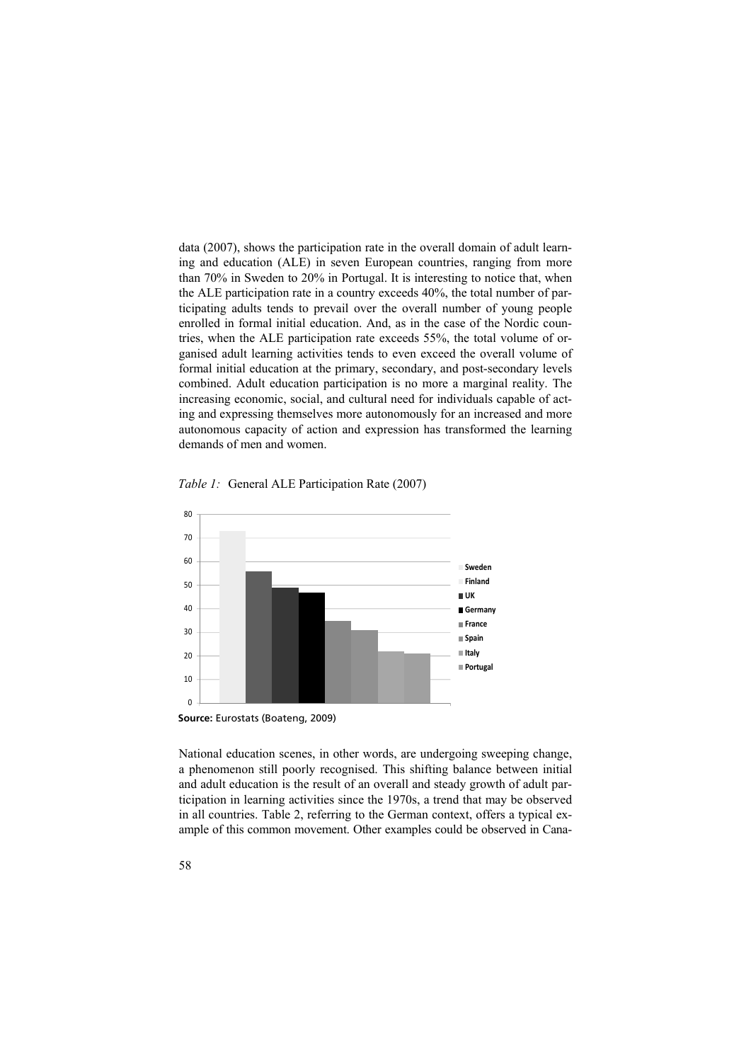data (2007), shows the participation rate in the overall domain of adult learning and education (ALE) in seven European countries, ranging from more than 70% in Sweden to 20% in Portugal. It is interesting to notice that, when the ALE participation rate in a country exceeds 40%, the total number of participating adults tends to prevail over the overall number of young people enrolled in formal initial education. And, as in the case of the Nordic countries, when the ALE participation rate exceeds 55%, the total volume of organised adult learning activities tends to even exceed the overall volume of formal initial education at the primary, secondary, and post-secondary levels combined. Adult education participation is no more a marginal reality. The increasing economic, social, and cultural need for individuals capable of acting and expressing themselves more autonomously for an increased and more autonomous capacity of action and expression has transformed the learning demands of men and women.



**General ALE Participation Rate** (2007) *Table 1:* General ALE Participation Rate (2007)

National education scenes, in other words, are undergoing sweeping change, a phenomenon still poorly recognised. This shifting balance between initial and adult education is the result of an overall and steady growth of adult participation in learning activities since the 1970s, a trend that may be observed in all countries. Table 2, referring to the German context, offers a typical example of this common movement. Other examples could be observed in Cana-

**Source:** Eurostats (Boateng, 2009)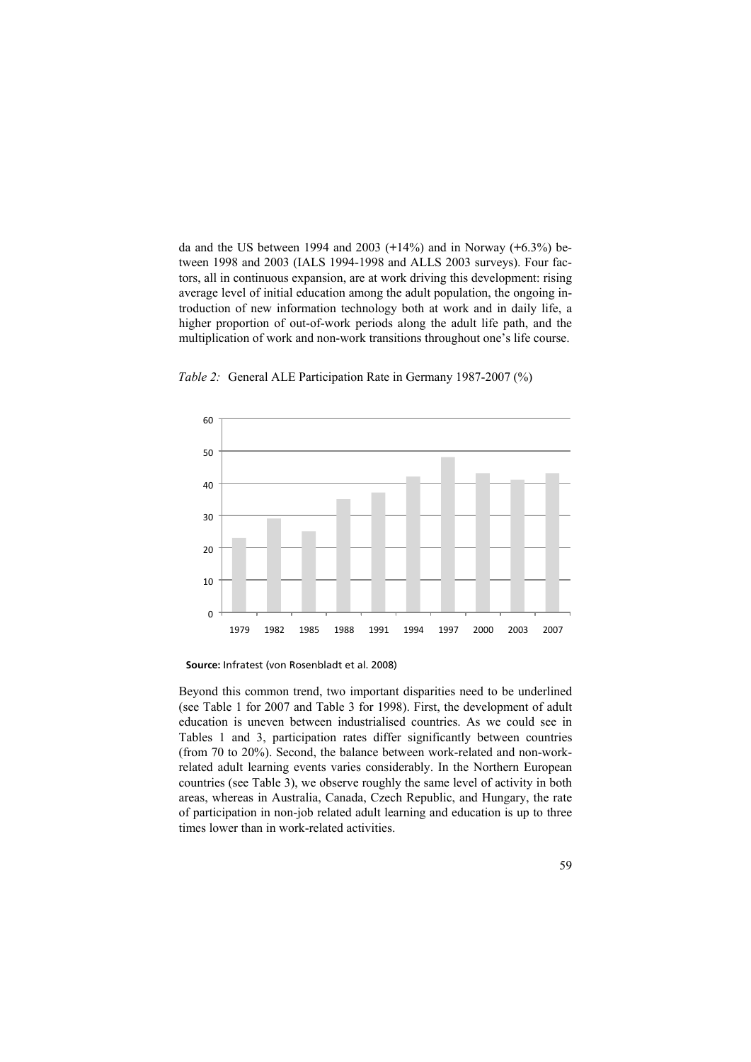da and the US between 1994 and 2003 (**+**14%) and in Norway (**+**6.3%) between 1998 and 2003 (IALS 1994-1998 and ALLS 2003 surveys). Four factors, all in continuous expansion, are at work driving this development: rising average level of initial education among the adult population, the ongoing introduction of new information technology both at work and in daily life, a higher proportion of out-of-work periods along the adult life path, and the multiplication of work and non-work transitions throughout one's life course.





**Source:** Infratest (von Rosenbladt et al. 2008)

Beyond this common trend, two important disparities need to be underlined (see Table 1 for 2007 and Table 3 for 1998). First, the development of adult education is uneven between industrialised countries. As we could see in Tables 1 and 3, participation rates differ significantly between countries (from 70 to 20%). Second, the balance between work-related and non-workrelated adult learning events varies considerably. In the Northern European countries (see Table 3), we observe roughly the same level of activity in both areas, whereas in Australia, Canada, Czech Republic, and Hungary, the rate of participation in non-job related adult learning and education is up to three times lower than in work-related activities.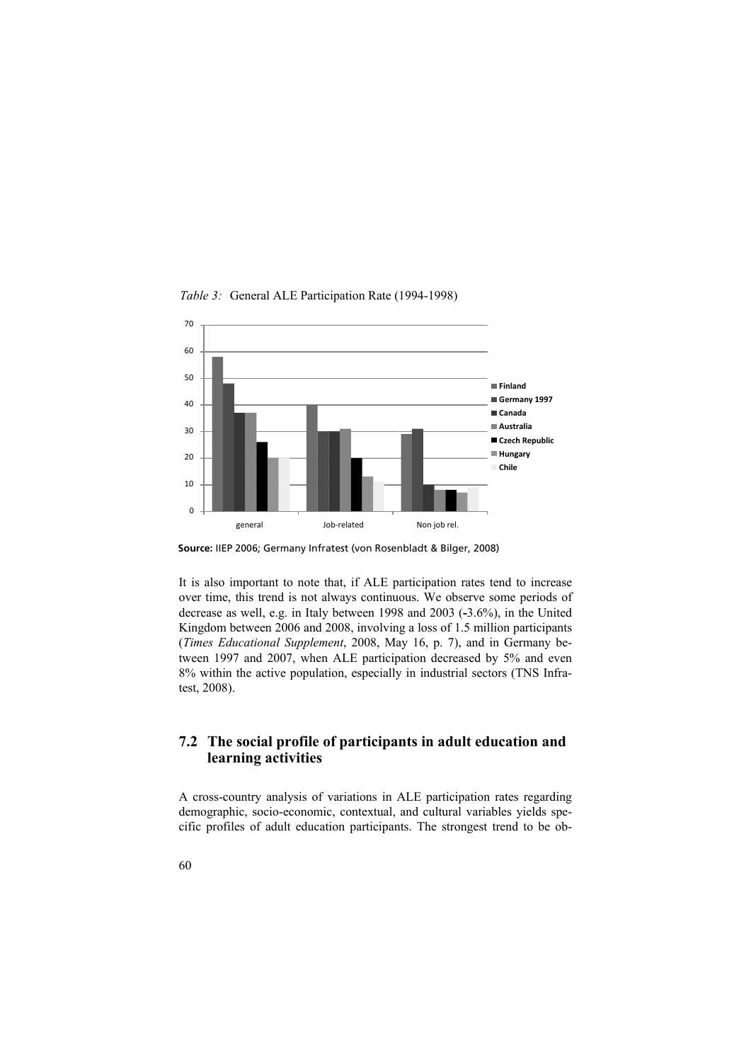

**General ALE Participation Rate (1994 -1998)**  *Table 3:* General ALE Participation Rate (1994-1998)

**Source:** IIEP 2006; Germany Infratest (von Rosenbladt & Bilger, 2008)

It is also important to note that, if ALE participation rates tend to increase over time, this trend is not always continuous. We observe some periods of decrease as well, e.g. in Italy between 1998 and 2003 (**-**3.6%), in the United Kingdom between 2006 and 2008, involving a loss of 1.5 million participants (*Times Educational Supplement*, 2008, May 16, p. 7), and in Germany between 1997 and 2007, when ALE participation decreased by 5% and even 8% within the active population, especially in industrial sectors (TNS Infratest, 2008).

# **7.2 The social profile of participants in adult education and learning activities**

A cross-country analysis of variations in ALE participation rates regarding demographic, socio-economic, contextual, and cultural variables yields specific profiles of adult education participants. The strongest trend to be ob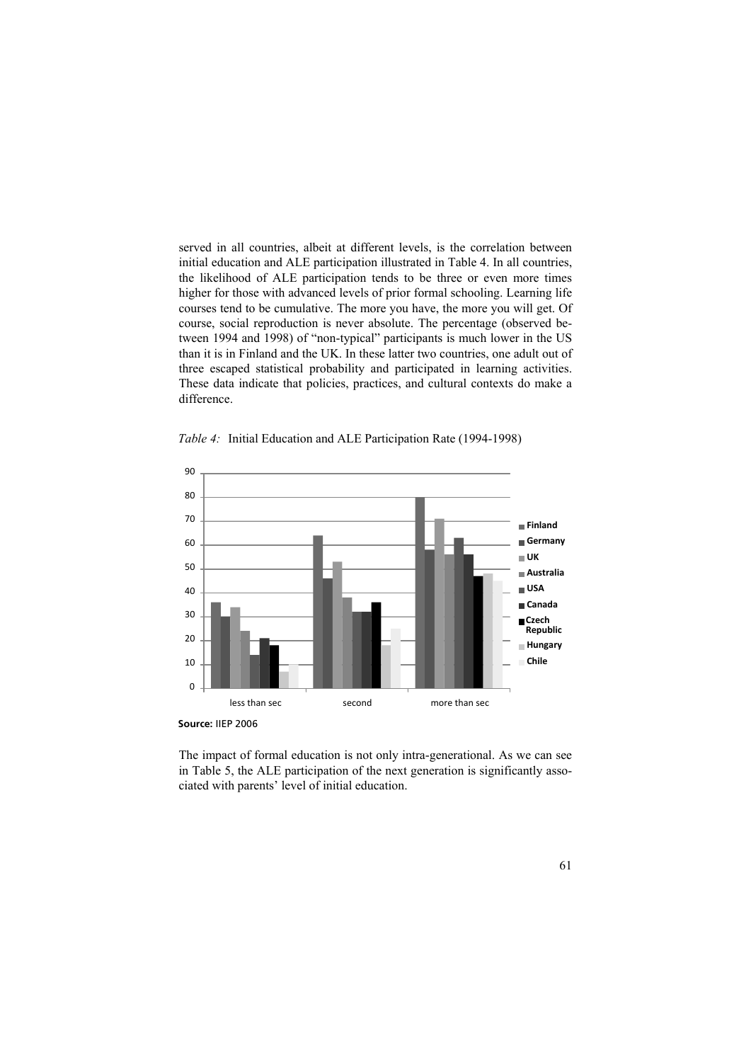served in all countries, albeit at different levels, is the correlation between initial education and ALE participation illustrated in Table 4. In all countries, the likelihood of ALE participation tends to be three or even more times higher for those with advanced levels of prior formal schooling. Learning life courses tend to be cumulative. The more you have, the more you will get. Of course, social reproduction is never absolute. The percentage (observed between 1994 and 1998) of "non-typical" participants is much lower in the US than it is in Finland and the UK. In these latter two countries, one adult out of three escaped statistical probability and participated in learning activities. These data indicate that policies, practices, and cultural contexts do make a difference.



**Initial Educationand ALE Participation Rate** (1994-1998) *Table 4:* Initial Education and ALE Participation Rate (1994-1998)

The impact of formal education is not only intra-generational. As we can see in Table 5, the ALE participation of the next generation is significantly associated with parents' level of initial education.

**Source:** IIEP 2006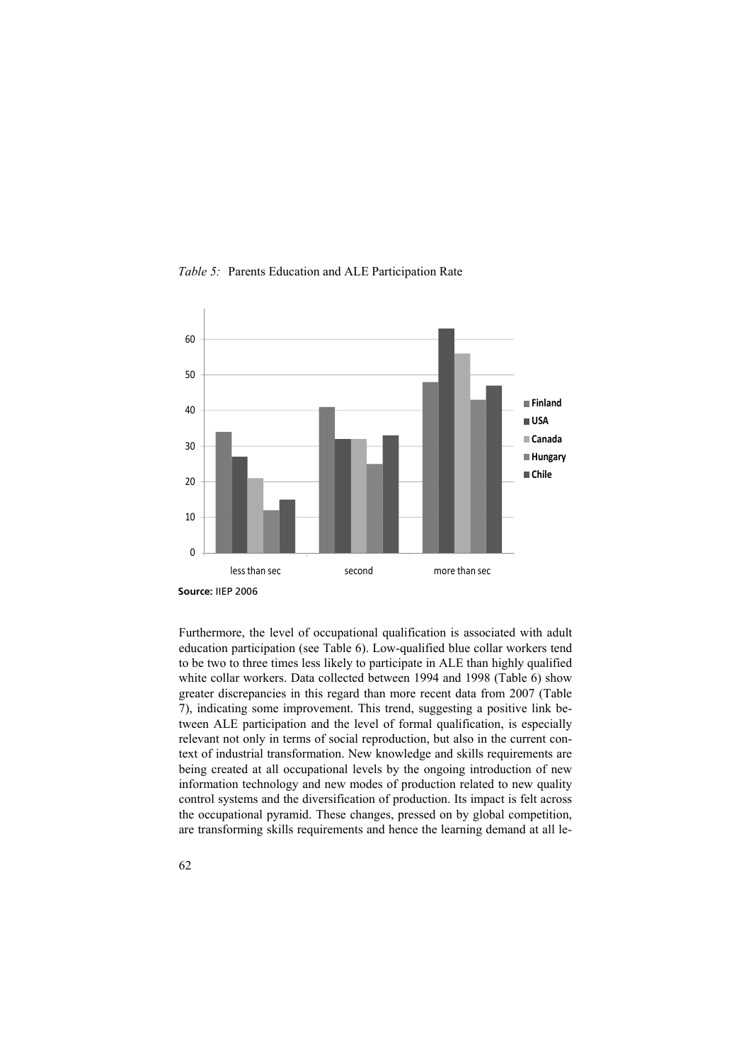



Furthermore, the level of occupational qualification is associated with adult education participation (see Table 6). Low-qualified blue collar workers tend to be two to three times less likely to participate in ALE than highly qualified white collar workers. Data collected between 1994 and 1998 (Table 6) show greater discrepancies in this regard than more recent data from 2007 (Table 7), indicating some improvement. This trend, suggesting a positive link between ALE participation and the level of formal qualification, is especially relevant not only in terms of social reproduction, but also in the current context of industrial transformation. New knowledge and skills requirements are being created at all occupational levels by the ongoing introduction of new information technology and new modes of production related to new quality control systems and the diversification of production. Its impact is felt across the occupational pyramid. These changes, pressed on by global competition, are transforming skills requirements and hence the learning demand at all le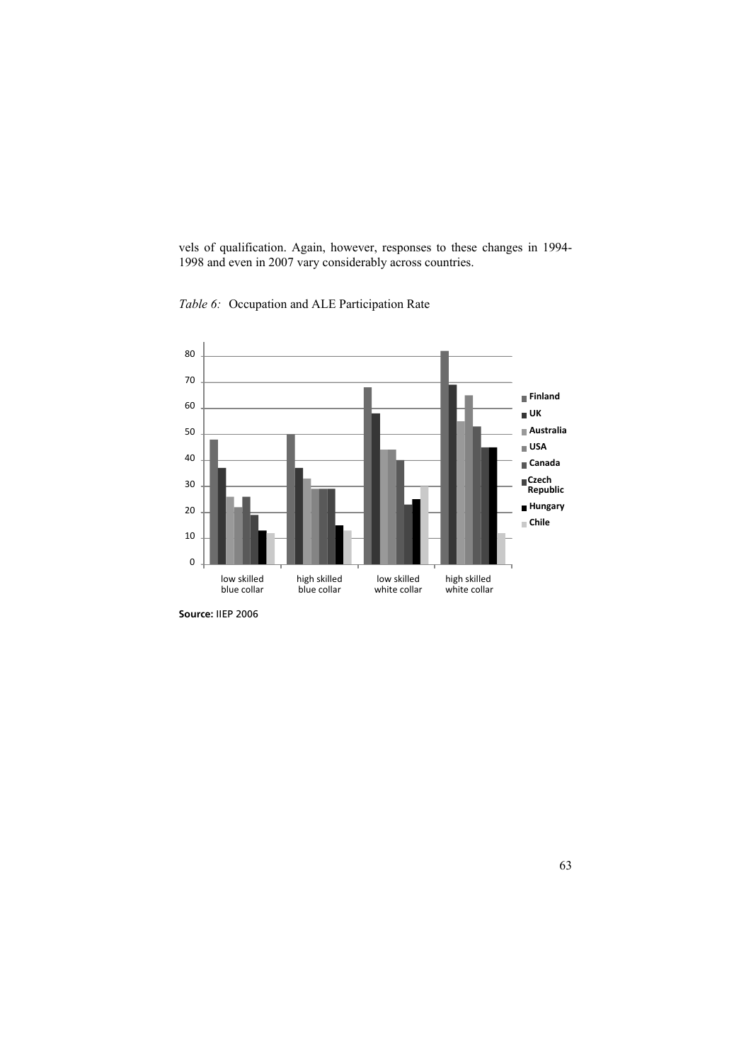vels of qualification. Again, however, responses to these changes in 1994- 1998 and even in 2007 vary considerably across countries.



**Occupation and ALE Participation Rate** *Table 6:* Occupation and ALE Participation Rate

**Source:** IIEP 2006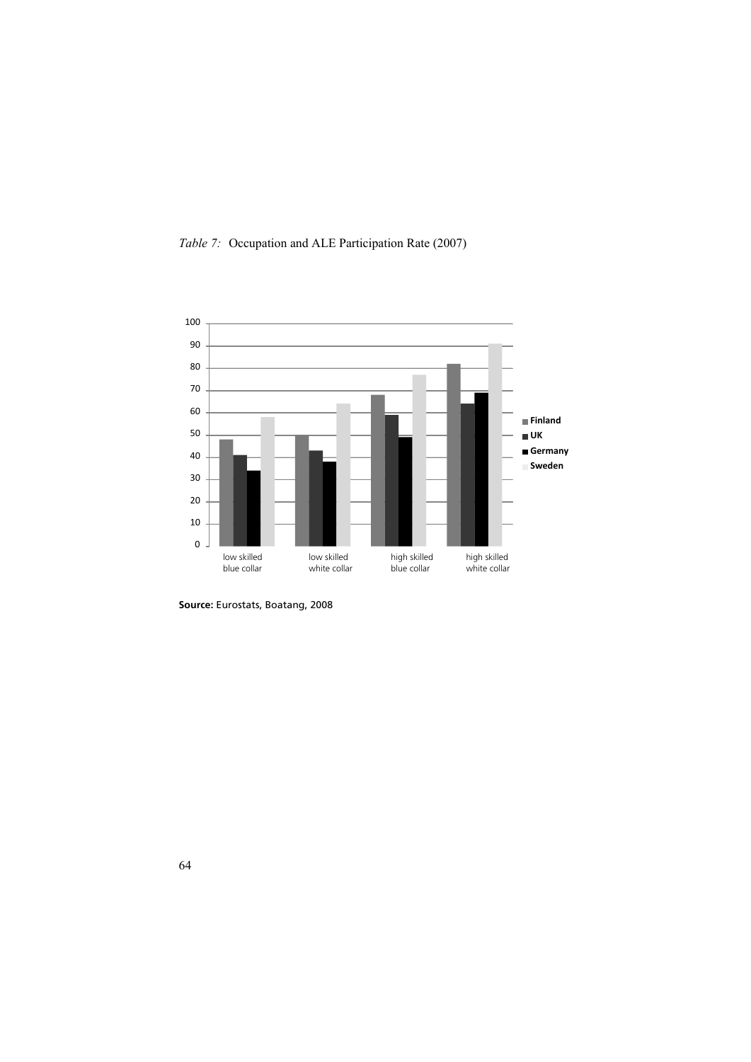**Table 7** *Table 7:* Occupation and ALE Participation Rate (2007)



**Source:** Eurostats, Boatang, 2008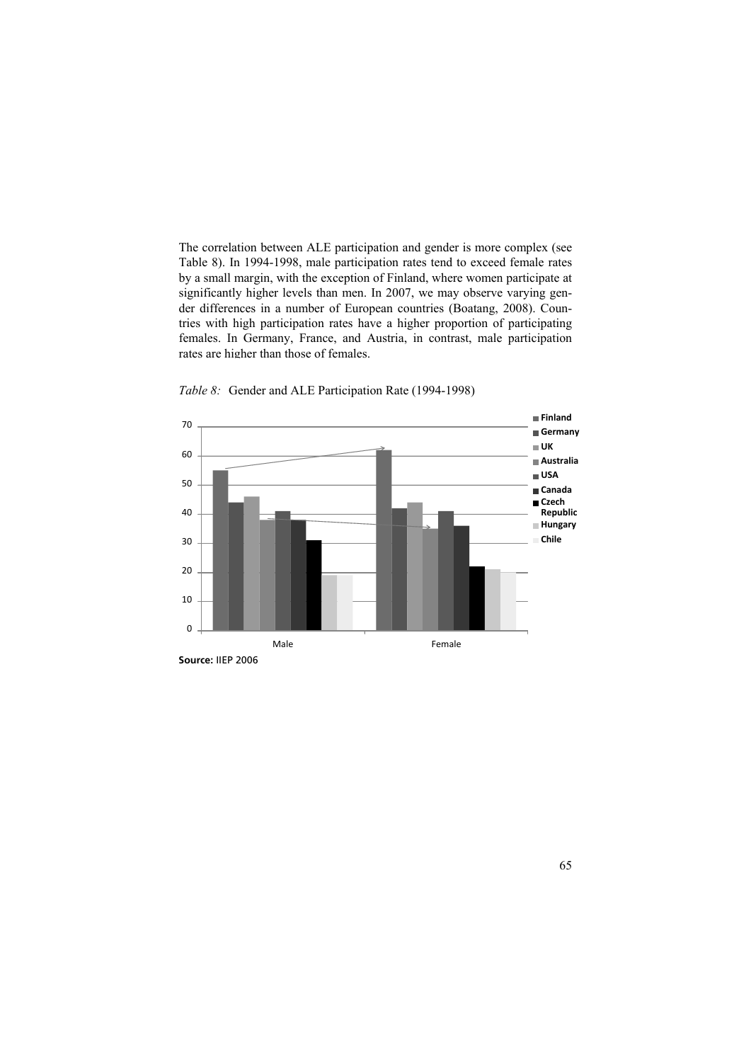The correlation between ALE participation and gender is more complex (see Table 8). In 1994-1998, male participation rates tend to exceed female rates by a small margin, with the exception of Finland, where women participate at significantly higher levels than men. In 2007, we may observe varying gender differences in a number of European countries (Boatang, 2008). Countries with high participation rates have a higher proportion of participating females. In Germany, France, and Austria, in contrast, male participation rates are higher than those of females.



*Table 8:* Gender and ALE Participation Rate (1994-1998)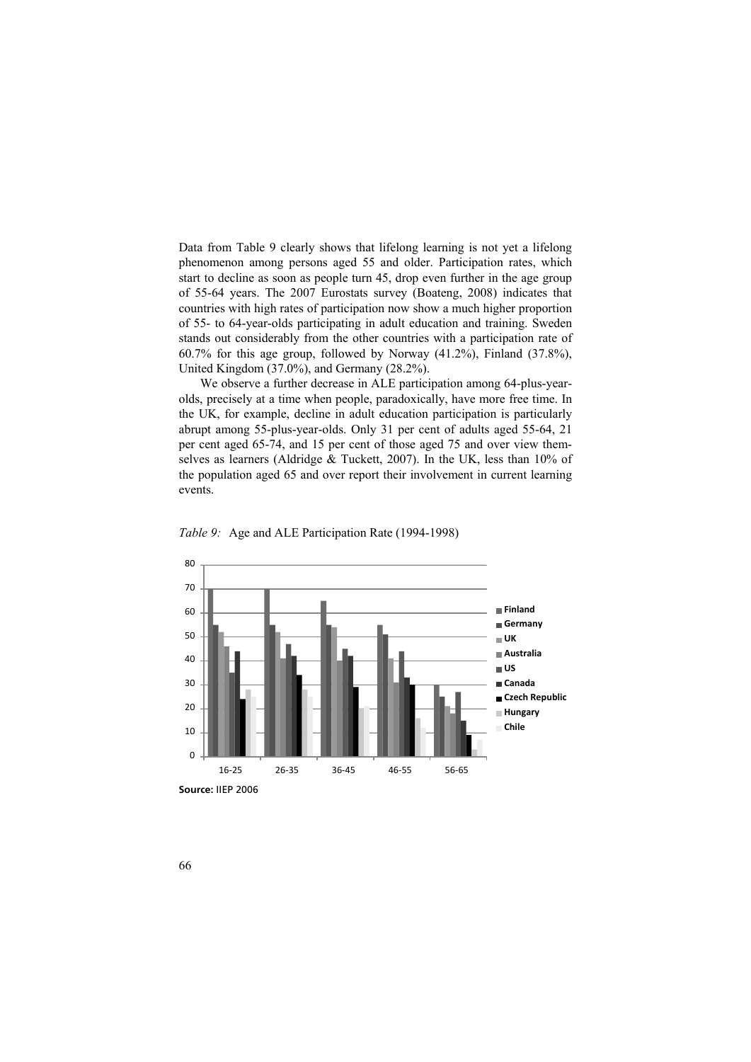Data from Table 9 clearly shows that lifelong learning is not yet a lifelong phenomenon among persons aged 55 and older. Participation rates, which start to decline as soon as people turn 45, drop even further in the age group of 55-64 years. The 2007 Eurostats survey (Boateng, 2008) indicates that countries with high rates of participation now show a much higher proportion of 55- to 64-year-olds participating in adult education and training. Sweden stands out considerably from the other countries with a participation rate of 60.7% for this age group, followed by Norway (41.2%), Finland (37.8%), United Kingdom (37.0%), and Germany (28.2%).

We observe a further decrease in ALE participation among 64-plus-yearolds, precisely at a time when people, paradoxically, have more free time. In the UK, for example, decline in adult education participation is particularly abrupt among 55-plus-year-olds. Only 31 per cent of adults aged 55-64, 21 per cent aged 65-74, and 15 per cent of those aged 75 and over view themselves as learners (Aldridge & Tuckett, 2007). In the UK, less than 10% of the population aged 65 and over report their involvement in current learning events.





**Source:** IIEP 2006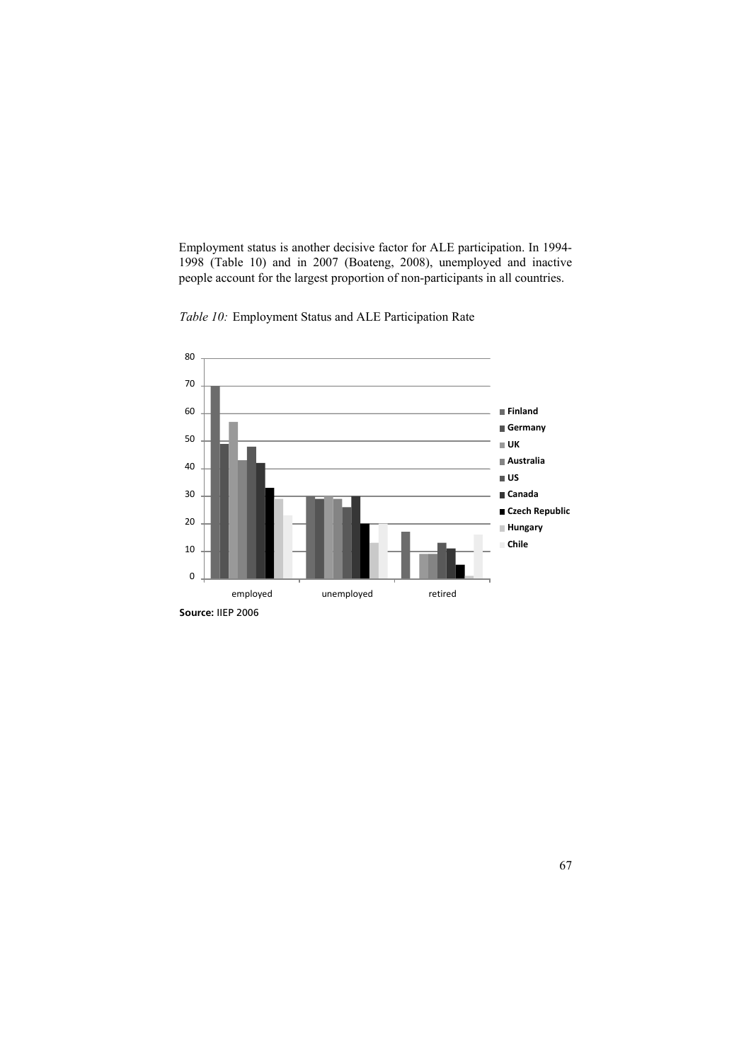Employment status is another decisive factor for ALE participation. In 1994- 1998 (Table 10) and in 2007 (Boateng, 2008), unemployed and inactive people account for the largest proportion of non-participants in all countries.



Table 10: Employment Status and ALE Participation Rate

**Source:** IIEP 2006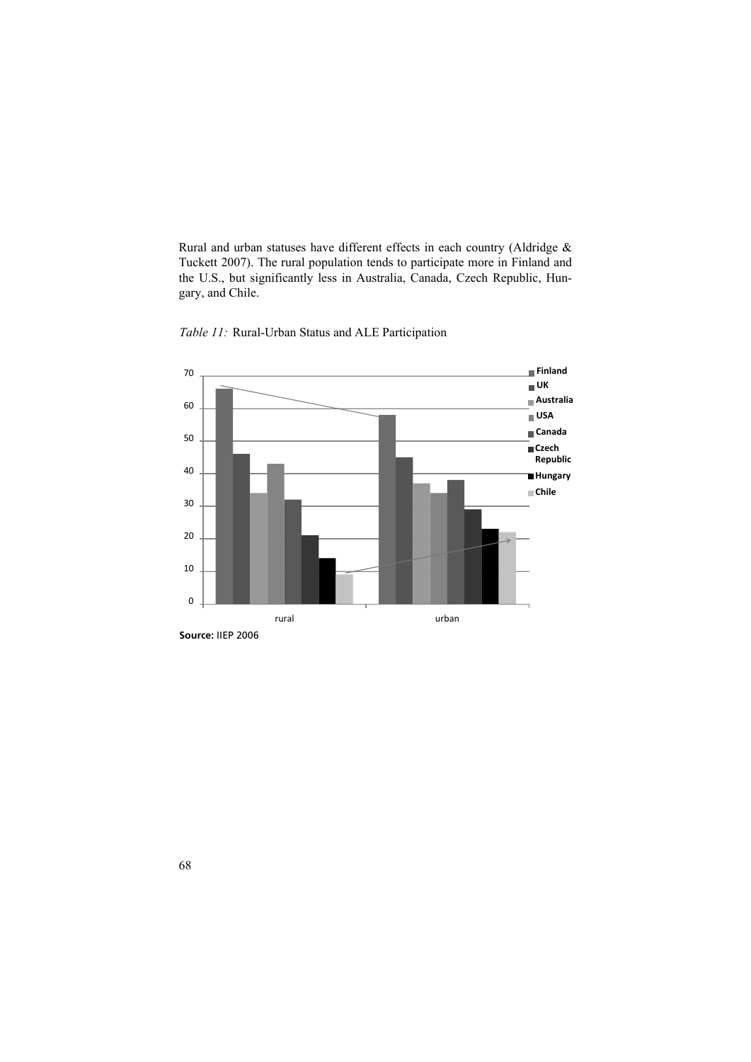Rural and urban statuses have different effects in each country (Aldridge & Tuckett 2007). The rural population tends to participate more in Finland and the U.S., but significantly less in Australia, Canada, Czech Republic, Hungary, and Chile.



*Table 11:* Rural-Urban Status and ALE Participation

**Source:** IIEP 2006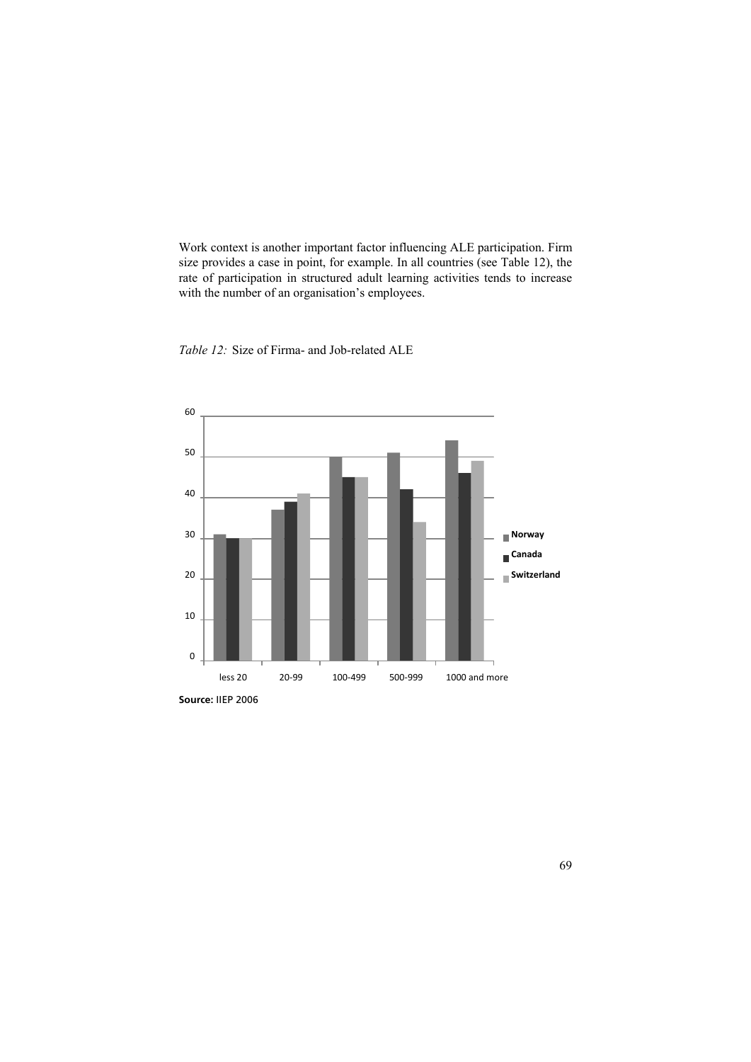Work context is another important factor influencing ALE participation. Firm size provides a case in point, for example. In all countries (see Table 12), the rate of participation in structured adult learning activities tends to increase with the number of an organisation's employees.





**Source:** IIEP 2006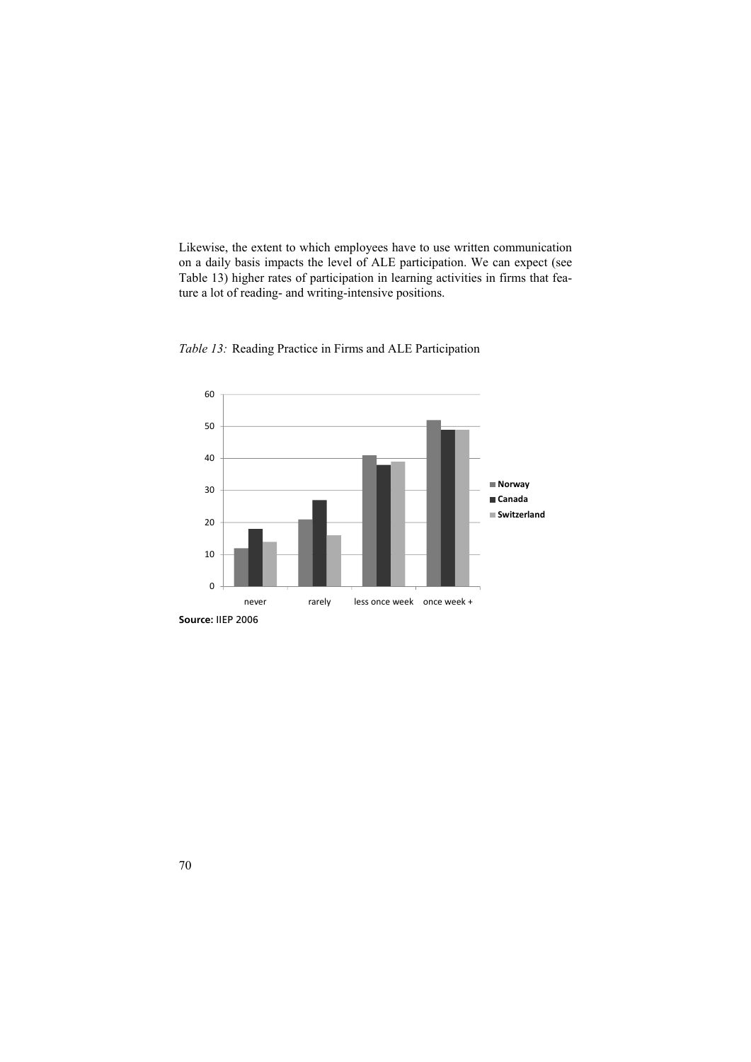Likewise, the extent to which employees have to use written communication on a daily basis impacts the level of ALE participation. We can expect (see Table 13) higher rates of participation in learning activities in firms that feature a lot of reading- and writing-intensive positions.





**Source:** IIEP 2006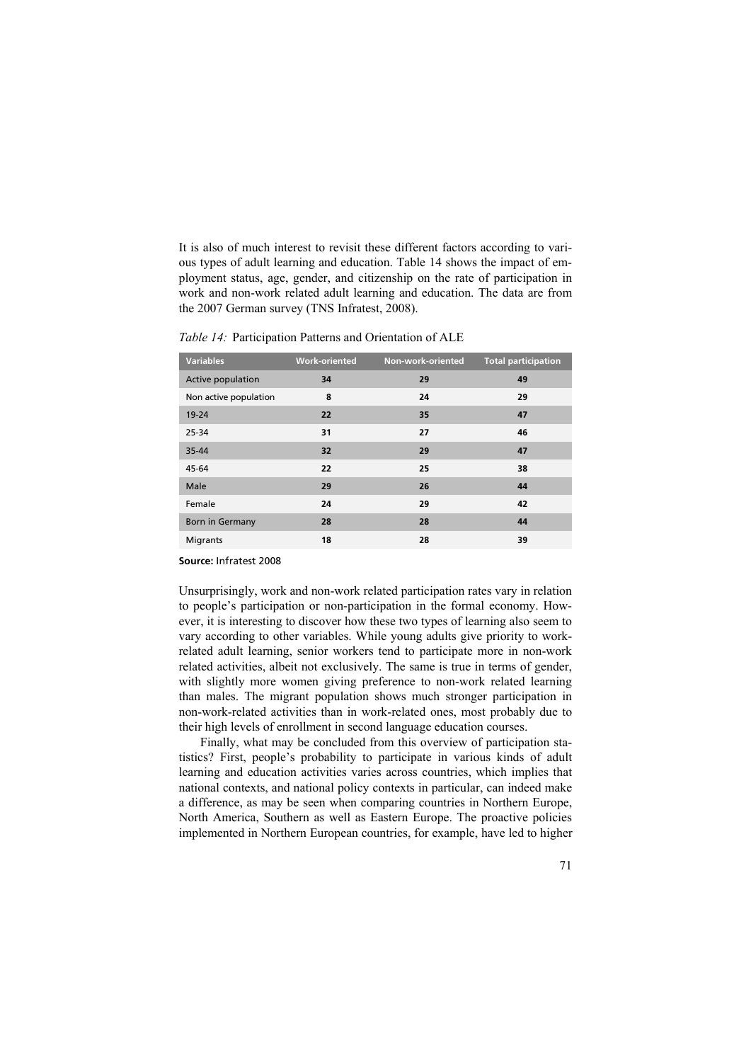It is also of much interest to revisit these different factors according to various types of adult learning and education. Table 14 shows the impact of employment status, age, gender, and citizenship on the rate of participation in work and non-work related adult learning and education. The data are from the 2007 German survey (TNS Infratest, 2008).

| <b>Variables</b>       | <b>Work-oriented</b> | Non-work-oriented | <b>Total participation</b> |
|------------------------|----------------------|-------------------|----------------------------|
| Active population      | 34                   | 29                | 49                         |
| Non active population  | 8                    | 24                | 29                         |
| $19 - 24$              | 22                   | 35                | 47                         |
| 25-34                  | 31                   | 27                | 46                         |
| 35-44                  | 32                   | 29                | 47                         |
| 45-64                  | 22                   | 25                | 38                         |
| Male                   | 29                   | 26                | 44                         |
| Female                 | 24                   | 29                | 42                         |
| <b>Born in Germany</b> | 28                   | 28                | 44                         |
| Migrants               | 18                   | 28                | 39                         |

*Table 14:* Participation Patterns and Orientation of ALE

#### **Source:** Infratest 2008

Unsurprisingly, work and non-work related participation rates vary in relation to people's participation or non-participation in the formal economy. However, it is interesting to discover how these two types of learning also seem to vary according to other variables. While young adults give priority to workrelated adult learning, senior workers tend to participate more in non-work related activities, albeit not exclusively. The same is true in terms of gender, with slightly more women giving preference to non-work related learning than males. The migrant population shows much stronger participation in non-work-related activities than in work-related ones, most probably due to their high levels of enrollment in second language education courses.

Finally, what may be concluded from this overview of participation statistics? First, people's probability to participate in various kinds of adult learning and education activities varies across countries, which implies that national contexts, and national policy contexts in particular, can indeed make a difference, as may be seen when comparing countries in Northern Europe, North America, Southern as well as Eastern Europe. The proactive policies implemented in Northern European countries, for example, have led to higher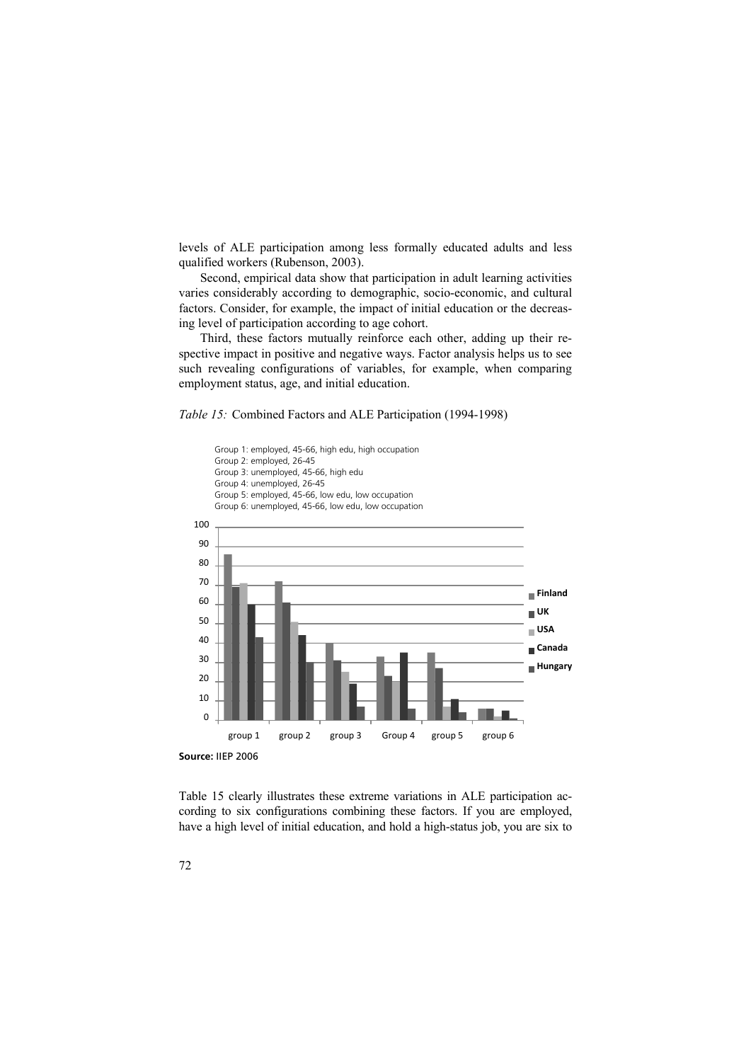levels of ALE participation among less formally educated adults and less qualified workers (Rubenson, 2003).

Second, empirical data show that participation in adult learning activities varies considerably according to demographic, socio-economic, and cultural factors. Consider, for example, the impact of initial education or the decreasing level of participation according to age cohort.

Third, these factors mutually reinforce each other, adding up their respective impact in positive and negative ways. Factor analysis helps us to see such revealing configurations of variables, for example, when comparing employment status, age, and initial education.

*Table 15:* Combined Factors and ALE Participation (1994-1998)



Table 15 clearly illustrates these extreme variations in ALE participation according to six configurations combining these factors. If you are employed, have a high level of initial education, and hold a high-status job, you are six to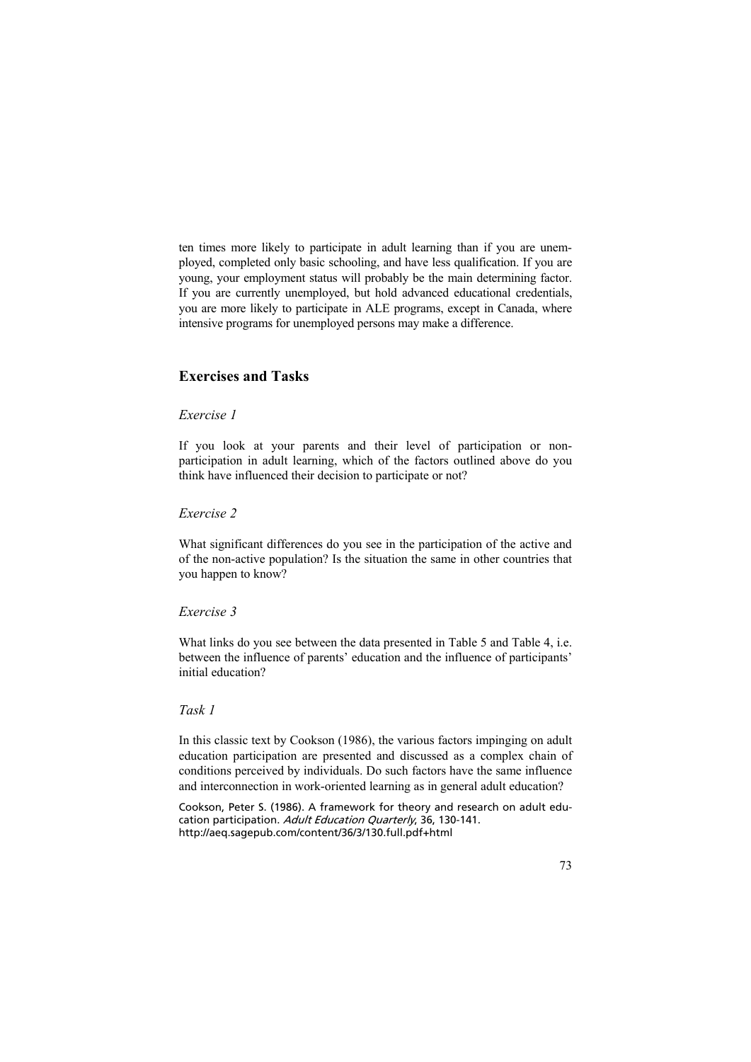ten times more likely to participate in adult learning than if you are unemployed, completed only basic schooling, and have less qualification. If you are young, your employment status will probably be the main determining factor. If you are currently unemployed, but hold advanced educational credentials, you are more likely to participate in ALE programs, except in Canada, where intensive programs for unemployed persons may make a difference.

# **Exercises and Tasks**

### *Exercise 1*

If you look at your parents and their level of participation or nonparticipation in adult learning, which of the factors outlined above do you think have influenced their decision to participate or not?

## *Exercise 2*

What significant differences do you see in the participation of the active and of the non-active population? Is the situation the same in other countries that you happen to know?

### *Exercise 3*

What links do you see between the data presented in Table 5 and Table 4, i.e. between the influence of parents' education and the influence of participants' initial education?

### *Task 1*

In this classic text by Cookson (1986), the various factors impinging on adult education participation are presented and discussed as a complex chain of conditions perceived by individuals. Do such factors have the same influence and interconnection in work-oriented learning as in general adult education?

Cookson, Peter S. (1986). A framework for theory and research on adult education participation. Adult Education Quarterly, 36, 130-141. http://aeq.sagepub.com/content/36/3/130.full.pdf+html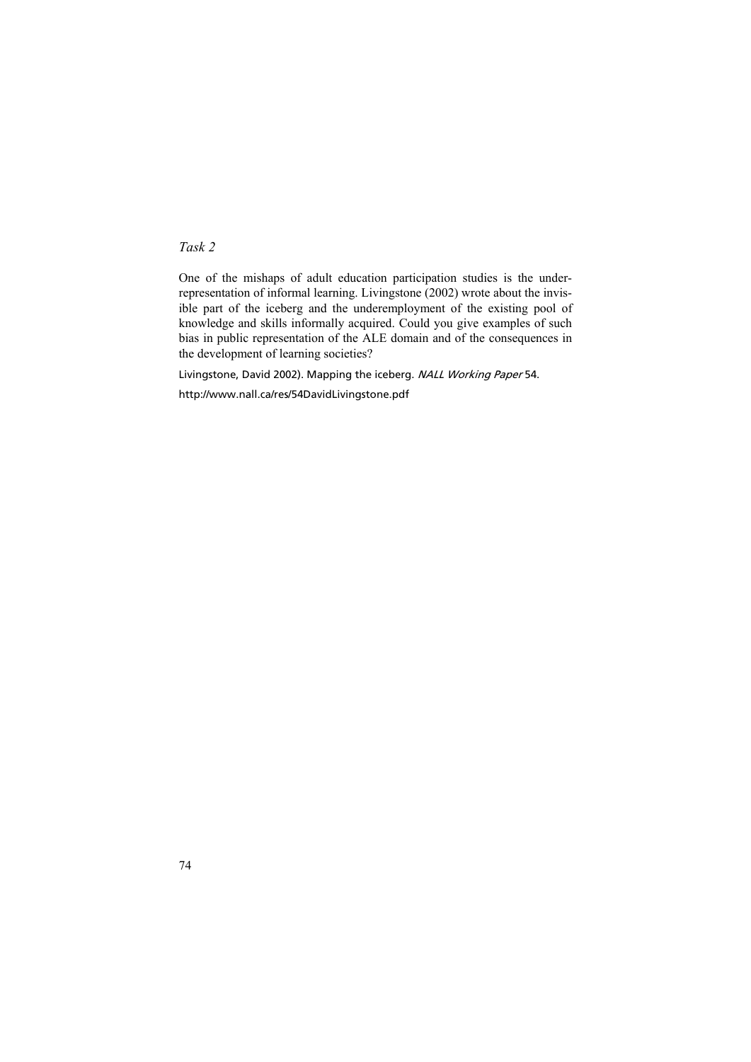# *Task 2*

One of the mishaps of adult education participation studies is the underrepresentation of informal learning. Livingstone (2002) wrote about the invisible part of the iceberg and the underemployment of the existing pool of knowledge and skills informally acquired. Could you give examples of such bias in public representation of the ALE domain and of the consequences in the development of learning societies?

Livingstone, David 2002). Mapping the iceberg. NALL Working Paper 54. http://www.nall.ca/res/54DavidLivingstone.pdf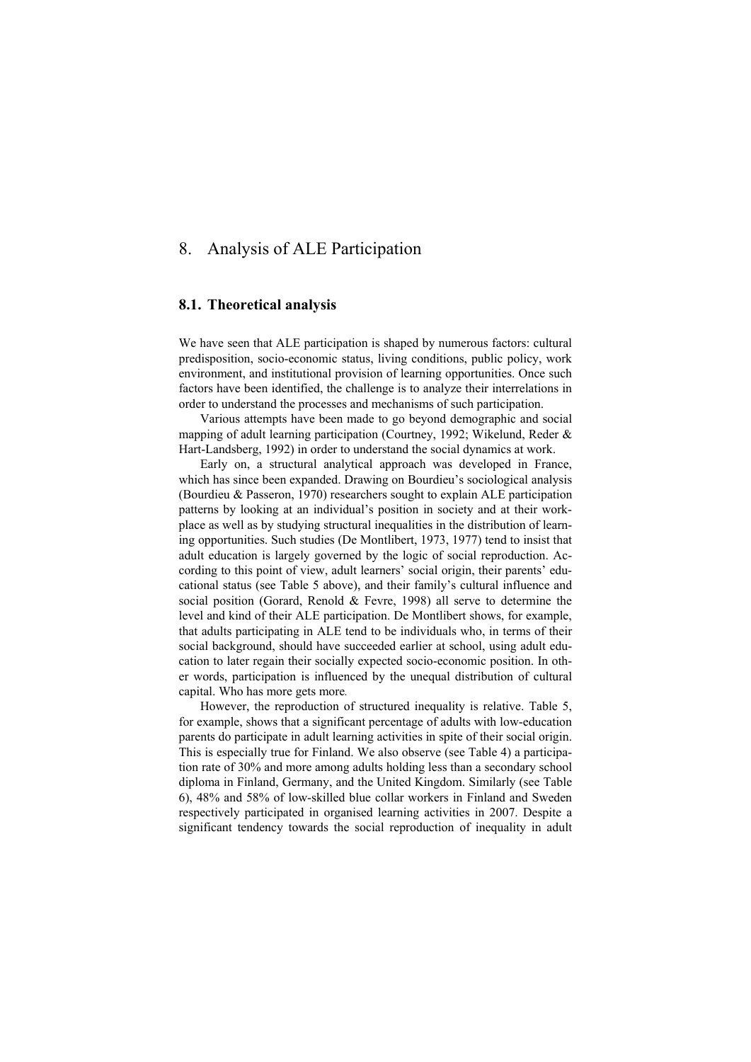# 8. Analysis of ALE Participation

### **8.1. Theoretical analysis**

We have seen that ALE participation is shaped by numerous factors: cultural predisposition, socio-economic status, living conditions, public policy, work environment, and institutional provision of learning opportunities. Once such factors have been identified, the challenge is to analyze their interrelations in order to understand the processes and mechanisms of such participation.

Various attempts have been made to go beyond demographic and social mapping of adult learning participation (Courtney, 1992; Wikelund, Reder & Hart-Landsberg, 1992) in order to understand the social dynamics at work.

Early on, a structural analytical approach was developed in France, which has since been expanded. Drawing on Bourdieu's sociological analysis (Bourdieu & Passeron, 1970) researchers sought to explain ALE participation patterns by looking at an individual's position in society and at their workplace as well as by studying structural inequalities in the distribution of learning opportunities. Such studies (De Montlibert, 1973, 1977) tend to insist that adult education is largely governed by the logic of social reproduction. According to this point of view, adult learners' social origin, their parents' educational status (see Table 5 above), and their family's cultural influence and social position (Gorard, Renold & Fevre, 1998) all serve to determine the level and kind of their ALE participation. De Montlibert shows, for example, that adults participating in ALE tend to be individuals who, in terms of their social background, should have succeeded earlier at school, using adult education to later regain their socially expected socio-economic position. In other words, participation is influenced by the unequal distribution of cultural capital. Who has more gets more*.* 

However, the reproduction of structured inequality is relative. Table 5, for example, shows that a significant percentage of adults with low-education parents do participate in adult learning activities in spite of their social origin. This is especially true for Finland. We also observe (see Table 4) a participation rate of 30% and more among adults holding less than a secondary school diploma in Finland, Germany, and the United Kingdom. Similarly (see Table 6), 48% and 58% of low-skilled blue collar workers in Finland and Sweden respectively participated in organised learning activities in 2007. Despite a significant tendency towards the social reproduction of inequality in adult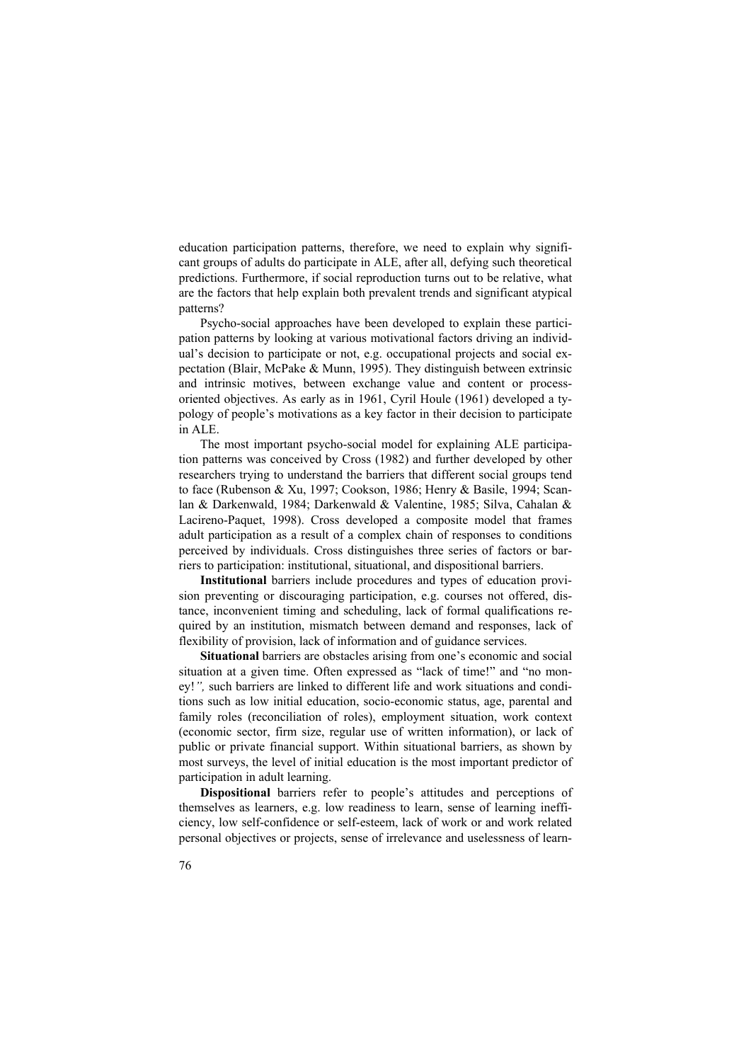education participation patterns, therefore, we need to explain why significant groups of adults do participate in ALE, after all, defying such theoretical predictions. Furthermore, if social reproduction turns out to be relative, what are the factors that help explain both prevalent trends and significant atypical patterns?

Psycho-social approaches have been developed to explain these participation patterns by looking at various motivational factors driving an individual's decision to participate or not, e.g. occupational projects and social expectation (Blair, McPake & Munn, 1995). They distinguish between extrinsic and intrinsic motives, between exchange value and content or processoriented objectives. As early as in 1961, Cyril Houle (1961) developed a typology of people's motivations as a key factor in their decision to participate in ALE.

The most important psycho-social model for explaining ALE participation patterns was conceived by Cross (1982) and further developed by other researchers trying to understand the barriers that different social groups tend to face (Rubenson & Xu, 1997; Cookson, 1986; Henry & Basile, 1994; Scanlan & Darkenwald, 1984; Darkenwald & Valentine, 1985; Silva, Cahalan & Lacireno-Paquet, 1998). Cross developed a composite model that frames adult participation as a result of a complex chain of responses to conditions perceived by individuals. Cross distinguishes three series of factors or barriers to participation: institutional, situational, and dispositional barriers.

**Institutional** barriers include procedures and types of education provision preventing or discouraging participation, e.g. courses not offered, distance, inconvenient timing and scheduling, lack of formal qualifications required by an institution, mismatch between demand and responses, lack of flexibility of provision, lack of information and of guidance services.

**Situational** barriers are obstacles arising from one's economic and social situation at a given time. Often expressed as "lack of time!" and "no money!*",* such barriers are linked to different life and work situations and conditions such as low initial education, socio-economic status, age, parental and family roles (reconciliation of roles), employment situation, work context (economic sector, firm size, regular use of written information), or lack of public or private financial support. Within situational barriers, as shown by most surveys, the level of initial education is the most important predictor of participation in adult learning.

**Dispositional** barriers refer to people's attitudes and perceptions of themselves as learners, e.g. low readiness to learn, sense of learning inefficiency, low self-confidence or self-esteem, lack of work or and work related personal objectives or projects, sense of irrelevance and uselessness of learn-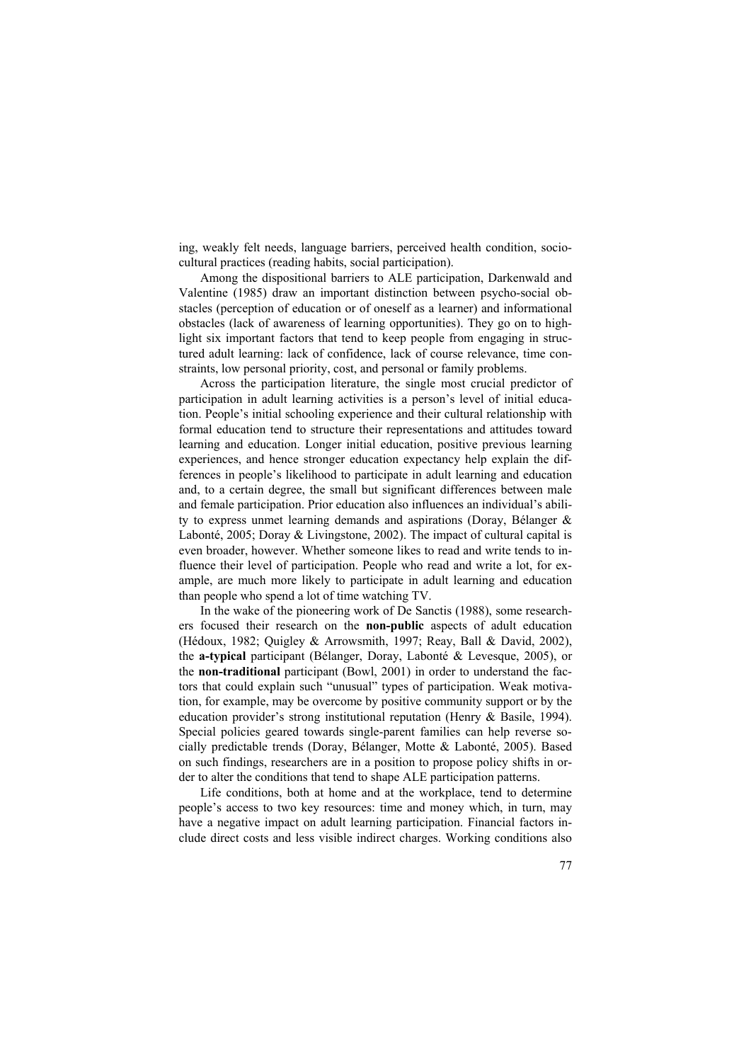ing, weakly felt needs, language barriers, perceived health condition, sociocultural practices (reading habits, social participation).

Among the dispositional barriers to ALE participation, Darkenwald and Valentine (1985) draw an important distinction between psycho-social obstacles (perception of education or of oneself as a learner) and informational obstacles (lack of awareness of learning opportunities). They go on to highlight six important factors that tend to keep people from engaging in structured adult learning: lack of confidence, lack of course relevance, time constraints, low personal priority, cost, and personal or family problems.

Across the participation literature, the single most crucial predictor of participation in adult learning activities is a person's level of initial education. People's initial schooling experience and their cultural relationship with formal education tend to structure their representations and attitudes toward learning and education. Longer initial education, positive previous learning experiences, and hence stronger education expectancy help explain the differences in people's likelihood to participate in adult learning and education and, to a certain degree, the small but significant differences between male and female participation. Prior education also influences an individual's ability to express unmet learning demands and aspirations (Doray, Bélanger & Labonté, 2005; Doray & Livingstone, 2002). The impact of cultural capital is even broader, however. Whether someone likes to read and write tends to influence their level of participation. People who read and write a lot, for example, are much more likely to participate in adult learning and education than people who spend a lot of time watching TV.

In the wake of the pioneering work of De Sanctis (1988), some researchers focused their research on the **non-public** aspects of adult education (Hédoux, 1982; Quigley & Arrowsmith, 1997; Reay, Ball & David, 2002), the **a-typical** participant (Bélanger, Doray, Labonté & Levesque, 2005), or the **non-traditional** participant (Bowl, 2001) in order to understand the factors that could explain such "unusual" types of participation. Weak motivation, for example, may be overcome by positive community support or by the education provider's strong institutional reputation (Henry & Basile, 1994). Special policies geared towards single-parent families can help reverse socially predictable trends (Doray, Bélanger, Motte & Labonté, 2005). Based on such findings, researchers are in a position to propose policy shifts in order to alter the conditions that tend to shape ALE participation patterns.

Life conditions, both at home and at the workplace, tend to determine people's access to two key resources: time and money which, in turn, may have a negative impact on adult learning participation. Financial factors include direct costs and less visible indirect charges. Working conditions also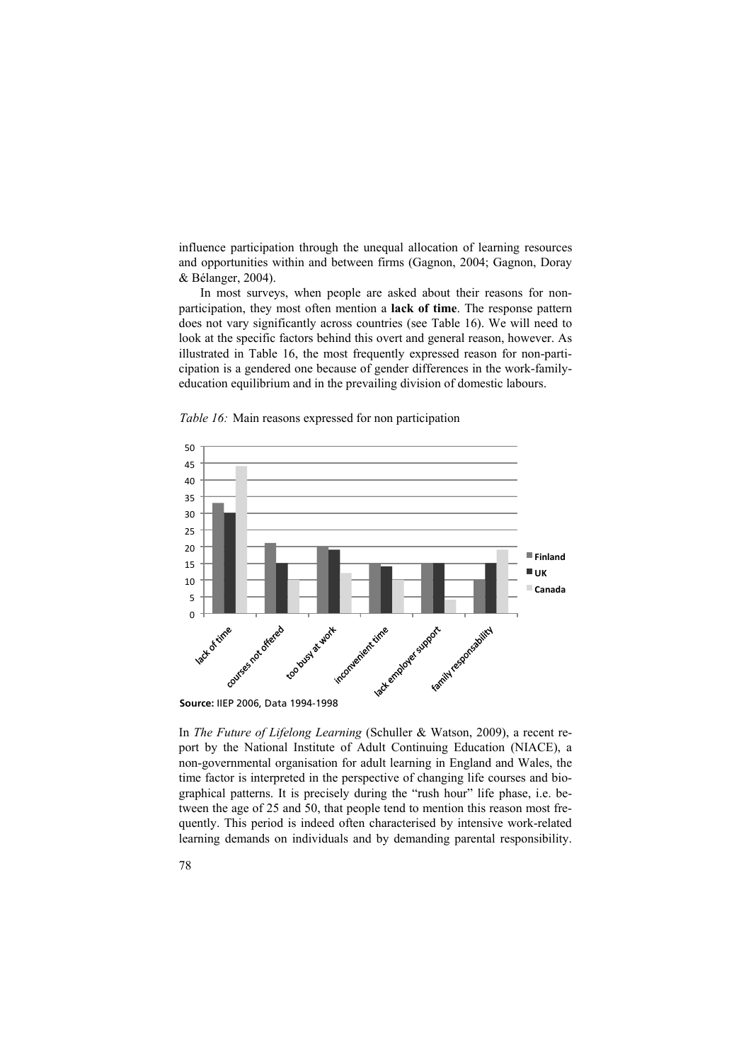influence participation through the unequal allocation of learning resources and opportunities within and between firms (Gagnon, 2004; Gagnon, Doray & Bélanger, 2004).

In most surveys, when people are asked about their reasons for nonparticipation, they most often mention a **lack of time**. The response pattern does not vary significantly across countries (see Table 16). We will need to look at the specific factors behind this overt and general reason, however. As illustrated in Table 16, the most frequently expressed reason for non-participation is a gendered one because of gender differences in the work-familyeducation equilibrium and in the prevailing division of domestic labours.



Table 16: Main reasons expressed for non participation

In *The Future of Lifelong Learning* (Schuller & Watson, 2009), a recent report by the National Institute of Adult Continuing Education (NIACE), a non-governmental organisation for adult learning in England and Wales, the time factor is interpreted in the perspective of changing life courses and biographical patterns. It is precisely during the "rush hour" life phase, i.e. between the age of 25 and 50, that people tend to mention this reason most frequently. This period is indeed often characterised by intensive work-related learning demands on individuals and by demanding parental responsibility.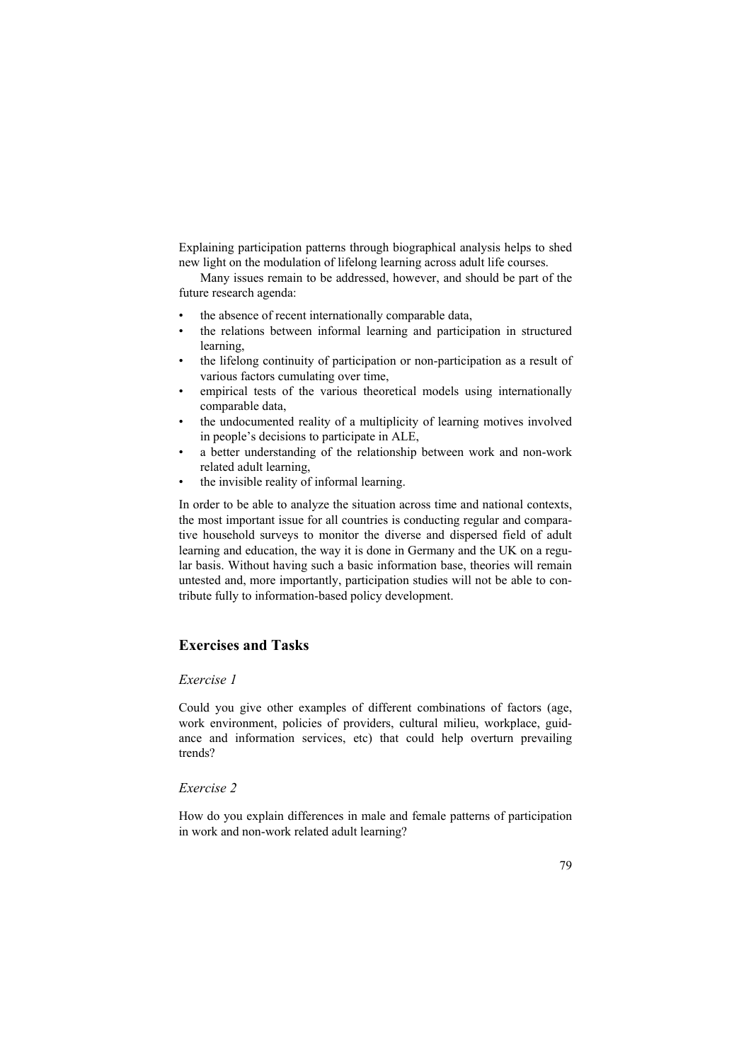Explaining participation patterns through biographical analysis helps to shed new light on the modulation of lifelong learning across adult life courses.

Many issues remain to be addressed, however, and should be part of the future research agenda:

- the absence of recent internationally comparable data,
- the relations between informal learning and participation in structured learning,
- the lifelong continuity of participation or non-participation as a result of various factors cumulating over time,
- empirical tests of the various theoretical models using internationally comparable data,
- the undocumented reality of a multiplicity of learning motives involved in people's decisions to participate in ALE,
- a better understanding of the relationship between work and non-work related adult learning,
- the invisible reality of informal learning.

In order to be able to analyze the situation across time and national contexts, the most important issue for all countries is conducting regular and comparative household surveys to monitor the diverse and dispersed field of adult learning and education, the way it is done in Germany and the UK on a regular basis. Without having such a basic information base, theories will remain untested and, more importantly, participation studies will not be able to contribute fully to information-based policy development.

## **Exercises and Tasks**

## *Exercise 1*

Could you give other examples of different combinations of factors (age, work environment, policies of providers, cultural milieu, workplace, guidance and information services, etc) that could help overturn prevailing trends?

## *Exercise 2*

How do you explain differences in male and female patterns of participation in work and non-work related adult learning?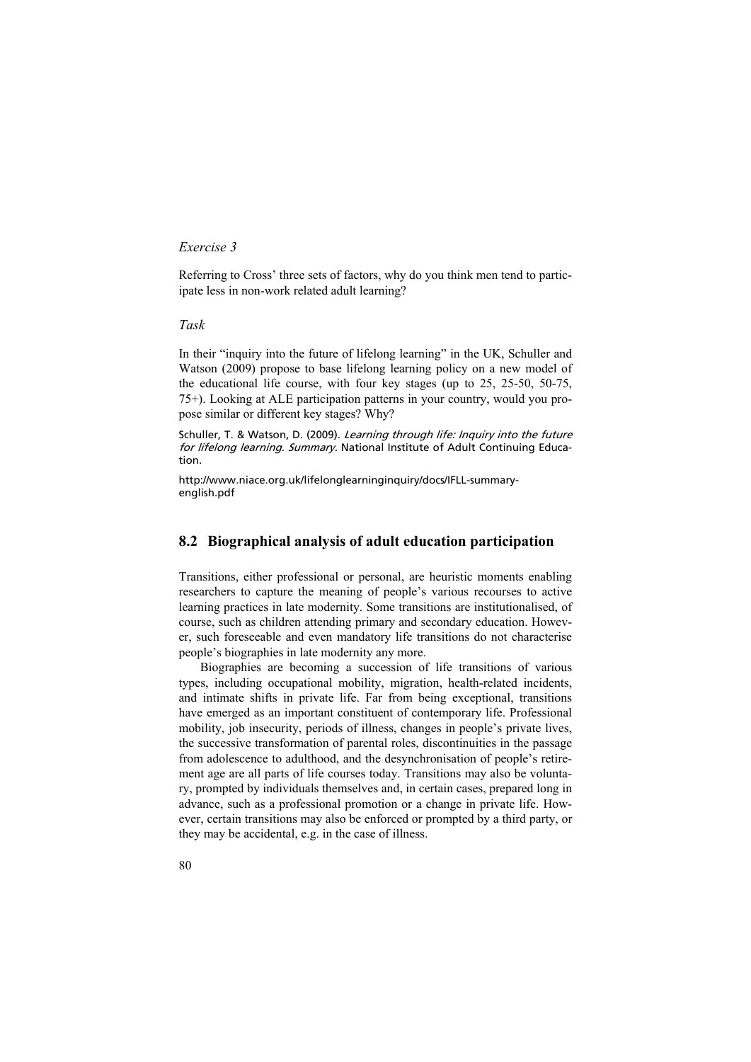## *Exercise 3*

Referring to Cross' three sets of factors, why do you think men tend to participate less in non-work related adult learning?

## *Task*

In their "inquiry into the future of lifelong learning" in the UK, Schuller and Watson (2009) propose to base lifelong learning policy on a new model of the educational life course, with four key stages (up to 25, 25-50, 50-75, 75+). Looking at ALE participation patterns in your country, would you propose similar or different key stages? Why?

Schuller, T. & Watson, D. (2009). Learning through life: Inquiry into the future for lifelong learning. Summary. National Institute of Adult Continuing Education.

http://www.niace.org.uk/lifelonglearninginquiry/docs/IFLL-summaryenglish.pdf

# **8.2 Biographical analysis of adult education participation**

Transitions, either professional or personal, are heuristic moments enabling researchers to capture the meaning of people's various recourses to active learning practices in late modernity. Some transitions are institutionalised, of course, such as children attending primary and secondary education. However, such foreseeable and even mandatory life transitions do not characterise people's biographies in late modernity any more.

Biographies are becoming a succession of life transitions of various types, including occupational mobility, migration, health-related incidents, and intimate shifts in private life. Far from being exceptional, transitions have emerged as an important constituent of contemporary life. Professional mobility, job insecurity, periods of illness, changes in people's private lives, the successive transformation of parental roles, discontinuities in the passage from adolescence to adulthood, and the desynchronisation of people's retirement age are all parts of life courses today. Transitions may also be voluntary, prompted by individuals themselves and, in certain cases, prepared long in advance, such as a professional promotion or a change in private life. However, certain transitions may also be enforced or prompted by a third party, or they may be accidental, e.g. in the case of illness.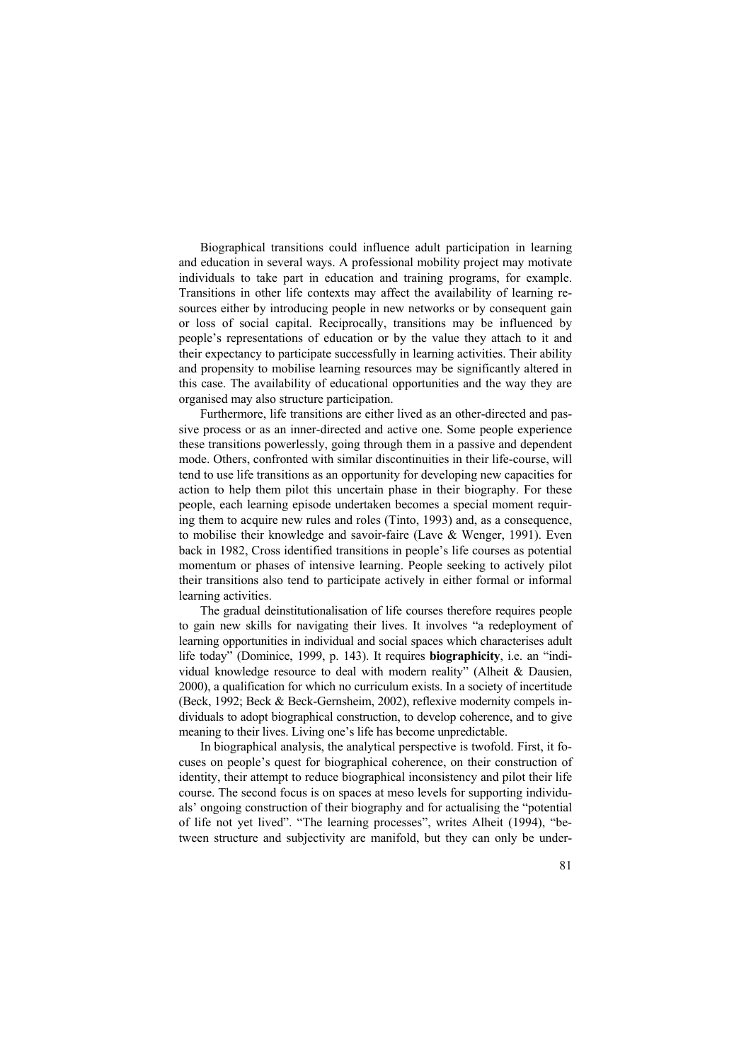Biographical transitions could influence adult participation in learning and education in several ways. A professional mobility project may motivate individuals to take part in education and training programs, for example. Transitions in other life contexts may affect the availability of learning resources either by introducing people in new networks or by consequent gain or loss of social capital. Reciprocally, transitions may be influenced by people's representations of education or by the value they attach to it and their expectancy to participate successfully in learning activities. Their ability and propensity to mobilise learning resources may be significantly altered in this case. The availability of educational opportunities and the way they are organised may also structure participation.

Furthermore, life transitions are either lived as an other-directed and passive process or as an inner-directed and active one. Some people experience these transitions powerlessly, going through them in a passive and dependent mode. Others, confronted with similar discontinuities in their life-course, will tend to use life transitions as an opportunity for developing new capacities for action to help them pilot this uncertain phase in their biography. For these people, each learning episode undertaken becomes a special moment requiring them to acquire new rules and roles (Tinto, 1993) and, as a consequence, to mobilise their knowledge and savoir-faire (Lave & Wenger, 1991). Even back in 1982, Cross identified transitions in people's life courses as potential momentum or phases of intensive learning. People seeking to actively pilot their transitions also tend to participate actively in either formal or informal learning activities.

The gradual deinstitutionalisation of life courses therefore requires people to gain new skills for navigating their lives. It involves "a redeployment of learning opportunities in individual and social spaces which characterises adult life today" (Dominice, 1999, p. 143). It requires **biographicity**, i.e. an "individual knowledge resource to deal with modern reality" (Alheit & Dausien, 2000), a qualification for which no curriculum exists. In a society of incertitude (Beck, 1992; Beck & Beck-Gernsheim, 2002), reflexive modernity compels individuals to adopt biographical construction, to develop coherence, and to give meaning to their lives. Living one's life has become unpredictable.

In biographical analysis, the analytical perspective is twofold. First, it focuses on people's quest for biographical coherence, on their construction of identity, their attempt to reduce biographical inconsistency and pilot their life course. The second focus is on spaces at meso levels for supporting individuals' ongoing construction of their biography and for actualising the "potential of life not yet lived". "The learning processes", writes Alheit (1994), "between structure and subjectivity are manifold, but they can only be under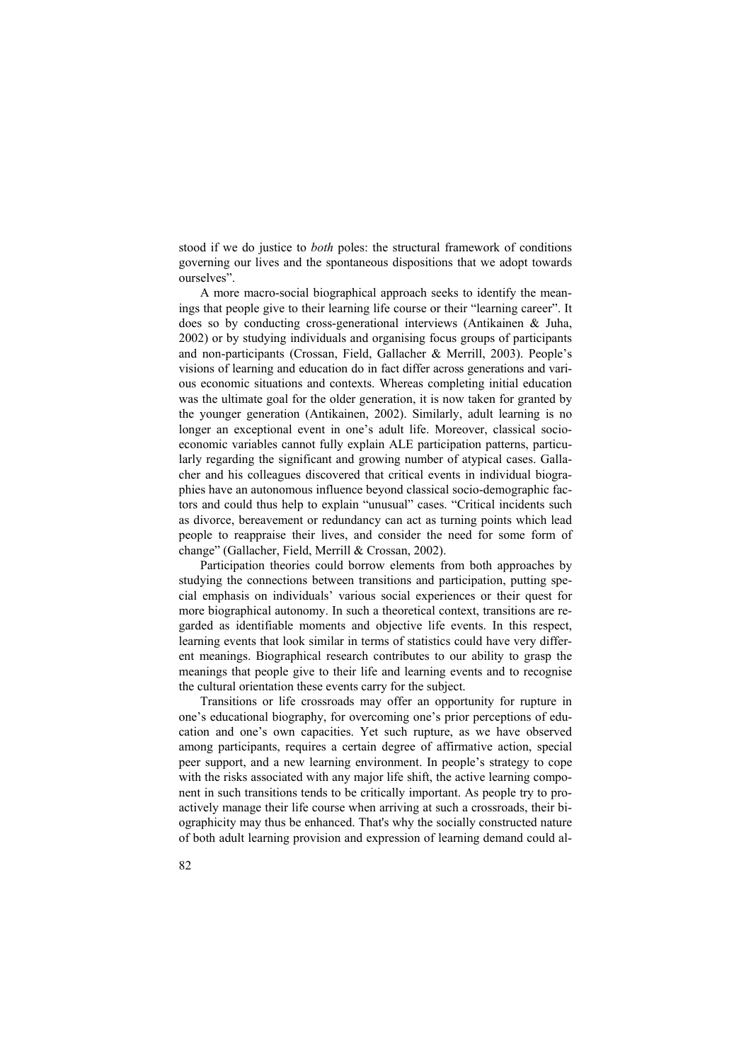stood if we do justice to *both* poles: the structural framework of conditions governing our lives and the spontaneous dispositions that we adopt towards ourselves".

A more macro-social biographical approach seeks to identify the meanings that people give to their learning life course or their "learning career". It does so by conducting cross-generational interviews (Antikainen & Juha, 2002) or by studying individuals and organising focus groups of participants and non-participants (Crossan, Field, Gallacher & Merrill, 2003). People's visions of learning and education do in fact differ across generations and various economic situations and contexts. Whereas completing initial education was the ultimate goal for the older generation, it is now taken for granted by the younger generation (Antikainen, 2002). Similarly, adult learning is no longer an exceptional event in one's adult life. Moreover, classical socioeconomic variables cannot fully explain ALE participation patterns, particularly regarding the significant and growing number of atypical cases. Gallacher and his colleagues discovered that critical events in individual biographies have an autonomous influence beyond classical socio-demographic factors and could thus help to explain "unusual" cases. "Critical incidents such as divorce, bereavement or redundancy can act as turning points which lead people to reappraise their lives, and consider the need for some form of change" (Gallacher, Field, Merrill & Crossan, 2002).

Participation theories could borrow elements from both approaches by studying the connections between transitions and participation, putting special emphasis on individuals' various social experiences or their quest for more biographical autonomy. In such a theoretical context, transitions are regarded as identifiable moments and objective life events. In this respect, learning events that look similar in terms of statistics could have very different meanings. Biographical research contributes to our ability to grasp the meanings that people give to their life and learning events and to recognise the cultural orientation these events carry for the subject.

Transitions or life crossroads may offer an opportunity for rupture in one's educational biography, for overcoming one's prior perceptions of education and one's own capacities. Yet such rupture, as we have observed among participants, requires a certain degree of affirmative action, special peer support, and a new learning environment. In people's strategy to cope with the risks associated with any major life shift, the active learning component in such transitions tends to be critically important. As people try to proactively manage their life course when arriving at such a crossroads, their biographicity may thus be enhanced. That's why the socially constructed nature of both adult learning provision and expression of learning demand could al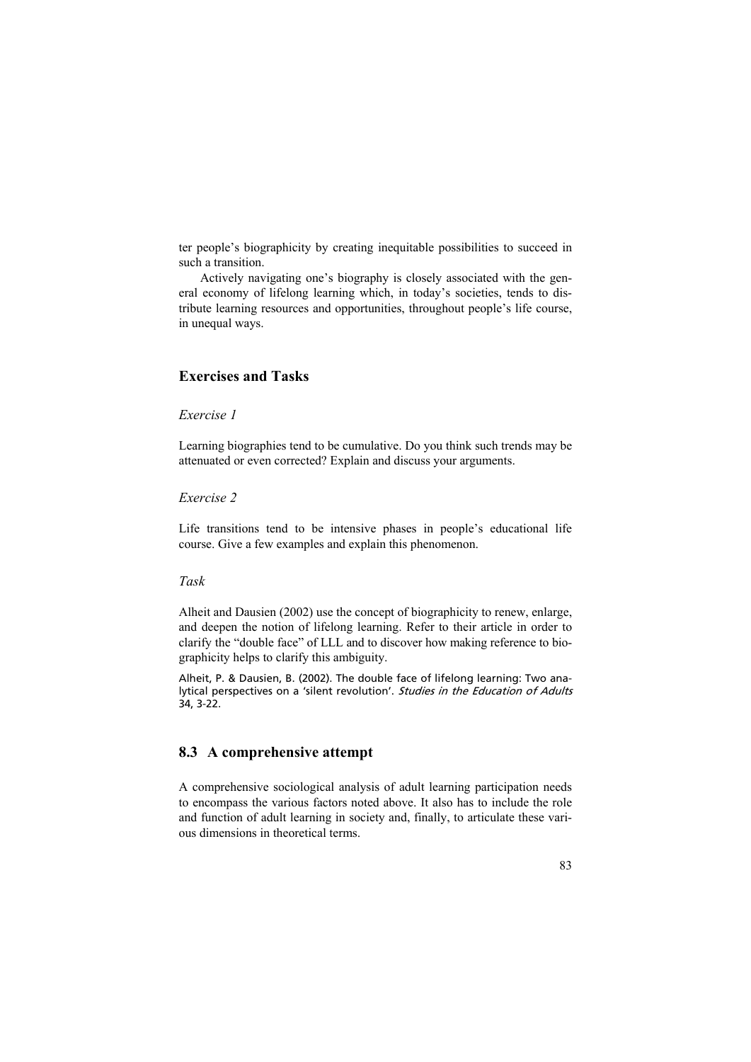ter people's biographicity by creating inequitable possibilities to succeed in such a transition.

Actively navigating one's biography is closely associated with the general economy of lifelong learning which, in today's societies, tends to distribute learning resources and opportunities, throughout people's life course, in unequal ways.

# **Exercises and Tasks**

## *Exercise 1*

Learning biographies tend to be cumulative. Do you think such trends may be attenuated or even corrected? Explain and discuss your arguments.

## *Exercise 2*

Life transitions tend to be intensive phases in people's educational life course. Give a few examples and explain this phenomenon.

## *Task*

Alheit and Dausien (2002) use the concept of biographicity to renew, enlarge, and deepen the notion of lifelong learning. Refer to their article in order to clarify the "double face" of LLL and to discover how making reference to biographicity helps to clarify this ambiguity.

Alheit, P. & Dausien, B. (2002). The double face of lifelong learning: Two analytical perspectives on a 'silent revolution'. Studies in the Education of Adults 34, 3-22.

# **8.3 A comprehensive attempt**

A comprehensive sociological analysis of adult learning participation needs to encompass the various factors noted above. It also has to include the role and function of adult learning in society and, finally, to articulate these various dimensions in theoretical terms.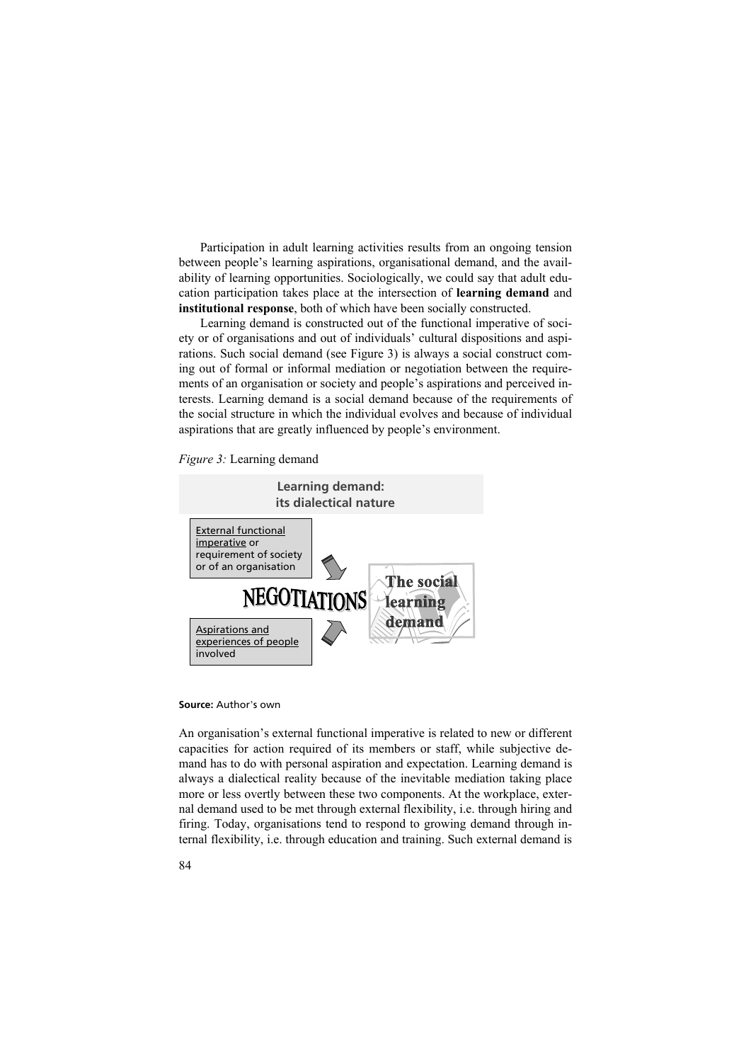Participation in adult learning activities results from an ongoing tension between people's learning aspirations, organisational demand, and the availability of learning opportunities. Sociologically, we could say that adult education participation takes place at the intersection of **learning demand** and **institutional response**, both of which have been socially constructed.

Learning demand is constructed out of the functional imperative of society or of organisations and out of individuals' cultural dispositions and aspirations. Such social demand (see Figure 3) is always a social construct coming out of formal or informal mediation or negotiation between the requirements of an organisation or society and people's aspirations and perceived interests. Learning demand is a social demand because of the requirements of the social structure in which the individual evolves and because of individual aspirations that are greatly influenced by people's environment.

*Figure 3:* Learning demand



**Source:** Author's own

An organisation's external functional imperative is related to new or different capacities for action required of its members or staff, while subjective demand has to do with personal aspiration and expectation. Learning demand is always a dialectical reality because of the inevitable mediation taking place more or less overtly between these two components. At the workplace, external demand used to be met through external flexibility, i.e. through hiring and firing. Today, organisations tend to respond to growing demand through internal flexibility, i.e. through education and training. Such external demand is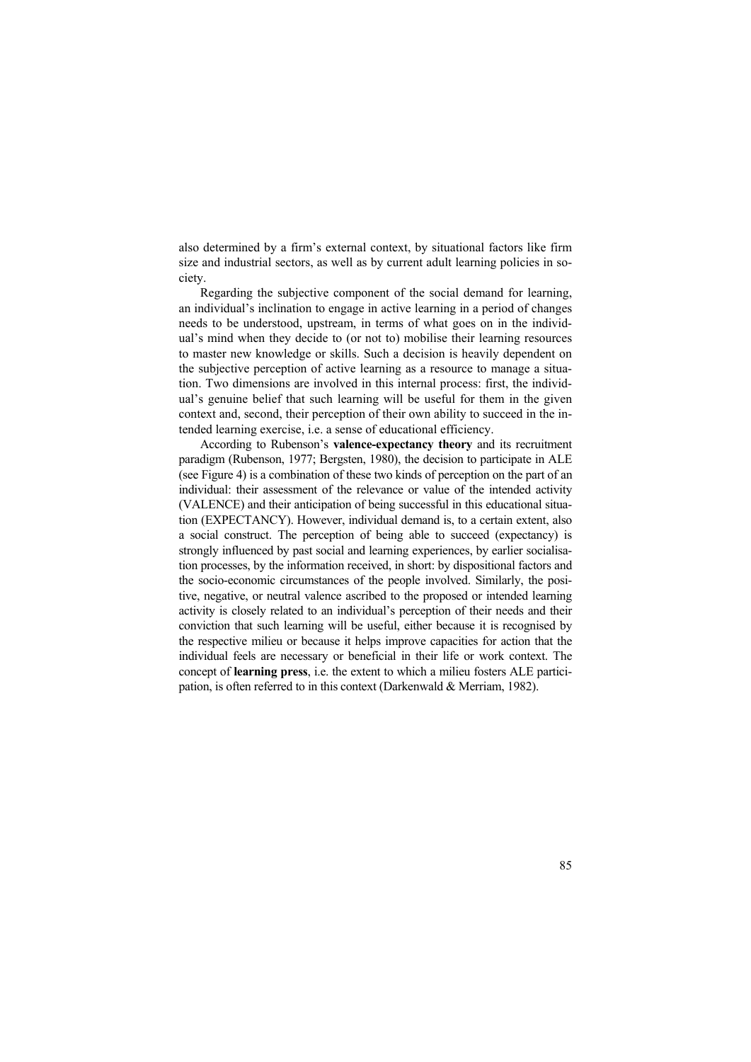also determined by a firm's external context, by situational factors like firm size and industrial sectors, as well as by current adult learning policies in society.

Regarding the subjective component of the social demand for learning, an individual's inclination to engage in active learning in a period of changes needs to be understood, upstream, in terms of what goes on in the individual's mind when they decide to (or not to) mobilise their learning resources to master new knowledge or skills. Such a decision is heavily dependent on the subjective perception of active learning as a resource to manage a situation. Two dimensions are involved in this internal process: first, the individual's genuine belief that such learning will be useful for them in the given context and, second, their perception of their own ability to succeed in the intended learning exercise, i.e. a sense of educational efficiency.

According to Rubenson's **valence-expectancy theory** and its recruitment paradigm (Rubenson, 1977; Bergsten, 1980), the decision to participate in ALE (see Figure 4) is a combination of these two kinds of perception on the part of an individual: their assessment of the relevance or value of the intended activity (VALENCE) and their anticipation of being successful in this educational situation (EXPECTANCY). However, individual demand is, to a certain extent, also a social construct. The perception of being able to succeed (expectancy) is strongly influenced by past social and learning experiences, by earlier socialisation processes, by the information received, in short: by dispositional factors and the socio-economic circumstances of the people involved. Similarly, the positive, negative, or neutral valence ascribed to the proposed or intended learning activity is closely related to an individual's perception of their needs and their conviction that such learning will be useful, either because it is recognised by the respective milieu or because it helps improve capacities for action that the individual feels are necessary or beneficial in their life or work context. The concept of **learning press**, i.e. the extent to which a milieu fosters ALE participation, is often referred to in this context (Darkenwald & Merriam, 1982).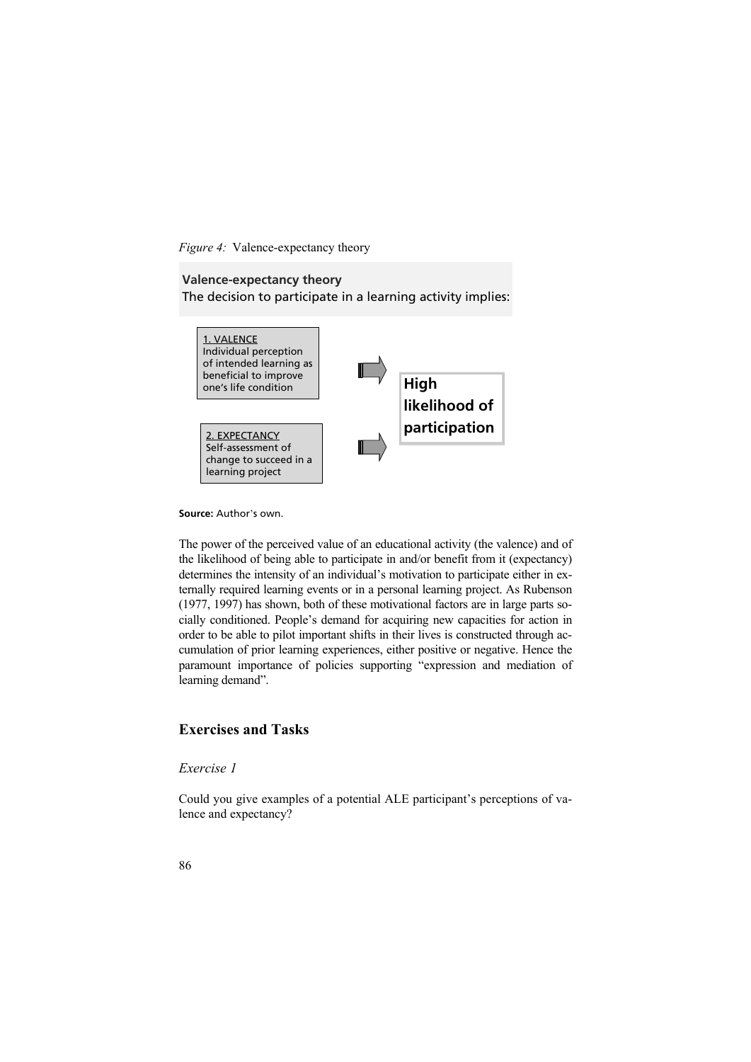*Figure 4:* Valence-expectancy theory

## **Valence-expectancy theory**

The decision to participate in a learning activity implies:



**Source:** Author's own.

The power of the perceived value of an educational activity (the valence) and of the likelihood of being able to participate in and/or benefit from it (expectancy) determines the intensity of an individual's motivation to participate either in externally required learning events or in a personal learning project. As Rubenson (1977, 1997) has shown, both of these motivational factors are in large parts socially conditioned. People's demand for acquiring new capacities for action in order to be able to pilot important shifts in their lives is constructed through accumulation of prior learning experiences, either positive or negative. Hence the paramount importance of policies supporting "expression and mediation of learning demand".

# **Exercises and Tasks**

## *Exercise 1*

Could you give examples of a potential ALE participant's perceptions of valence and expectancy?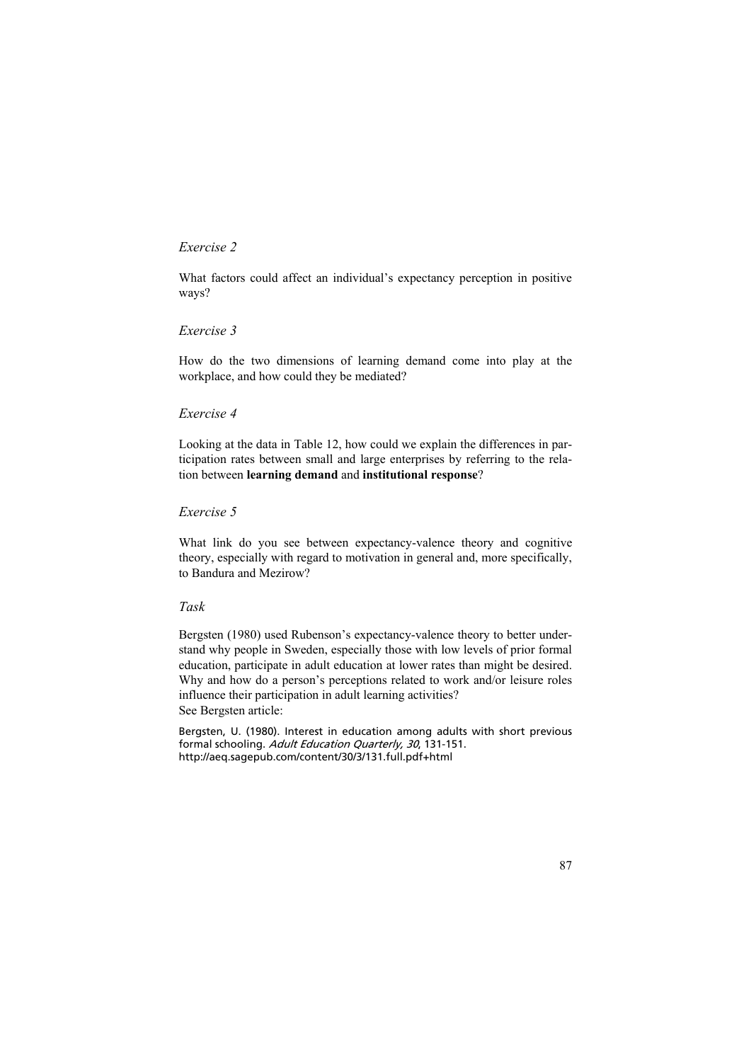## *Exercise 2*

What factors could affect an individual's expectancy perception in positive ways?

## *Exercise 3*

How do the two dimensions of learning demand come into play at the workplace, and how could they be mediated?

## *Exercise 4*

Looking at the data in Table 12, how could we explain the differences in participation rates between small and large enterprises by referring to the relation between **learning demand** and **institutional response**?

## *Exercise 5*

What link do you see between expectancy-valence theory and cognitive theory, especially with regard to motivation in general and, more specifically, to Bandura and Mezirow?

## *Task*

Bergsten (1980) used Rubenson's expectancy-valence theory to better understand why people in Sweden, especially those with low levels of prior formal education, participate in adult education at lower rates than might be desired. Why and how do a person's perceptions related to work and/or leisure roles influence their participation in adult learning activities? See Bergsten article:

Bergsten, U. (1980). Interest in education among adults with short previous formal schooling. Adult Education Quarterly, 30, 131-151. http://aeq.sagepub.com/content/30/3/131.full.pdf+html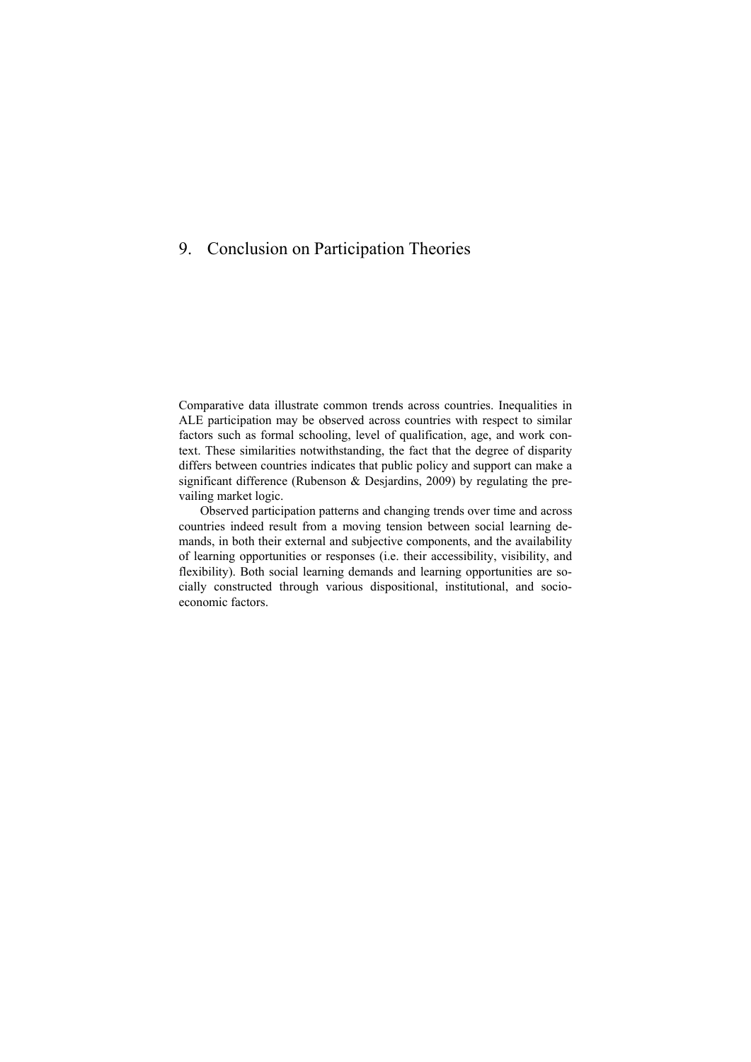# 9. Conclusion on Participation Theories

Comparative data illustrate common trends across countries. Inequalities in ALE participation may be observed across countries with respect to similar factors such as formal schooling, level of qualification, age, and work context. These similarities notwithstanding, the fact that the degree of disparity differs between countries indicates that public policy and support can make a significant difference (Rubenson & Desjardins, 2009) by regulating the prevailing market logic.

Observed participation patterns and changing trends over time and across countries indeed result from a moving tension between social learning demands, in both their external and subjective components, and the availability of learning opportunities or responses (i.e. their accessibility, visibility, and flexibility). Both social learning demands and learning opportunities are socially constructed through various dispositional, institutional, and socioeconomic factors.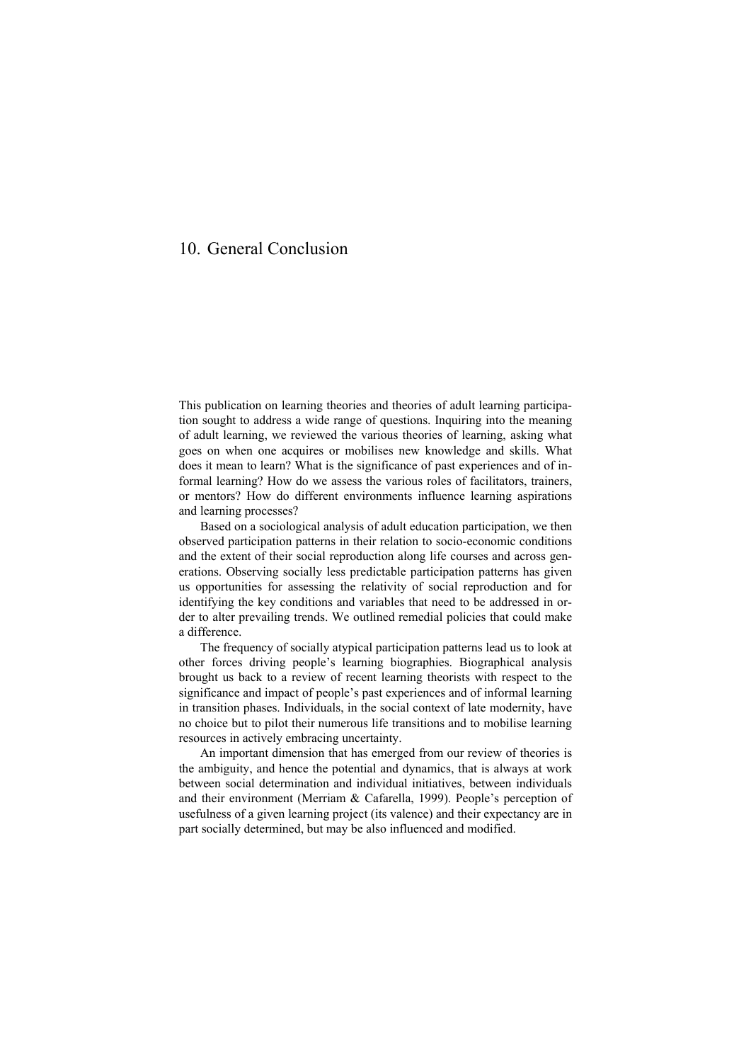# 10. General Conclusion

This publication on learning theories and theories of adult learning participation sought to address a wide range of questions. Inquiring into the meaning of adult learning, we reviewed the various theories of learning, asking what goes on when one acquires or mobilises new knowledge and skills. What does it mean to learn? What is the significance of past experiences and of informal learning? How do we assess the various roles of facilitators, trainers, or mentors? How do different environments influence learning aspirations and learning processes?

Based on a sociological analysis of adult education participation, we then observed participation patterns in their relation to socio-economic conditions and the extent of their social reproduction along life courses and across generations. Observing socially less predictable participation patterns has given us opportunities for assessing the relativity of social reproduction and for identifying the key conditions and variables that need to be addressed in order to alter prevailing trends. We outlined remedial policies that could make a difference.

The frequency of socially atypical participation patterns lead us to look at other forces driving people's learning biographies. Biographical analysis brought us back to a review of recent learning theorists with respect to the significance and impact of people's past experiences and of informal learning in transition phases. Individuals, in the social context of late modernity, have no choice but to pilot their numerous life transitions and to mobilise learning resources in actively embracing uncertainty.

An important dimension that has emerged from our review of theories is the ambiguity, and hence the potential and dynamics, that is always at work between social determination and individual initiatives, between individuals and their environment (Merriam & Cafarella, 1999). People's perception of usefulness of a given learning project (its valence) and their expectancy are in part socially determined, but may be also influenced and modified.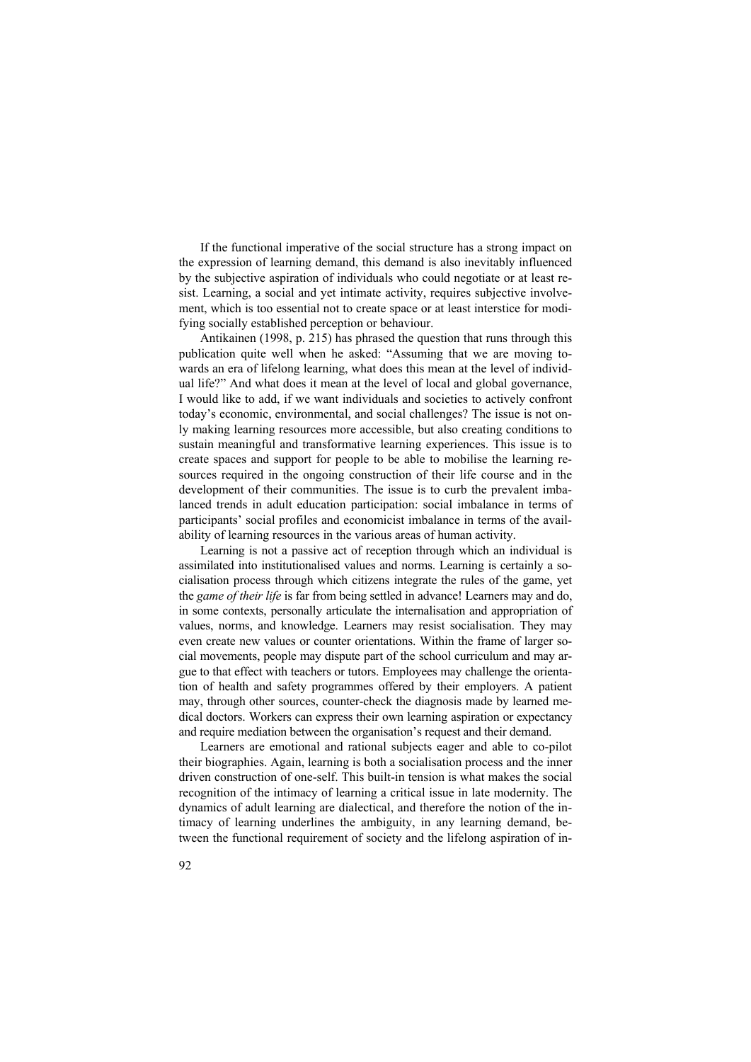If the functional imperative of the social structure has a strong impact on the expression of learning demand, this demand is also inevitably influenced by the subjective aspiration of individuals who could negotiate or at least resist. Learning, a social and yet intimate activity, requires subjective involvement, which is too essential not to create space or at least interstice for modifying socially established perception or behaviour.

Antikainen (1998, p. 215) has phrased the question that runs through this publication quite well when he asked: "Assuming that we are moving towards an era of lifelong learning, what does this mean at the level of individual life?" And what does it mean at the level of local and global governance, I would like to add, if we want individuals and societies to actively confront today's economic, environmental, and social challenges? The issue is not only making learning resources more accessible, but also creating conditions to sustain meaningful and transformative learning experiences. This issue is to create spaces and support for people to be able to mobilise the learning resources required in the ongoing construction of their life course and in the development of their communities. The issue is to curb the prevalent imbalanced trends in adult education participation: social imbalance in terms of participants' social profiles and economicist imbalance in terms of the availability of learning resources in the various areas of human activity.

Learning is not a passive act of reception through which an individual is assimilated into institutionalised values and norms. Learning is certainly a socialisation process through which citizens integrate the rules of the game, yet the *game of their life* is far from being settled in advance! Learners may and do, in some contexts, personally articulate the internalisation and appropriation of values, norms, and knowledge. Learners may resist socialisation. They may even create new values or counter orientations. Within the frame of larger social movements, people may dispute part of the school curriculum and may argue to that effect with teachers or tutors. Employees may challenge the orientation of health and safety programmes offered by their employers. A patient may, through other sources, counter-check the diagnosis made by learned medical doctors. Workers can express their own learning aspiration or expectancy and require mediation between the organisation's request and their demand.

Learners are emotional and rational subjects eager and able to co-pilot their biographies. Again, learning is both a socialisation process and the inner driven construction of one-self. This built-in tension is what makes the social recognition of the intimacy of learning a critical issue in late modernity. The dynamics of adult learning are dialectical, and therefore the notion of the intimacy of learning underlines the ambiguity, in any learning demand, between the functional requirement of society and the lifelong aspiration of in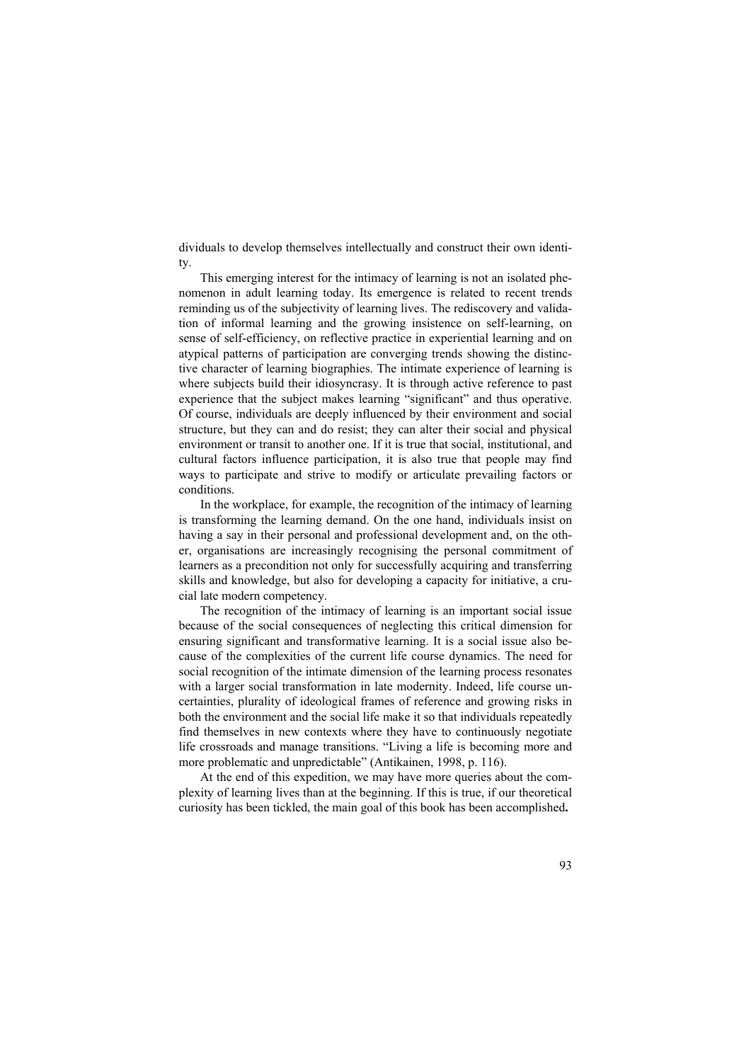dividuals to develop themselves intellectually and construct their own identity.

This emerging interest for the intimacy of learning is not an isolated phenomenon in adult learning today. Its emergence is related to recent trends reminding us of the subjectivity of learning lives. The rediscovery and validation of informal learning and the growing insistence on self-learning, on sense of self-efficiency, on reflective practice in experiential learning and on atypical patterns of participation are converging trends showing the distinctive character of learning biographies. The intimate experience of learning is where subjects build their idiosyncrasy. It is through active reference to past experience that the subject makes learning "significant" and thus operative. Of course, individuals are deeply influenced by their environment and social structure, but they can and do resist; they can alter their social and physical environment or transit to another one. If it is true that social, institutional, and cultural factors influence participation, it is also true that people may find ways to participate and strive to modify or articulate prevailing factors or conditions.

In the workplace, for example, the recognition of the intimacy of learning is transforming the learning demand. On the one hand, individuals insist on having a say in their personal and professional development and, on the other, organisations are increasingly recognising the personal commitment of learners as a precondition not only for successfully acquiring and transferring skills and knowledge, but also for developing a capacity for initiative, a crucial late modern competency.

The recognition of the intimacy of learning is an important social issue because of the social consequences of neglecting this critical dimension for ensuring significant and transformative learning. It is a social issue also because of the complexities of the current life course dynamics. The need for social recognition of the intimate dimension of the learning process resonates with a larger social transformation in late modernity. Indeed, life course uncertainties, plurality of ideological frames of reference and growing risks in both the environment and the social life make it so that individuals repeatedly find themselves in new contexts where they have to continuously negotiate life crossroads and manage transitions. "Living a life is becoming more and more problematic and unpredictable" (Antikainen, 1998, p. 116).

At the end of this expedition, we may have more queries about the complexity of learning lives than at the beginning. If this is true, if our theoretical curiosity has been tickled, the main goal of this book has been accomplished**.**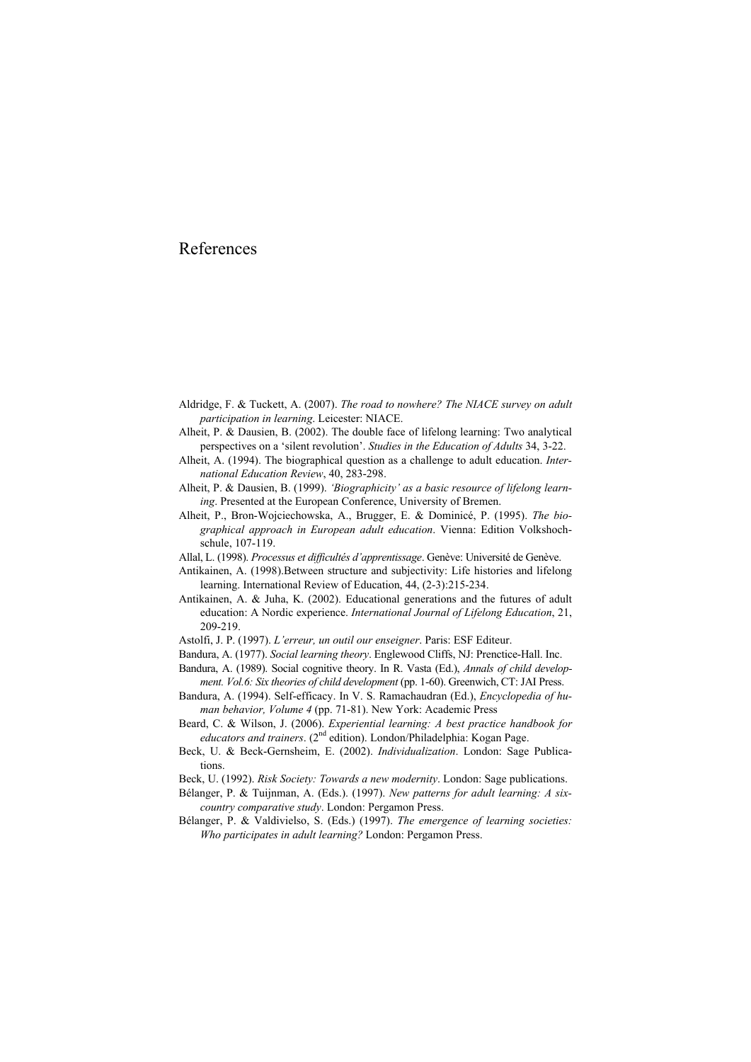# References

- Aldridge, F. & Tuckett, A. (2007). *The road to nowhere? The NIACE survey on adult participation in learning*. Leicester: NIACE.
- Alheit, P. & Dausien, B. (2002). The double face of lifelong learning: Two analytical perspectives on a 'silent revolution'. *Studies in the Education of Adults* 34, 3-22.
- Alheit, A. (1994). The biographical question as a challenge to adult education. *International Education Review*, 40, 283-298.
- Alheit, P. & Dausien, B. (1999). *'Biographicity' as a basic resource of lifelong learning*. Presented at the European Conference, University of Bremen.
- Alheit, P., Bron-Wojciechowska, A., Brugger, E. & Dominicé, P. (1995). *The biographical approach in European adult education*. Vienna: Edition Volkshochschule, 107-119.
- Allal, L. (1998). *Processus et difficultés d'apprentissage*. Genève: Université de Genève.
- Antikainen, A. (1998).Between structure and subjectivity: Life histories and lifelong learning. International Review of Education, 44, (2-3):215-234.
- Antikainen, A. & Juha, K. (2002). Educational generations and the futures of adult education: A Nordic experience. *International Journal of Lifelong Education*, 21, 209-219.
- Astolfi, J. P. (1997). *L'erreur, un outil our enseigner*. Paris: ESF Editeur.
- Bandura, A. (1977). *Social learning theory*. Englewood Cliffs, NJ: Prenctice-Hall. Inc.
- Bandura, A. (1989). Social cognitive theory. In R. Vasta (Ed.), *Annals of child development. Vol.6: Six theories of child development* (pp. 1-60). Greenwich, CT: JAI Press.
- Bandura, A. (1994). Self-efficacy. In V. S. Ramachaudran (Ed.), *Encyclopedia of human behavior, Volume 4* (pp. 71-81). New York: Academic Press
- Beard, C. & Wilson, J. (2006). *Experiential learning: A best practice handbook for educators and trainers.* (2<sup>nd</sup> edition). London/Philadelphia: Kogan Page.
- Beck, U. & Beck-Gernsheim, E. (2002). *Individualization*. London: Sage Publications.
- Beck, U. (1992). *Risk Society: Towards a new modernity*. London: Sage publications.
- Bélanger, P. & Tuijnman, A. (Eds.). (1997). *New patterns for adult learning: A sixcountry comparative study*. London: Pergamon Press.
- Bélanger, P. & Valdivielso, S. (Eds.) (1997). *The emergence of learning societies: Who participates in adult learning?* London: Pergamon Press.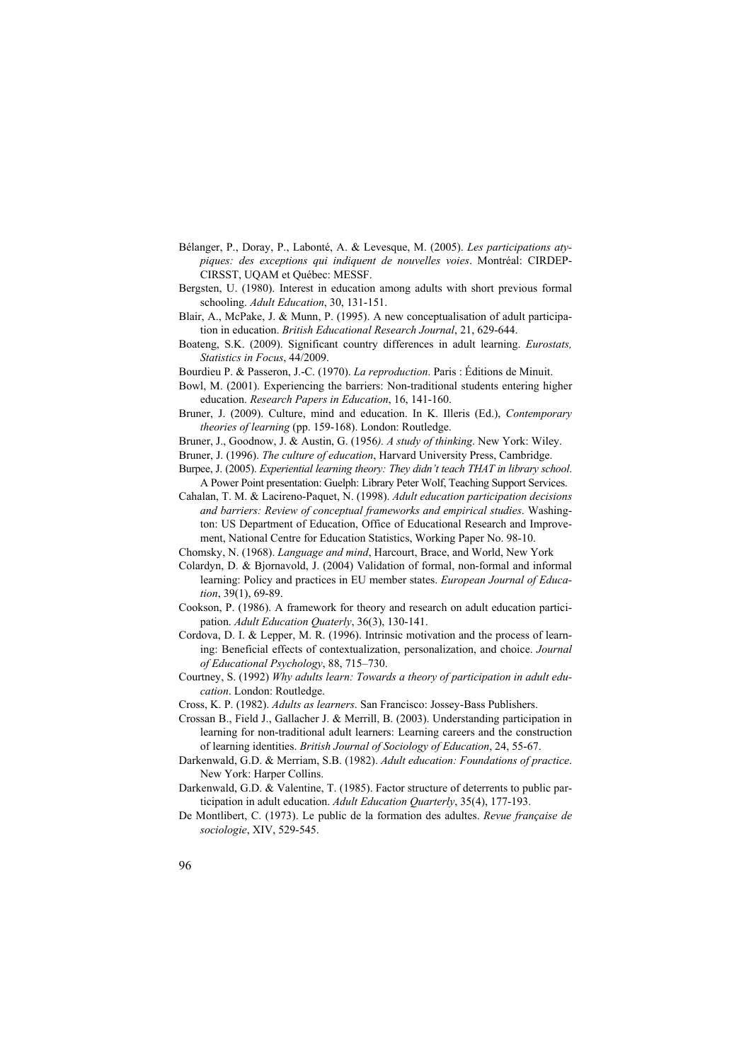- Bélanger, P., Doray, P., Labonté, A. & Levesque, M. (2005). *Les participations atypiques: des exceptions qui indiquent de nouvelles voies*. Montréal: CIRDEP-CIRSST, UQAM et Québec: MESSF.
- Bergsten, U. (1980). Interest in education among adults with short previous formal schooling. *Adult Education*, 30, 131-151.
- Blair, A., McPake, J. & Munn, P. (1995). A new conceptualisation of adult participation in education. *British Educational Research Journal*, 21, 629-644.
- Boateng, S.K. (2009). Significant country differences in adult learning. *Eurostats, Statistics in Focus*, 44/2009.
- Bourdieu P. & Passeron, J.-C. (1970). *La reproduction*. Paris : Éditions de Minuit.
- Bowl, M. (2001). Experiencing the barriers: Non-traditional students entering higher education. *Research Papers in Education*, 16, 141-160.
- Bruner, J. (2009). Culture, mind and education. In K. Illeris (Ed.), *Contemporary theories of learning* (pp. 159-168). London: Routledge.
- Bruner, J., Goodnow, J. & Austin, G. (1956*). A study of thinking*. New York: Wiley.
- Bruner, J. (1996). *The culture of education*, Harvard University Press, Cambridge.
- Burpee, J. (2005). *Experiential learning theory: They didn't teach THAT in library school*. A Power Point presentation: Guelph: Library Peter Wolf, Teaching Support Services.
- Cahalan, T. M. & Lacireno-Paquet, N. (1998). *Adult education participation decisions and barriers: Review of conceptual frameworks and empirical studies*. Washington: US Department of Education, Office of Educational Research and Improvement, National Centre for Education Statistics, Working Paper No. 98-10.
- Chomsky, N. (1968). *Language and mind*, Harcourt, Brace, and World, New York
- Colardyn, D. & Bjornavold, J. (2004) Validation of formal, non-formal and informal learning: Policy and practices in EU member states. *European Journal of Education*, 39(1), 69-89.
- Cookson, P. (1986). A framework for theory and research on adult education participation. *Adult Education Quaterly*, 36(3), 130-141.
- Cordova, D. I. & Lepper, M. R. (1996). Intrinsic motivation and the process of learning: Beneficial effects of contextualization, personalization, and choice. *Journal of Educational Psychology*, 88, 715–730.
- Courtney, S. (1992) *Why adults learn: Towards a theory of participation in adult education*. London: Routledge.
- Cross, K. P. (1982). *Adults as learners*. San Francisco: Jossey-Bass Publishers.
- Crossan B., Field J., Gallacher J. & Merrill, B. (2003). Understanding participation in learning for non-traditional adult learners: Learning careers and the construction of learning identities. *British Journal of Sociology of Education*, 24, 55-67.
- Darkenwald, G.D. & Merriam, S.B. (1982). *Adult education: Foundations of practice*. New York: Harper Collins.
- Darkenwald, G.D. & Valentine, T. (1985). Factor structure of deterrents to public participation in adult education. *Adult Education Quarterly*, 35(4), 177-193.
- De Montlibert, C. (1973). Le public de la formation des adultes. *Revue française de sociologie*, XIV, 529-545.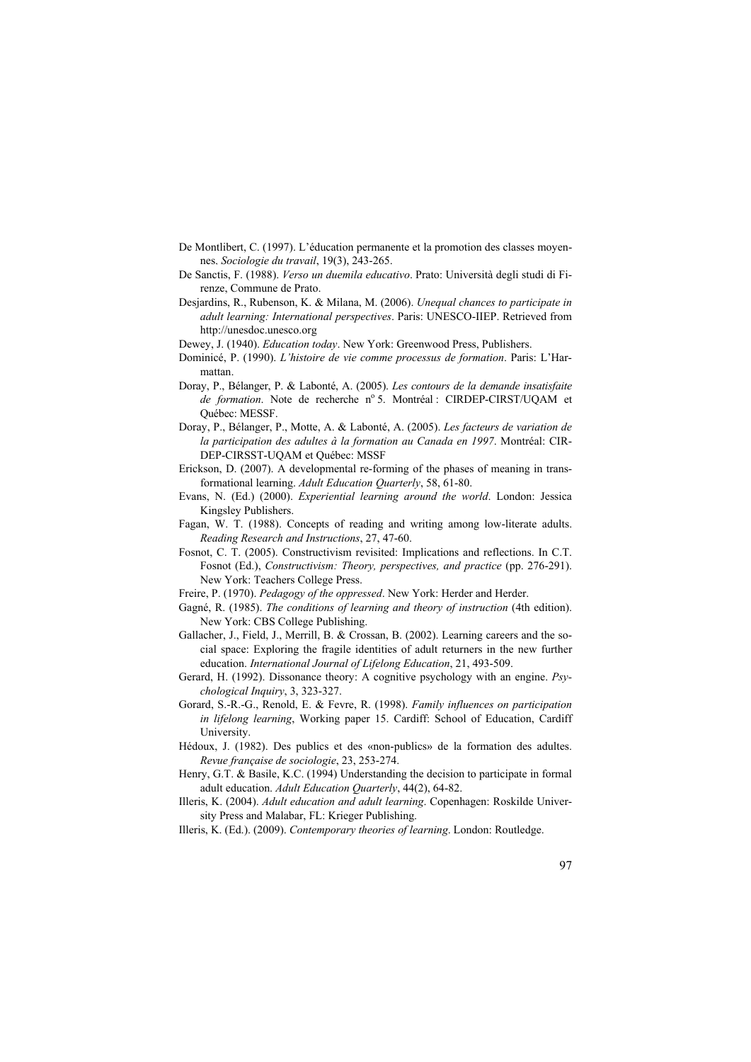- De Montlibert, C. (1997). L'éducation permanente et la promotion des classes moyennes. *Sociologie du travail*, 19(3), 243-265.
- De Sanctis, F. (1988). *Verso un duemila educativo*. Prato: Università degli studi di Firenze, Commune de Prato.
- Desjardins, R., Rubenson, K. & Milana, M. (2006). *Unequal chances to participate in adult learning: International perspectives*. Paris: UNESCO-IIEP. Retrieved from http://unesdoc.unesco.org
- Dewey, J. (1940). *Education today*. New York: Greenwood Press, Publishers.
- Dominicé, P. (1990). *L'histoire de vie comme processus de formation*. Paris: L'Harmattan.
- Doray, P., Bélanger, P. & Labonté, A. (2005). *Les contours de la demande insatisfaite*  de formation. Note de recherche nº 5. Montréal : CIRDEP-CIRST/UQAM et Québec: MESSF.
- Doray, P., Bélanger, P., Motte, A. & Labonté, A. (2005). *Les facteurs de variation de la participation des adultes à la formation au Canada en 1997*. Montréal: CIR-DEP-CIRSST-UQAM et Québec: MSSF
- Erickson, D. (2007). A developmental re-forming of the phases of meaning in transformational learning. *Adult Education Quarterly*, 58, 61-80.
- Evans, N. (Ed.) (2000). *Experiential learning around the world*. London: Jessica Kingsley Publishers.
- Fagan, W. T. (1988). Concepts of reading and writing among low-literate adults. *Reading Research and Instructions*, 27, 47-60.
- Fosnot, C. T. (2005). Constructivism revisited: Implications and reflections. In C.T. Fosnot (Ed.), *Constructivism: Theory, perspectives, and practice* (pp. 276-291). New York: Teachers College Press.
- Freire, P. (1970). *Pedagogy of the oppressed*. New York: Herder and Herder.
- Gagné, R. (1985). *The conditions of learning and theory of instruction* (4th edition). New York: CBS College Publishing.
- Gallacher, J., Field, J., Merrill, B. & Crossan, B. (2002). Learning careers and the social space: Exploring the fragile identities of adult returners in the new further education. *International Journal of Lifelong Education*, 21, 493-509.
- Gerard, H. (1992). Dissonance theory: A cognitive psychology with an engine. *Psychological Inquiry*, 3, 323-327.
- Gorard, S.-R.-G., Renold, E. & Fevre, R. (1998). *Family influences on participation in lifelong learning*, Working paper 15. Cardiff: School of Education, Cardiff University.
- Hédoux, J. (1982). Des publics et des «non-publics» de la formation des adultes. *Revue française de sociologie*, 23, 253-274.
- Henry, G.T. & Basile, K.C. (1994) Understanding the decision to participate in formal adult education. *Adult Education Quarterly*, 44(2), 64-82.
- Illeris, K. (2004). *Adult education and adult learning*. Copenhagen: Roskilde University Press and Malabar, FL: Krieger Publishing.
- Illeris, K. (Ed.). (2009). *Contemporary theories of learning*. London: Routledge.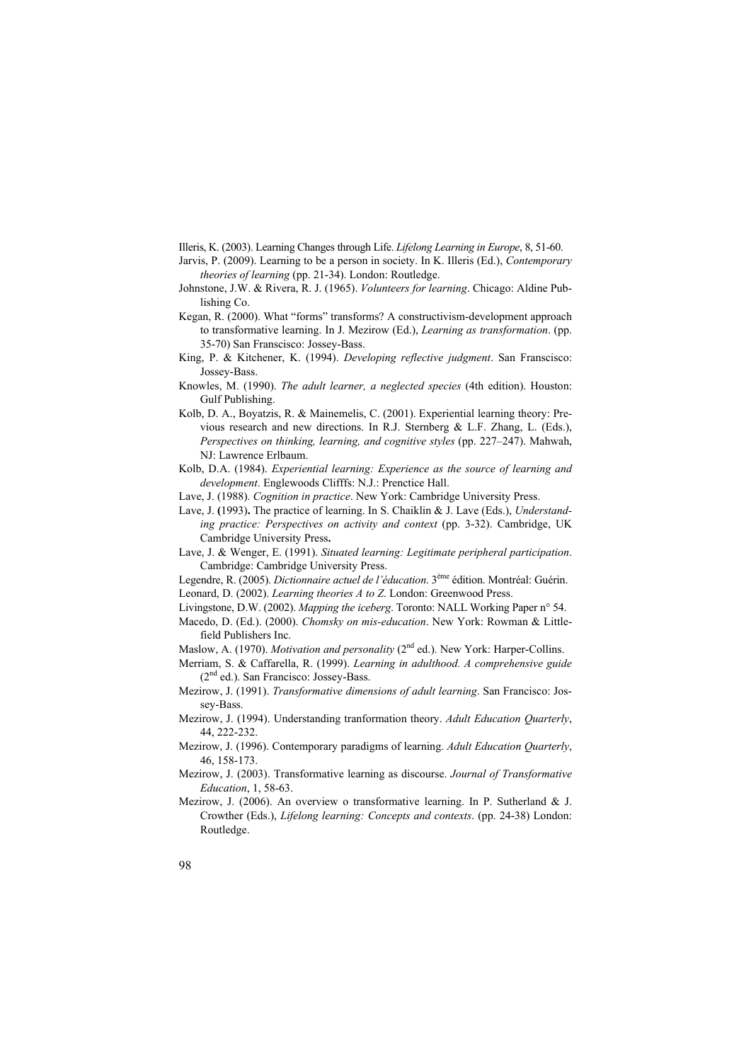Illeris, K. (2003). Learning Changes through Life. *Lifelong Learning in Europe*, 8, 51-60.

- Jarvis, P. (2009). Learning to be a person in society. In K. Illeris (Ed.), *Contemporary theories of learning* (pp. 21-34). London: Routledge.
- Johnstone, J.W. & Rivera, R. J. (1965). *Volunteers for learning*. Chicago: Aldine Publishing Co.
- Kegan, R. (2000). What "forms" transforms? A constructivism-development approach to transformative learning. In J. Mezirow (Ed.), *Learning as transformation*. (pp. 35-70) San Franscisco: Jossey-Bass.
- King, P. & Kitchener, K. (1994). *Developing reflective judgment*. San Franscisco: Jossey-Bass.
- Knowles, M. (1990). *The adult learner, a neglected species* (4th edition). Houston: Gulf Publishing.
- Kolb, D. A., Boyatzis, R. & Mainemelis, C. (2001). Experiential learning theory: Previous research and new directions. In R.J. Sternberg & L.F. Zhang, L. (Eds.), *Perspectives on thinking, learning, and cognitive styles* (pp. 227–247). Mahwah, NJ: Lawrence Erlbaum.
- Kolb, D.A. (1984). *Experiential learning: Experience as the source of learning and development*. Englewoods Clifffs: N.J.: Prenctice Hall.
- Lave, J. (1988). *Cognition in practice*. New York: Cambridge University Press.
- Lave, J. **(**1993)**.** The practice of learning. In S. Chaiklin & J. Lave (Eds.), *Understanding practice: Perspectives on activity and context* (pp. 3-32). Cambridge, UK Cambridge University Press**.**
- Lave, J. & Wenger, E. (1991). *Situated learning: Legitimate peripheral participation*. Cambridge: Cambridge University Press.
- Legendre, R. (2005). *Dictionnaire actuel de l'éducation*. 3ème édition. Montréal: Guérin.
- Leonard, D. (2002). *Learning theories A to Z*. London: Greenwood Press.
- Livingstone, D.W. (2002). *Mapping the iceberg*. Toronto: NALL Working Paper n° 54.
- Macedo, D. (Ed.). (2000). *Chomsky on mis-education*. New York: Rowman & Littlefield Publishers Inc.
- Maslow, A. (1970). *Motivation and personality* (2<sup>nd</sup> ed.). New York: Harper-Collins.
- Merriam, S. & Caffarella, R. (1999). *Learning in adulthood. A comprehensive guide* (2nd ed.). San Francisco: Jossey-Bass.
- Mezirow, J. (1991). *Transformative dimensions of adult learning*. San Francisco: Jossey-Bass.
- Mezirow, J. (1994). Understanding tranformation theory. *Adult Education Quarterly*, 44, 222-232.
- Mezirow, J. (1996). Contemporary paradigms of learning. *Adult Education Quarterly*, 46, 158-173.
- Mezirow, J. (2003). Transformative learning as discourse. *Journal of Transformative Education*, 1, 58-63.
- Mezirow, J. (2006). An overview o transformative learning. In P. Sutherland & J. Crowther (Eds.), *Lifelong learning: Concepts and contexts*. (pp. 24-38) London: Routledge.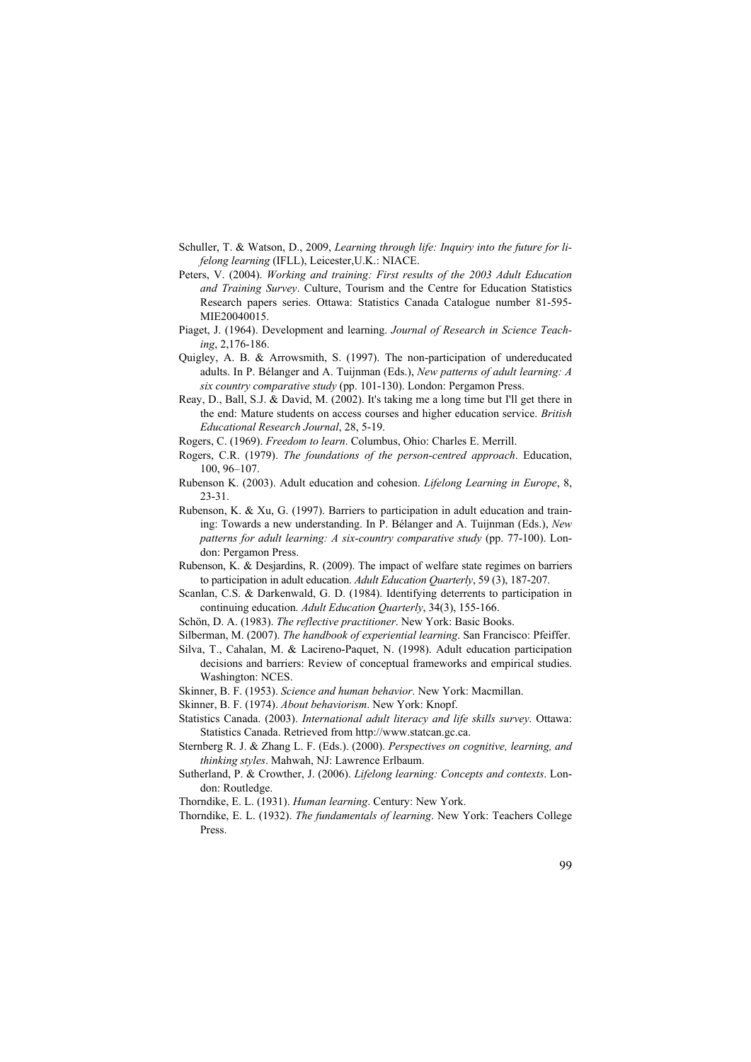- Schuller, T. & Watson, D., 2009, *Learning through life: Inquiry into the future for lifelong learning* (IFLL), Leicester,U.K.: NIACE.
- Peters, V. (2004). *Working and training: First results of the 2003 Adult Education and Training Survey*. Culture, Tourism and the Centre for Education Statistics Research papers series. Ottawa: Statistics Canada Catalogue number 81-595- MIE20040015.
- Piaget, J. (1964). Development and learning. *Journal of Research in Science Teaching*, 2,176-186.
- Quigley, A. B. & Arrowsmith, S. (1997). The non-participation of undereducated adults. In P. Bélanger and A. Tuijnman (Eds.), *New patterns of adult learning: A six country comparative study* (pp. 101-130). London: Pergamon Press.
- Reay, D., Ball, S.J. & David, M. (2002). It's taking me a long time but I'll get there in the end: Mature students on access courses and higher education service. *British Educational Research Journal*, 28, 5-19.
- Rogers, C. (1969). *Freedom to learn*. Columbus, Ohio: Charles E. Merrill.
- Rogers, C.R. (1979). *The foundations of the person-centred approach*. Education, 100, 96–107.
- Rubenson K. (2003). Adult education and cohesion. *Lifelong Learning in Europe*, 8, 23-31.
- Rubenson, K. & Xu, G. (1997). Barriers to participation in adult education and training: Towards a new understanding. In P. Bélanger and A. Tuijnman (Eds.), *New patterns for adult learning: A six-country comparative study* (pp. 77-100). London: Pergamon Press.
- Rubenson, K. & Desjardins, R. (2009). The impact of welfare state regimes on barriers to participation in adult education. *Adult Education Quarterly*, 59 (3), 187-207.
- Scanlan, C.S. & Darkenwald, G. D. (1984). Identifying deterrents to participation in continuing education. *Adult Education Quarterly*, 34(3), 155-166.
- Schön, D. A. (1983). *The reflective practitioner*. New York: Basic Books.
- Silberman, M. (2007). *The handbook of experiential learning*. San Francisco: Pfeiffer.
- Silva, T., Cahalan, M. & Lacireno-Paquet, N. (1998). Adult education participation decisions and barriers: Review of conceptual frameworks and empirical studies. Washington: NCES.
- Skinner, B. F. (1953). *Science and human behavior*. New York: Macmillan.
- Skinner, B. F. (1974). *About behaviorism*. New York: Knopf.
- Statistics Canada. (2003). *International adult literacy and life skills survey*. Ottawa: Statistics Canada. Retrieved from http://www.statcan.gc.ca.
- Sternberg R. J. & Zhang L. F. (Eds.). (2000). *Perspectives on cognitive, learning, and thinking styles*. Mahwah, NJ: Lawrence Erlbaum.
- Sutherland, P. & Crowther, J. (2006). *Lifelong learning: Concepts and contexts*. London: Routledge.
- Thorndike, E. L. (1931). *Human learning*. Century: New York.
- Thorndike, E. L. (1932). *The fundamentals of learning*. New York: Teachers College Press.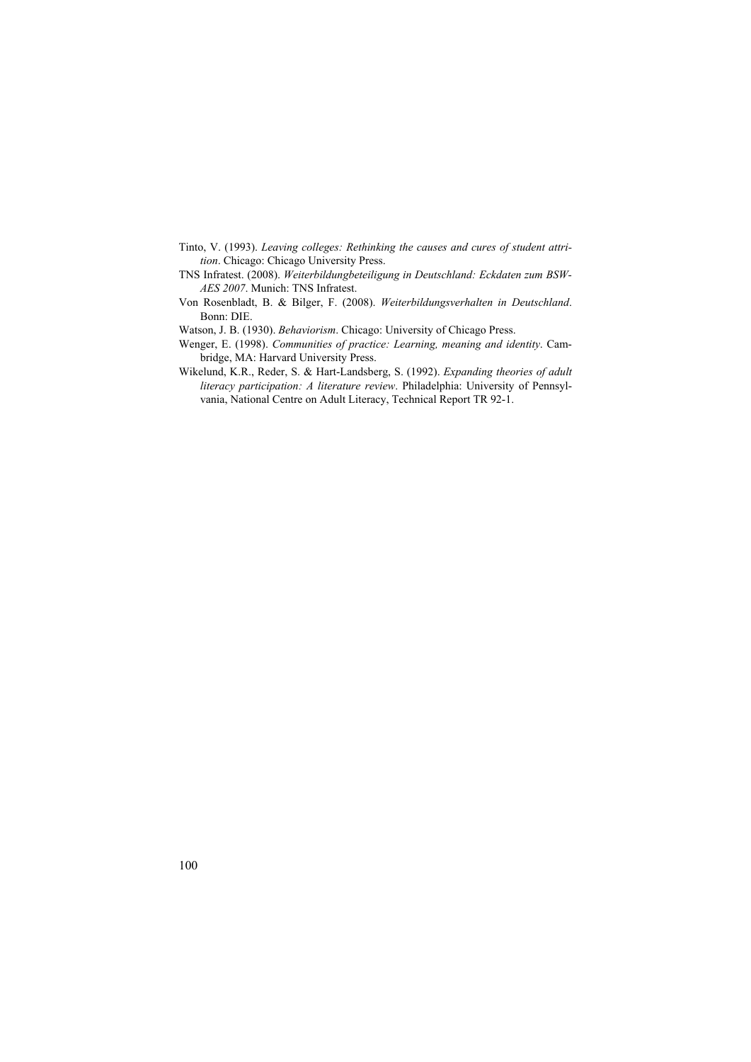- Tinto, V. (1993). *Leaving colleges: Rethinking the causes and cures of student attrition*. Chicago: Chicago University Press.
- TNS Infratest. (2008). *Weiterbildungbeteiligung in Deutschland: Eckdaten zum BSW-AES 2007*. Munich: TNS Infratest.
- Von Rosenbladt, B. & Bilger, F. (2008). *Weiterbildungsverhalten in Deutschland*. Bonn: DIE.

Watson, J. B. (1930). *Behaviorism*. Chicago: University of Chicago Press.

- Wenger, E. (1998). *Communities of practice: Learning, meaning and identity*. Cambridge, MA: Harvard University Press.
- Wikelund, K.R., Reder, S. & Hart-Landsberg, S. (1992). *Expanding theories of adult literacy participation: A literature review*. Philadelphia: University of Pennsylvania, National Centre on Adult Literacy, Technical Report TR 92-1.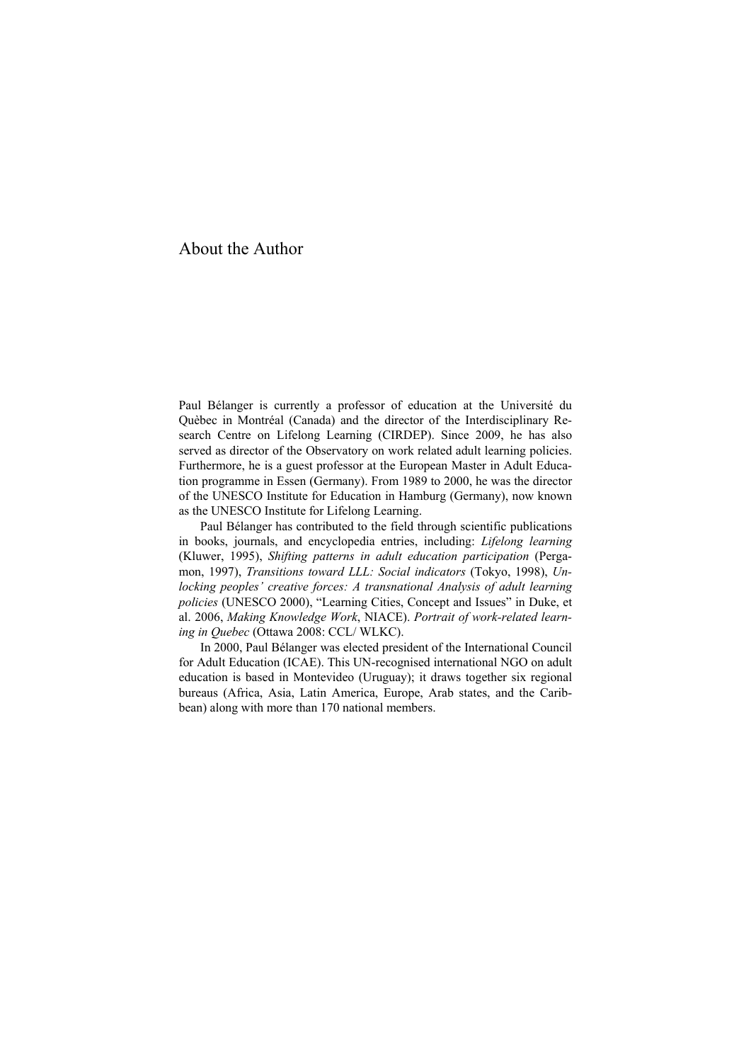# About the Author

Paul Bélanger is currently a professor of education at the Université du Quèbec in Montréal (Canada) and the director of the Interdisciplinary Research Centre on Lifelong Learning (CIRDEP). Since 2009, he has also served as director of the Observatory on work related adult learning policies. Furthermore, he is a guest professor at the European Master in Adult Education programme in Essen (Germany). From 1989 to 2000, he was the director of the UNESCO Institute for Education in Hamburg (Germany), now known as the UNESCO Institute for Lifelong Learning.

Paul Bélanger has contributed to the field through scientific publications in books, journals, and encyclopedia entries, including: *Lifelong learning* (Kluwer, 1995), *Shifting patterns in adult education participation* (Pergamon, 1997), *Transitions toward LLL: Social indicators* (Tokyo, 1998), *Unlocking peoples' creative forces: A transnational Analysis of adult learning policies* (UNESCO 2000), "Learning Cities, Concept and Issues" in Duke, et al. 2006, *Making Knowledge Work*, NIACE). *Portrait of work-related learning in Quebec* (Ottawa 2008: CCL/ WLKC).

In 2000, Paul Bélanger was elected president of the International Council for Adult Education (ICAE). This UN-recognised international NGO on adult education is based in Montevideo (Uruguay); it draws together six regional bureaus (Africa, Asia, Latin America, Europe, Arab states, and the Caribbean) along with more than 170 national members.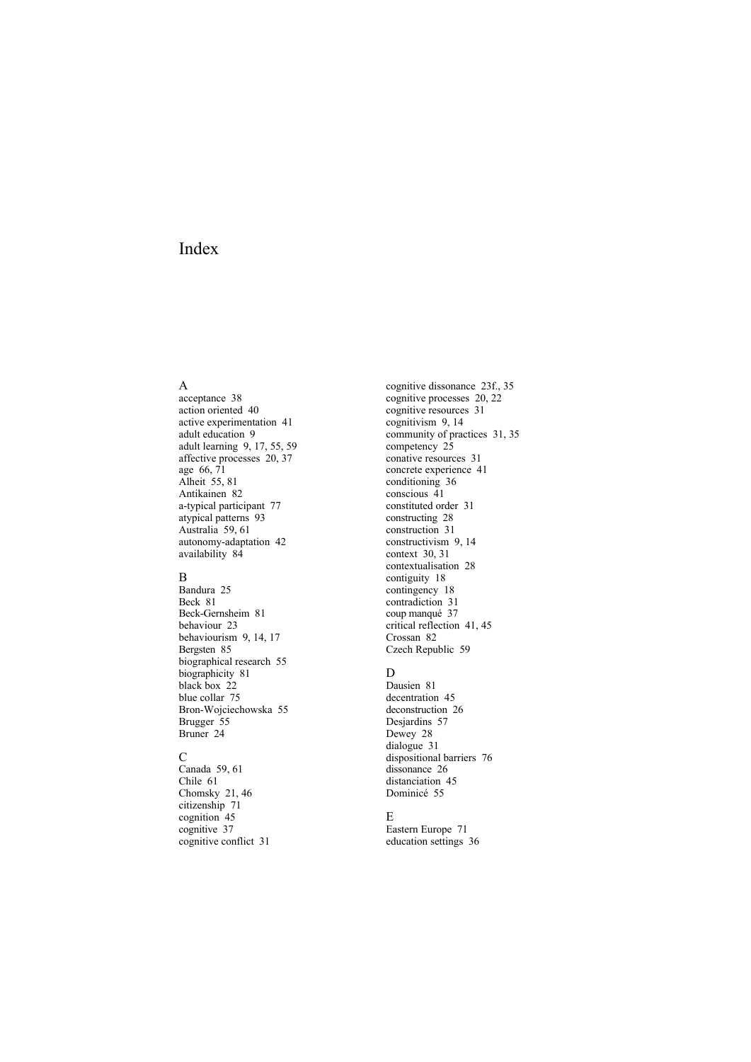# Index

#### A

acceptance 38 action oriented 40 active experimentation 41 adult education 9 adult learning 9, 17, 55, 59 affective processes 20, 37 age 66, 71 Alheit 55, 81 Antikainen 82 a-typical participant 77 atypical patterns 93 Australia 59, 61 autonomy-adaptation 42 availability 84

#### B

Bandura 25 Beck 81 Beck-Gernsheim 81 behaviour 23 behaviourism 9, 14, 17 Bergsten 85 biographical research 55 biographicity 81 black box 22 blue collar 75 Bron-Wojciechowska 55 Brugger 55 Bruner 24

#### $\mathcal{C}$

Canada 59, 61 Chile 61 Chomsky 21, 46 citizenship 71 cognition 45 cognitive 37 cognitive conflict 31 cognitive dissonance 23f., 35 cognitive processes 20, 22 cognitive resources 31 cognitivism 9, 14 community of practices 31, 35 competency 25 conative resources 31 concrete experience 41 conditioning 36 conscious 41 constituted order 31 constructing 28 construction 31 constructivism 9, 14 context 30, 31 contextualisation 28 contiguity 18 contingency 18 contradiction 31 coup manqué 37 critical reflection 41, 45 Crossan 82 Czech Republic 59

### D

Dausien 81 decentration 45 deconstruction 26 Desjardins 57 Dewey 28 dialogue 31 dispositional barriers 76 dissonance 26 distanciation 45 Dominicé 55

### E

Eastern Europe 71 education settings 36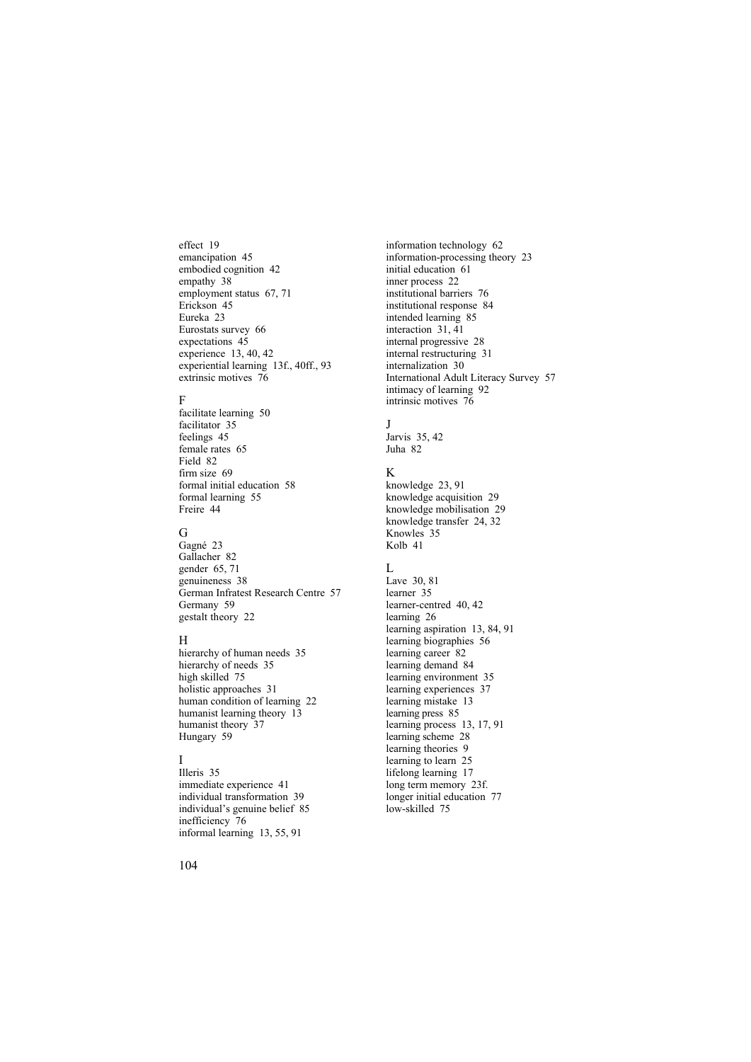effect 19 emancipation 45 embodied cognition 42 empathy 38 employment status 67, 71 Erickson 45 Eureka 23 Eurostats survey 66 expectations 45 experience 13, 40, 42 experiential learning 13f., 40ff., 93 extrinsic motives 76

### F

facilitate learning 50 facilitator 35 feelings 45 female rates 65 Field 82 firm size 69 formal initial education 58 formal learning 55 Freire 44

### G

Gagné 23 Gallacher 82 gender 65, 71 genuineness 38 German Infratest Research Centre 57 Germany 59 gestalt theory 22

### H

hierarchy of human needs 35 hierarchy of needs 35 high skilled 75 holistic approaches 31 human condition of learning 22 humanist learning theory 13 humanist theory 37 Hungary 59

## I

Illeris 35 immediate experience 41 individual transformation 39 individual's genuine belief 85 inefficiency 76 informal learning 13, 55, 91

information technology 62 information-processing theory 23 initial education 61 inner process 22 institutional barriers 76 institutional response 84 intended learning 85 interaction 31, 41 internal progressive 28 internal restructuring 31 internalization 30 International Adult Literacy Survey 57 intimacy of learning 92 intrinsic motives 76

## J

Jarvis 35, 42 Juha 82

## K

knowledge 23, 91 knowledge acquisition 29 knowledge mobilisation 29 knowledge transfer 24, 32 Knowles 35 Kolb 41

## $\mathbf{L}$

Lave 30, 81 learner 35 learner-centred 40, 42 learning 26 learning aspiration 13, 84, 91 learning biographies 56 learning career 82 learning demand 84 learning environment 35 learning experiences 37 learning mistake 13 learning press 85 learning process 13, 17, 91 learning scheme 28 learning theories 9 learning to learn 25 lifelong learning 17 long term memory 23f. longer initial education 77 low-skilled 75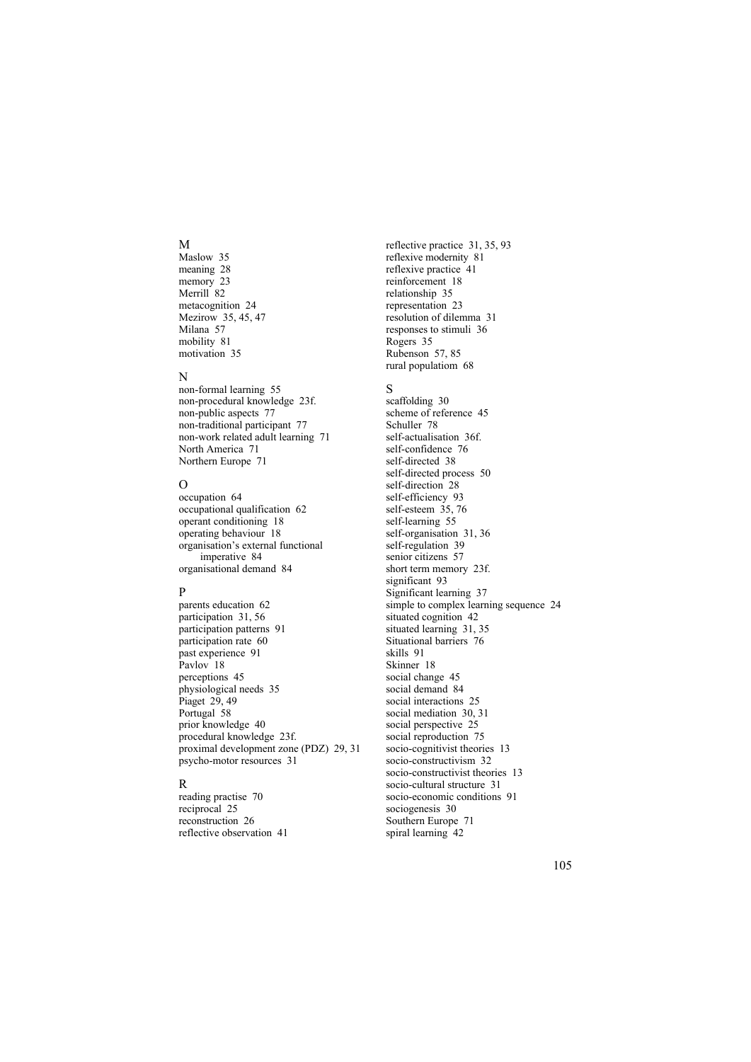#### M

Maslow 35 meaning 28 memory 23 Merrill 82 metacognition 24 Mezirow 35, 45, 47 Milana 57 mobility 81 motivation 35

### N

non-formal learning 55 non-procedural knowledge 23f. non-public aspects 77 non-traditional participant 77 non-work related adult learning 71 North America 71 Northern Europe 71

## $\Omega$

occupation 64 occupational qualification 62 operant conditioning 18 operating behaviour 18 organisation's external functional imperative 84 organisational demand 84

## P

parents education 62 participation 31, 56 participation patterns 91 participation rate 60 past experience 91 Pavlov 18 perceptions 45 physiological needs 35 Piaget 29, 49 Portugal 58 prior knowledge 40 procedural knowledge 23f. proximal development zone (PDZ) 29, 31 psycho-motor resources 31

## R

reading practise 70 reciprocal 25 reconstruction 26 reflective observation 41 reflective practice 31, 35, 93 reflexive modernity 81 reflexive practice 41 reinforcement 18 relationship 35 representation 23 resolution of dilemma 31 responses to stimuli 36 Rogers 35 Rubenson 57, 85 rural populatiom 68

## S

scaffolding 30 scheme of reference 45 Schuller 78 self-actualisation 36f. self-confidence 76 self-directed 38 self-directed process 50 self-direction 28 self-efficiency 93 self-esteem 35, 76 self-learning 55 self-organisation 31, 36 self-regulation 39 senior citizens 57 short term memory 23f. significant 93 Significant learning 37 simple to complex learning sequence 24 situated cognition 42 situated learning 31, 35 Situational barriers 76 skills 91 Skinner 18 social change 45 social demand 84 social interactions 25 social mediation 30, 31 social perspective 25 social reproduction 75 socio-cognitivist theories 13 socio-constructivism 32 socio-constructivist theories 13 socio-cultural structure 31 socio-economic conditions 91 sociogenesis 30 Southern Europe 71 spiral learning 42